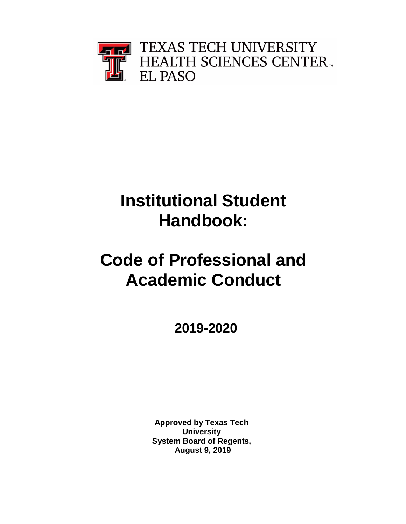

# **Institutional Student Handbook:**

# **Code of Professional and Academic Conduct**

**2019-2020**

**Approved by Texas Tech University System Board of Regents, August 9, 2019**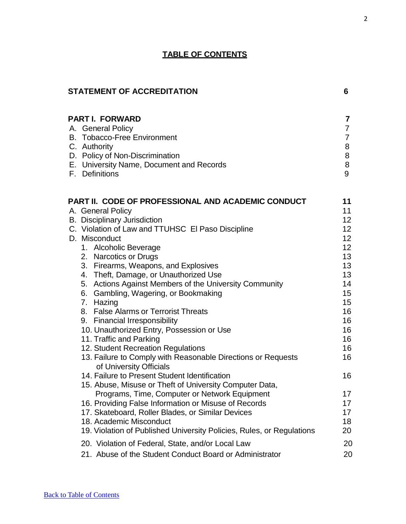## **TABLE OF CONTENTS**

| <b>STATEMENT OF ACCREDITATION</b>                                                                                                                                                                                                                                                                                                                                                                                                                                                                                                                                                                                                                                                                                                                                                                                                                                                                                                                                                                                                                                                                      |                                                                                                                                                                                                               |
|--------------------------------------------------------------------------------------------------------------------------------------------------------------------------------------------------------------------------------------------------------------------------------------------------------------------------------------------------------------------------------------------------------------------------------------------------------------------------------------------------------------------------------------------------------------------------------------------------------------------------------------------------------------------------------------------------------------------------------------------------------------------------------------------------------------------------------------------------------------------------------------------------------------------------------------------------------------------------------------------------------------------------------------------------------------------------------------------------------|---------------------------------------------------------------------------------------------------------------------------------------------------------------------------------------------------------------|
| <b>PART I. FORWARD</b>                                                                                                                                                                                                                                                                                                                                                                                                                                                                                                                                                                                                                                                                                                                                                                                                                                                                                                                                                                                                                                                                                 | 7                                                                                                                                                                                                             |
| A. General Policy                                                                                                                                                                                                                                                                                                                                                                                                                                                                                                                                                                                                                                                                                                                                                                                                                                                                                                                                                                                                                                                                                      | 7                                                                                                                                                                                                             |
| <b>B.</b> Tobacco-Free Environment                                                                                                                                                                                                                                                                                                                                                                                                                                                                                                                                                                                                                                                                                                                                                                                                                                                                                                                                                                                                                                                                     | 7                                                                                                                                                                                                             |
| C. Authority                                                                                                                                                                                                                                                                                                                                                                                                                                                                                                                                                                                                                                                                                                                                                                                                                                                                                                                                                                                                                                                                                           | 8                                                                                                                                                                                                             |
| D. Policy of Non-Discrimination                                                                                                                                                                                                                                                                                                                                                                                                                                                                                                                                                                                                                                                                                                                                                                                                                                                                                                                                                                                                                                                                        | 8                                                                                                                                                                                                             |
| E. University Name, Document and Records                                                                                                                                                                                                                                                                                                                                                                                                                                                                                                                                                                                                                                                                                                                                                                                                                                                                                                                                                                                                                                                               | 8                                                                                                                                                                                                             |
| F. Definitions                                                                                                                                                                                                                                                                                                                                                                                                                                                                                                                                                                                                                                                                                                                                                                                                                                                                                                                                                                                                                                                                                         | 9                                                                                                                                                                                                             |
| PART II. CODE OF PROFESSIONAL AND ACADEMIC CONDUCT<br>A. General Policy<br><b>B.</b> Disciplinary Jurisdiction<br>C. Violation of Law and TTUHSC El Paso Discipline<br>D. Misconduct<br>1. Alcoholic Beverage<br>2. Narcotics or Drugs<br>3. Firearms, Weapons, and Explosives<br>4. Theft, Damage, or Unauthorized Use<br>5. Actions Against Members of the University Community<br>6. Gambling, Wagering, or Bookmaking<br>7. Hazing<br>8. False Alarms or Terrorist Threats<br>9. Financial Irresponsibility<br>10. Unauthorized Entry, Possession or Use<br>11. Traffic and Parking<br>12. Student Recreation Regulations<br>13. Failure to Comply with Reasonable Directions or Requests<br>of University Officials<br>14. Failure to Present Student Identification<br>15. Abuse, Misuse or Theft of University Computer Data,<br>Programs, Time, Computer or Network Equipment<br>16. Providing False Information or Misuse of Records<br>17. Skateboard, Roller Blades, or Similar Devices<br>18. Academic Misconduct<br>19. Violation of Published University Policies, Rules, or Regulations | 11<br>11<br>12 <sub>2</sub><br>12 <sub>2</sub><br>12 <sup>2</sup><br>12 <sup>2</sup><br>13<br>13<br>13<br>14<br>15<br>15 <sub>1</sub><br>16<br>16<br>16<br>16<br>16<br>16<br>16<br>17<br>17<br>17<br>18<br>20 |
| 20. Violation of Federal, State, and/or Local Law                                                                                                                                                                                                                                                                                                                                                                                                                                                                                                                                                                                                                                                                                                                                                                                                                                                                                                                                                                                                                                                      | 20                                                                                                                                                                                                            |
| 21. Abuse of the Student Conduct Board or Administrator                                                                                                                                                                                                                                                                                                                                                                                                                                                                                                                                                                                                                                                                                                                                                                                                                                                                                                                                                                                                                                                | 20                                                                                                                                                                                                            |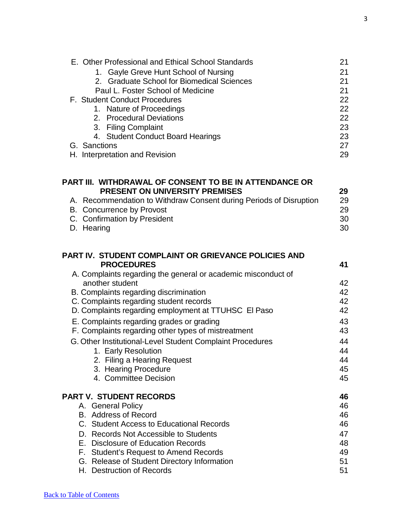| E. Other Professional and Ethical School Standards                                                                                           | 21     |
|----------------------------------------------------------------------------------------------------------------------------------------------|--------|
| 1. Gayle Greve Hunt School of Nursing                                                                                                        | 21     |
| 2. Graduate School for Biomedical Sciences                                                                                                   | 21     |
| Paul L. Foster School of Medicine                                                                                                            | 21     |
| F. Student Conduct Procedures                                                                                                                | 22     |
| 1. Nature of Proceedings                                                                                                                     | 22     |
| 2. Procedural Deviations                                                                                                                     | 22     |
| 3. Filing Complaint                                                                                                                          | 23     |
| 4. Student Conduct Board Hearings                                                                                                            | 23     |
| G. Sanctions                                                                                                                                 | 27     |
| H. Interpretation and Revision                                                                                                               | 29     |
| PART III. WITHDRAWAL OF CONSENT TO BE IN ATTENDANCE OR                                                                                       |        |
| <b>PRESENT ON UNIVERSITY PREMISES</b>                                                                                                        | 29     |
| A. Recommendation to Withdraw Consent during Periods of Disruption                                                                           | 29     |
| B. Concurrence by Provost                                                                                                                    | 29     |
| C. Confirmation by President                                                                                                                 | 30     |
| D. Hearing                                                                                                                                   | 30     |
|                                                                                                                                              |        |
| PART IV. STUDENT COMPLAINT OR GRIEVANCE POLICIES AND                                                                                         |        |
| <b>PROCEDURES</b>                                                                                                                            | 41     |
| A. Complaints regarding the general or academic misconduct of<br>another student                                                             | 42     |
|                                                                                                                                              | 42     |
| B. Complaints regarding discrimination<br>C. Complaints regarding student records                                                            | 42     |
| D. Complaints regarding employment at TTUHSC El Paso                                                                                         | 42     |
|                                                                                                                                              | 43     |
| E. Complaints regarding grades or grading<br>. The contribution of the contribution of the contribution of the contribution of $\mathcal{L}$ | $\sim$ |

## F. Complaints regarding other types of mistreatment 43 G. Other Institutional-Level Student Complaint Procedures 44<br>1. Early Resolution 44 1. Early Resolution 44<br>
2. Filing a Hearing Request 44 2. Filing a Hearing Request 3. Hearing Procedure  $\frac{1}{2}$  and  $\frac{1}{2}$  and  $\frac{1}{2}$  and  $\frac{1}{2}$  and  $\frac{1}{2}$  and  $\frac{1}{2}$  and  $\frac{1}{2}$  and  $\frac{1}{2}$  and  $\frac{1}{2}$  and  $\frac{1}{2}$  and  $\frac{1}{2}$  and  $\frac{1}{2}$  and  $\frac{1}{2}$  and  $\frac{1}{2}$  and  $\frac{1$

4. Committee Decision 45

# **PART V. STUDENT RECORDS** 46<br>
A. General Policy 46 A. General Policy 46<br>
B. Address of Record 46

| B. Address of Record                     | 46 |
|------------------------------------------|----|
| C. Student Access to Educational Records | 46 |
| D. Records Not Accessible to Students    | 47 |
| E. Disclosure of Education Records       | 48 |

F. Student's Request to Amend Records 49

| G. Release of Student Directory Information |  |
|---------------------------------------------|--|
| H. Destruction of Records                   |  |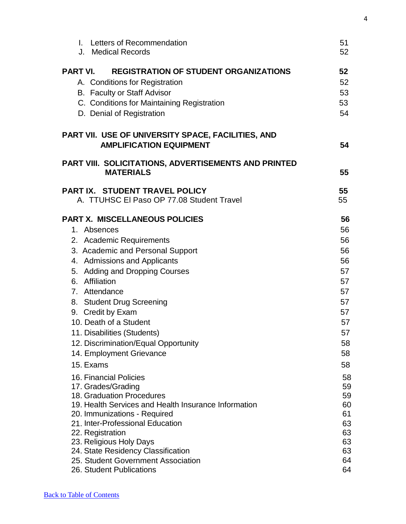| I. Letters of Recommendation                                                                                                                                                                                       | 51                         |
|--------------------------------------------------------------------------------------------------------------------------------------------------------------------------------------------------------------------|----------------------------|
| J. Medical Records                                                                                                                                                                                                 | 52 <sub>2</sub>            |
| <b>REGISTRATION OF STUDENT ORGANIZATIONS</b><br><b>PART VI.</b><br>A. Conditions for Registration<br><b>B.</b> Faculty or Staff Advisor<br>C. Conditions for Maintaining Registration<br>D. Denial of Registration | 52<br>52<br>53<br>53<br>54 |
| PART VII. USE OF UNIVERSITY SPACE, FACILITIES, AND<br><b>AMPLIFICATION EQUIPMENT</b>                                                                                                                               | 54                         |
| <b>PART VIII. SOLICITATIONS, ADVERTISEMENTS AND PRINTED</b><br><b>MATERIALS</b>                                                                                                                                    | 55                         |
| <b>PART IX. STUDENT TRAVEL POLICY</b>                                                                                                                                                                              | 55                         |
| A. TTUHSC El Paso OP 77.08 Student Travel                                                                                                                                                                          | 55                         |
| PART X. MISCELLANEOUS POLICIES                                                                                                                                                                                     | 56                         |
| 1. Absences                                                                                                                                                                                                        | 56                         |
| 2. Academic Requirements                                                                                                                                                                                           | 56                         |
| 3. Academic and Personal Support                                                                                                                                                                                   | 56                         |
| 4. Admissions and Applicants                                                                                                                                                                                       | 56                         |
| 5. Adding and Dropping Courses                                                                                                                                                                                     | 57                         |
| 6. Affiliation                                                                                                                                                                                                     | 57                         |
| 7. Attendance                                                                                                                                                                                                      | 57                         |
| 8. Student Drug Screening                                                                                                                                                                                          | 57                         |
| 9. Credit by Exam                                                                                                                                                                                                  | 57                         |
| 10. Death of a Student                                                                                                                                                                                             | 57                         |
| 11. Disabilities (Students)                                                                                                                                                                                        | 57                         |
| 12. Discrimination/Equal Opportunity                                                                                                                                                                               | 58                         |
| 14. Employment Grievance                                                                                                                                                                                           | 58                         |
| 15. Exams                                                                                                                                                                                                          | 58                         |
| <b>16. Financial Policies</b>                                                                                                                                                                                      | 58                         |
| 17. Grades/Grading                                                                                                                                                                                                 | 59                         |
| 18. Graduation Procedures                                                                                                                                                                                          | 59                         |
| 19. Health Services and Health Insurance Information                                                                                                                                                               | 60                         |
| 20. Immunizations - Required                                                                                                                                                                                       | 61                         |
| 21. Inter-Professional Education                                                                                                                                                                                   | 63                         |
| 22. Registration                                                                                                                                                                                                   | 63                         |
| 23. Religious Holy Days                                                                                                                                                                                            | 63                         |
| 24. State Residency Classification                                                                                                                                                                                 | 63                         |
| 25. Student Government Association                                                                                                                                                                                 | 64                         |
| 26. Student Publications                                                                                                                                                                                           | 64                         |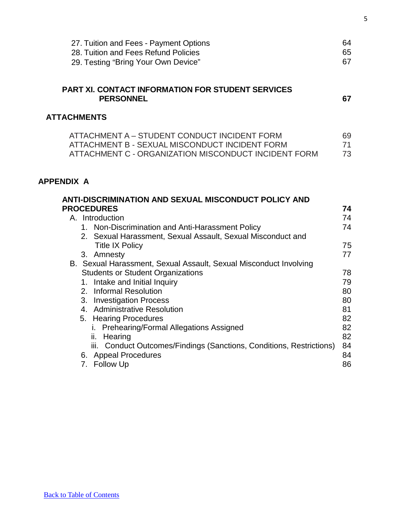| 27. Tuition and Fees - Payment Options<br>28. Tuition and Fees Refund Policies<br>29. Testing "Bring Your Own Device"                                                                                                                                                                                                                                                                                                                                                                                                                                                                                                                                                                                       | 64<br>65<br>67                                                                               |
|-------------------------------------------------------------------------------------------------------------------------------------------------------------------------------------------------------------------------------------------------------------------------------------------------------------------------------------------------------------------------------------------------------------------------------------------------------------------------------------------------------------------------------------------------------------------------------------------------------------------------------------------------------------------------------------------------------------|----------------------------------------------------------------------------------------------|
| <b>PART XI. CONTACT INFORMATION FOR STUDENT SERVICES</b><br><b>PERSONNEL</b>                                                                                                                                                                                                                                                                                                                                                                                                                                                                                                                                                                                                                                | 67                                                                                           |
| <b>ATTACHMENTS</b>                                                                                                                                                                                                                                                                                                                                                                                                                                                                                                                                                                                                                                                                                          |                                                                                              |
| ATTACHMENT A - STUDENT CONDUCT INCIDENT FORM<br>ATTACHMENT B - SEXUAL MISCONDUCT INCIDENT FORM<br>ATTACHMENT C - ORGANIZATION MISCONDUCT INCIDENT FORM                                                                                                                                                                                                                                                                                                                                                                                                                                                                                                                                                      | 69<br>71<br>73                                                                               |
| <b>APPENDIX A</b>                                                                                                                                                                                                                                                                                                                                                                                                                                                                                                                                                                                                                                                                                           |                                                                                              |
| <b>ANTI-DISCRIMINATION AND SEXUAL MISCONDUCT POLICY AND</b><br><b>PROCEDURES</b><br>A. Introduction<br>1. Non-Discrimination and Anti-Harassment Policy<br>2. Sexual Harassment, Sexual Assault, Sexual Misconduct and<br><b>Title IX Policy</b><br>3. Amnesty<br>B. Sexual Harassment, Sexual Assault, Sexual Misconduct Involving<br><b>Students or Student Organizations</b><br>1. Intake and Initial Inquiry<br>2. Informal Resolution<br>3. Investigation Process<br>4. Administrative Resolution<br>5. Hearing Procedures<br>i. Prehearing/Formal Allegations Assigned<br>ii. Hearing<br>iii. Conduct Outcomes/Findings (Sanctions, Conditions, Restrictions)<br>6. Appeal Procedures<br>7. Follow Up | 74<br>74<br>74<br>75<br>77<br>78<br>79<br>80<br>80<br>81<br>82<br>82<br>82<br>84<br>84<br>86 |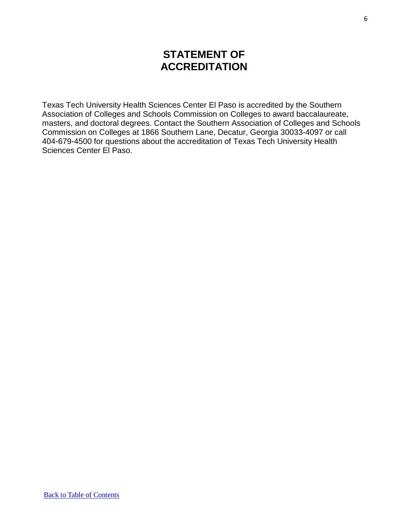# **STATEMENT OF ACCREDITATION**

Texas Tech University Health Sciences Center El Paso is accredited by the Southern Association of Colleges and Schools Commission on Colleges to award baccalaureate, masters, and doctoral degrees. Contact the Southern Association of Colleges and Schools Commission on Colleges at 1866 Southern Lane, Decatur, Georgia 30033-4097 or call 404-679-4500 for questions about the accreditation of Texas Tech University Health Sciences Center El Paso.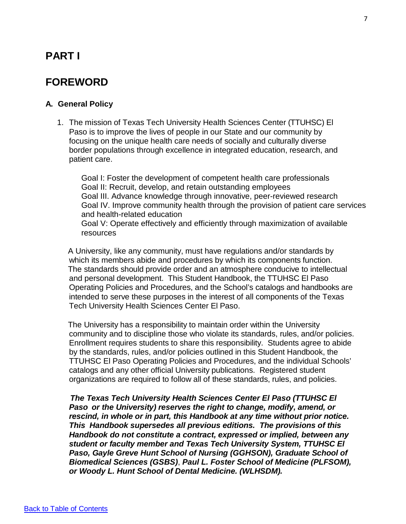# **PART I**

# **FOREWORD**

#### **A. General Policy**

1. The mission of Texas Tech University Health Sciences Center (TTUHSC) El Paso is to improve the lives of people in our State and our community by focusing on the unique health care needs of socially and culturally diverse border populations through excellence in integrated education, research, and patient care.

Goal I: Foster the development of competent health care professionals Goal II: Recruit, develop, and retain outstanding employees Goal III. Advance knowledge through innovative, peer-reviewed research Goal IV. Improve community health through the provision of patient care services and health-related education Goal V: Operate effectively and efficiently through maximization of available resources

A University, like any community, must have regulations and/or standards by which its members abide and procedures by which its components function. The standards should provide order and an atmosphere conducive to intellectual and personal development. This Student Handbook, the TTUHSC El Paso Operating Policies and Procedures, and the School's catalogs and handbooks are intended to serve these purposes in the interest of all components of the Texas Tech University Health Sciences Center El Paso.

The University has a responsibility to maintain order within the University community and to discipline those who violate its standards, rules, and/or policies. Enrollment requires students to share this responsibility. Students agree to abide by the standards, rules, and/or policies outlined in this Student Handbook, the TTUHSC El Paso Operating Policies and Procedures, and the individual Schools' catalogs and any other official University publications. Registered student organizations are required to follow all of these standards, rules, and policies.

*The Texas Tech University Health Sciences Center El Paso (TTUHSC El Paso or the University) reserves the right to change, modify, amend, or rescind, in whole or in part, this Handbook at any time without prior notice. This Handbook supersedes all previous editions. The provisions of this Handbook do not constitute a contract, expressed or implied, between any student or faculty member and Texas Tech University System, TTUHSC El Paso, Gayle Greve Hunt School of Nursing (GGHSON), Graduate School of Biomedical Sciences (GSBS)*, *Paul L. Foster School of Medicine (PLFSOM), or Woody L. Hunt School of Dental Medicine. (WLHSDM).*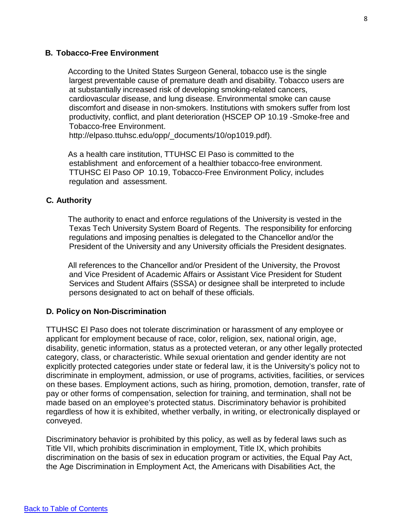#### **B. Tobacco-Free Environment**

According to the United States Surgeon General, tobacco use is the single largest preventable cause of premature death and disability. Tobacco users are at substantially increased risk of developing smoking-related cancers, cardiovascular disease, and lung disease. Environmental smoke can cause discomfort and disease in non-smokers. Institutions with smokers suffer from lost productivity, conflict, and plant deterioration (HSCEP OP 10.19 -Smoke-free and Tobacco-free Environment.

http://elpaso.ttuhsc.edu/opp/\_documents/10/op1019.pdf).

As a health care institution, TTUHSC El Paso is committed to the establishment and enforcement of a healthier tobacco-free environment. TTUHSC El Paso OP 10.19, Tobacco-Free Environment Policy, includes regulation and assessment.

#### **C. Authority**

The authority to enact and enforce regulations of the University is vested in the Texas Tech University System Board of Regents. The responsibility for enforcing regulations and imposing penalties is delegated to the Chancellor and/or the President of the University and any University officials the President designates.

All references to the Chancellor and/or President of the University, the Provost and Vice President of Academic Affairs or Assistant Vice President for Student Services and Student Affairs (SSSA) or designee shall be interpreted to include persons designated to act on behalf of these officials.

#### **D. Policy on Non-Discrimination**

TTUHSC El Paso does not tolerate discrimination or harassment of any employee or applicant for employment because of race, color, religion, sex, national origin, age, disability, genetic information, status as a protected veteran, or any other legally protected category, class, or characteristic. While sexual orientation and gender identity are not explicitly protected categories under state or federal law, it is the University's policy not to discriminate in employment, admission, or use of programs, activities, facilities, or services on these bases. Employment actions, such as hiring, promotion, demotion, transfer, rate of pay or other forms of compensation, selection for training, and termination, shall not be made based on an employee's protected status. Discriminatory behavior is prohibited regardless of how it is exhibited, whether verbally, in writing, or electronically displayed or conveyed.

Discriminatory behavior is prohibited by this policy, as well as by federal laws such as Title VII, which prohibits discrimination in employment, Title IX, which prohibits discrimination on the basis of sex in education program or activities, the Equal Pay Act, the Age Discrimination in Employment Act, the Americans with Disabilities Act, the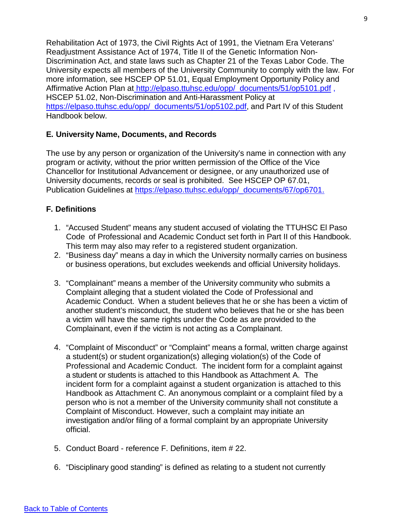Rehabilitation Act of 1973, the Civil Rights Act of 1991, the Vietnam Era Veterans' Readjustment Assistance Act of 1974, Title II of the Genetic Information Non-Discrimination Act, and state laws such as Chapter 21 of the Texas Labor Code. The University expects all members of the University Community to comply with the law. For more information, see HSCEP OP 51.01, Equal Employment Opportunity Policy and Affirmative Action Plan at [http://elpaso.ttuhsc.edu/opp/\\_documents/51/op5101.pdf](http://elpaso.ttuhsc.edu/opp/_documents/51/op5101.pdf) , HSCEP 51.02, Non-Discrimination and Anti-Harassment Policy at [https://elpaso.ttuhsc.edu/opp/\\_documents/51/op5102.pdf,](https://elpaso.ttuhsc.edu/opp/_documents/51/op5102.pdf) and Part IV of this Student Handbook below.

#### **E. University Name, Documents, and Records**

The use by any person or organization of the University's name in connection with any program or activity, without the prior written permission of the Office of the Vice Chancellor for Institutional Advancement or designee, or any unauthorized use of University documents, records or seal is prohibited. See HSCEP OP 67.01, Publication Guidelines at https://elpaso.ttuhsc.edu/opp/\_documents/67/op6701.

#### **F. Definitions**

- 1. "Accused Student" means any student accused of violating the TTUHSC El Paso Code of Professional and Academic Conduct set forth in Part II of this Handbook. This term may also may refer to a registered student organization.
- 2. "Business day" means a day in which the University normally carries on business or business operations, but excludes weekends and official University holidays.
- 3. "Complainant" means a member of the University community who submits a Complaint alleging that a student violated the Code of Professional and Academic Conduct. When a student believes that he or she has been a victim of another student's misconduct, the student who believes that he or she has been a victim will have the same rights under the Code as are provided to the Complainant, even if the victim is not acting as a Complainant.
- 4. "Complaint of Misconduct" or "Complaint" means a formal, written charge against a student(s) or student organization(s) alleging violation(s) of the Code of Professional and Academic Conduct. The incident form for a complaint against a student or students is attached to this Handbook as Attachment A. The incident form for a complaint against a student organization is attached to this Handbook as Attachment C. An anonymous complaint or a complaint filed by a person who is not a member of the University community shall not constitute a Complaint of Misconduct. However, such a complaint may initiate an investigation and/or filing of a formal complaint by an appropriate University official.
- 5. Conduct Board reference F. Definitions, item # 22.
- 6. "Disciplinary good standing" is defined as relating to a student not currently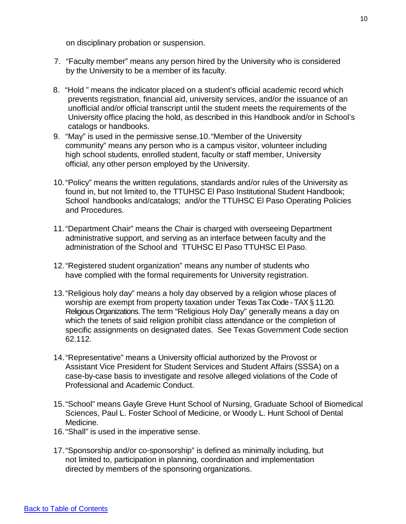on disciplinary probation or suspension.

- 7. "Faculty member" means any person hired by the University who is considered by the University to be a member of its faculty.
- 8. "Hold " means the indicator placed on a student's official academic record which prevents registration, financial aid, university services, and/or the issuance of an unofficial and/or official transcript until the student meets the requirements of the University office placing the hold, as described in this Handbook and/or in School's catalogs or handbooks.
- 9. "May" is used in the permissive sense.10."Member of the University community" means any person who is a campus visitor, volunteer including high school students, enrolled student, faculty or staff member, University official, any other person employed by the University.
- 10."Policy" means the written regulations, standards and/or rules of the University as found in, but not limited to, the TTUHSC El Paso Institutional Student Handbook; School handbooks and/catalogs; and/or the TTUHSC El Paso Operating Policies and Procedures.
- 11."Department Chair" means the Chair is charged with overseeing Department administrative support, and serving as an interface between faculty and the administration of the School and TTUHSC El Paso TTUHSC El Paso.
- 12."Registered student organization" means any number of students who have complied with the formal requirements for University registration.
- 13."Religious holy day" means a holy day observed by a religion whose places of worship are exempt from property taxation under Texas Tax Code -TAX § 11.20. Religious Organizations.The term "Religious Holy Day" generally means a day on which the tenets of said religion prohibit class attendance or the completion of specific assignments on designated dates. See Texas Government Code section 62.112.
- 14."Representative" means a University official authorized by the Provost or Assistant Vice President for Student Services and Student Affairs (SSSA) on a case-by-case basis to investigate and resolve alleged violations of the Code of Professional and Academic Conduct.
- 15."School" means Gayle Greve Hunt School of Nursing, Graduate School of Biomedical Sciences, Paul L. Foster School of Medicine, or Woody L. Hunt School of Dental Medicine.
- 16."Shall" is used in the imperative sense.
- 17."Sponsorship and/or co-sponsorship" is defined as minimally including, but not limited to, participation in planning, coordination and implementation directed by members of the sponsoring organizations.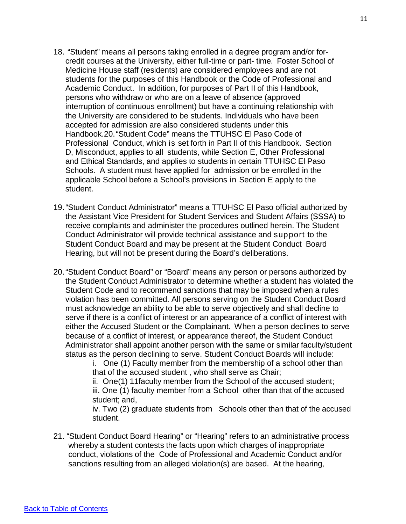- 18. "Student" means all persons taking enrolled in a degree program and/or forcredit courses at the University, either full-time or part- time. Foster School of Medicine House staff (residents) are considered employees and are not students for the purposes of this Handbook or the Code of Professional and Academic Conduct. In addition, for purposes of Part II of this Handbook, persons who withdraw or who are on a leave of absence (approved interruption of continuous enrollment) but have a continuing relationship with the University are considered to be students. Individuals who have been accepted for admission are also considered students under this Handbook.20."Student Code" means the TTUHSC El Paso Code of Professional Conduct, which is set forth in Part II of this Handbook. Section D, Misconduct, applies to all students, while Section E, Other Professional and Ethical Standards, and applies to students in certain TTUHSC El Paso Schools. A student must have applied for admission or be enrolled in the applicable School before a School's provisions in Section E apply to the student.
- 19."Student Conduct Administrator" means a TTUHSC El Paso official authorized by the Assistant Vice President for Student Services and Student Affairs (SSSA) to receive complaints and administer the procedures outlined herein. The Student Conduct Administrator will provide technical assistance and support to the Student Conduct Board and may be present at the Student Conduct Board Hearing, but will not be present during the Board's deliberations.
- 20."Student Conduct Board" or "Board" means any person or persons authorized by the Student Conduct Administrator to determine whether a student has violated the Student Code and to recommend sanctions that may be imposed when a rules violation has been committed. All persons serving on the Student Conduct Board must acknowledge an ability to be able to serve objectively and shall decline to serve if there is a conflict of interest or an appearance of a conflict of interest with either the Accused Student or the Complainant. When a person declines to serve because of a conflict of interest, or appearance thereof, the Student Conduct Administrator shall appoint another person with the same or similar faculty/student status as the person declining to serve. Student Conduct Boards will include:

i. One (1) Faculty member from the membership of a school other than that of the accused student , who shall serve as Chair;

ii. One(1) 11faculty member from the School of the accused student;

iii. One (1) faculty member from a School other than that of the accused student; and,

iv. Two (2) graduate students from Schools other than that of the accused student.

21. "Student Conduct Board Hearing" or "Hearing" refers to an administrative process whereby a student contests the facts upon which charges of inappropriate conduct, violations of the Code of Professional and Academic Conduct and/or sanctions resulting from an alleged violation(s) are based. At the hearing,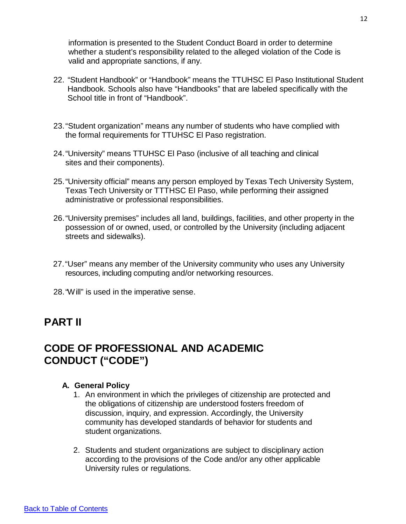information is presented to the Student Conduct Board in order to determine whether a student's responsibility related to the alleged violation of the Code is valid and appropriate sanctions, if any.

- 22. "Student Handbook" or "Handbook" means the TTUHSC El Paso Institutional Student Handbook. Schools also have "Handbooks" that are labeled specifically with the School title in front of "Handbook".
- 23."Student organization" means any number of students who have complied with the formal requirements for TTUHSC El Paso registration.
- 24."University" means TTUHSC El Paso (inclusive of all teaching and clinical sites and their components).
- 25."University official" means any person employed by Texas Tech University System, Texas Tech University or TTTHSC El Paso, while performing their assigned administrative or professional responsibilities.
- 26."University premises" includes all land, buildings, facilities, and other property in the possession of or owned, used, or controlled by the University (including adjacent streets and sidewalks).
- 27."User" means any member of the University community who uses any University resources, including computing and/or networking resources.
- 28."Will" is used in the imperative sense.

## **PART II**

# **CODE OF PROFESSIONAL AND ACADEMIC CONDUCT ("CODE")**

#### **A. General Policy**

- 1. An environment in which the privileges of citizenship are protected and the obligations of citizenship are understood fosters freedom of discussion, inquiry, and expression. Accordingly, the University community has developed standards of behavior for students and student organizations.
- 2. Students and student organizations are subject to disciplinary action according to the provisions of the Code and/or any other applicable University rules or regulations.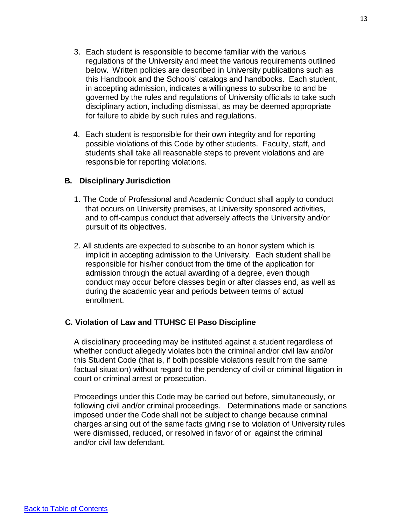- 3. Each student is responsible to become familiar with the various regulations of the University and meet the various requirements outlined below. Written policies are described in University publications such as this Handbook and the Schools' catalogs and handbooks. Each student, in accepting admission, indicates a willingness to subscribe to and be governed by the rules and regulations of University officials to take such disciplinary action, including dismissal, as may be deemed appropriate for failure to abide by such rules and regulations.
- 4. Each student is responsible for their own integrity and for reporting possible violations of this Code by other students. Faculty, staff, and students shall take all reasonable steps to prevent violations and are responsible for reporting violations.

#### **B. Disciplinary Jurisdiction**

- 1. The Code of Professional and Academic Conduct shall apply to conduct that occurs on University premises, at University sponsored activities, and to off-campus conduct that adversely affects the University and/or pursuit of its objectives.
- 2. All students are expected to subscribe to an honor system which is implicit in accepting admission to the University. Each student shall be responsible for his/her conduct from the time of the application for admission through the actual awarding of a degree, even though conduct may occur before classes begin or after classes end, as well as during the academic year and periods between terms of actual enrollment.

#### **C. Violation of Law and TTUHSC El Paso Discipline**

A disciplinary proceeding may be instituted against a student regardless of whether conduct allegedly violates both the criminal and/or civil law and/or this Student Code (that is, if both possible violations result from the same factual situation) without regard to the pendency of civil or criminal litigation in court or criminal arrest or prosecution.

Proceedings under this Code may be carried out before, simultaneously, or following civil and/or criminal proceedings. Determinations made or sanctions imposed under the Code shall not be subject to change because criminal charges arising out of the same facts giving rise to violation of University rules were dismissed, reduced, or resolved in favor of or against the criminal and/or civil law defendant.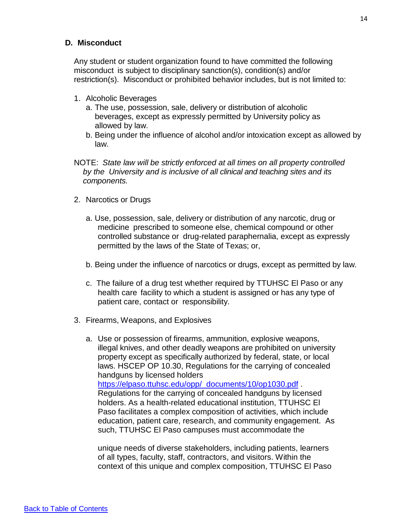#### **D. Misconduct**

Any student or student organization found to have committed the following misconduct is subject to disciplinary sanction(s), condition(s) and/or restriction(s). Misconduct or prohibited behavior includes, but is not limited to:

- 1. Alcoholic Beverages
	- a. The use, possession, sale, delivery or distribution of alcoholic beverages, except as expressly permitted by University policy as allowed by law.
	- b. Being under the influence of alcohol and/or intoxication except as allowed by law.

NOTE: *State law will be strictly enforced at all times on all property controlled by the University and is inclusive of all clinical and teaching sites and its components.*

- 2. Narcotics or Drugs
	- a. Use, possession, sale, delivery or distribution of any narcotic, drug or medicine prescribed to someone else, chemical compound or other controlled substance or drug-related paraphernalia, except as expressly permitted by the laws of the State of Texas; or,
	- b. Being under the influence of narcotics or drugs, except as permitted by law.
	- c. The failure of a drug test whether required by TTUHSC El Paso or any health care facility to which a student is assigned or has any type of patient care, contact or responsibility.
- 3. Firearms, Weapons, and Explosives
	- a. Use or possession of firearms, ammunition, explosive weapons, illegal knives, and other deadly weapons are prohibited on university property except as specifically authorized by federal, state, or local laws. HSCEP OP 10.30, Regulations for the carrying of concealed handguns by licensed holders [https://elpaso.ttuhsc.edu/opp/\\_documents/10/op1030.pdf](https://elpaso.ttuhsc.edu/opp/_documents/10/op1030.pdf) . Regulations for the carrying of concealed handguns by licensed holders. As a health-related educational institution, TTUHSC El Paso facilitates a complex composition of activities, which include education, patient care, research, and community engagement. As such, TTUHSC El Paso campuses must accommodate the

unique needs of diverse stakeholders, including patients, learners of all types, faculty, staff, contractors, and visitors. Within the context of this unique and complex composition, TTUHSC El Paso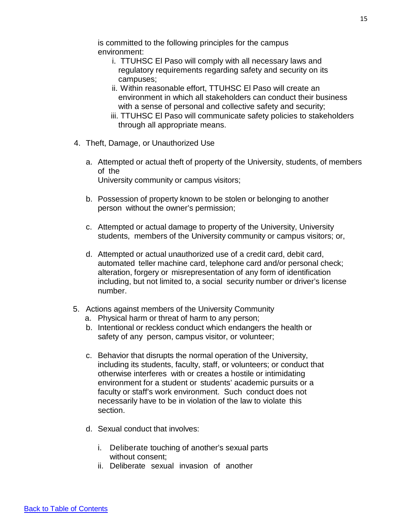is committed to the following principles for the campus environment:

- i. TTUHSC El Paso will comply with all necessary laws and regulatory requirements regarding safety and security on its campuses;
- ii. Within reasonable effort, TTUHSC El Paso will create an environment in which all stakeholders can conduct their business with a sense of personal and collective safety and security;
- iii. TTUHSC El Paso will communicate safety policies to stakeholders through all appropriate means.
- 4. Theft, Damage, or Unauthorized Use
	- a. Attempted or actual theft of property of the University, students, of members of the University community or campus visitors;
	- b. Possession of property known to be stolen or belonging to another person without the owner's permission;
	- c. Attempted or actual damage to property of the University, University students, members of the University community or campus visitors; or,
	- d. Attempted or actual unauthorized use of a credit card, debit card, automated teller machine card, telephone card and/or personal check; alteration, forgery or misrepresentation of any form of identification including, but not limited to, a social security number or driver's license number.
- 5. Actions against members of the University Community
	- a. Physical harm or threat of harm to any person;
	- b. Intentional or reckless conduct which endangers the health or safety of any person, campus visitor, or volunteer;
	- c. Behavior that disrupts the normal operation of the University, including its students, faculty, staff, or volunteers; or conduct that otherwise interferes with or creates a hostile or intimidating environment for a student or students' academic pursuits or a faculty or staff's work environment. Such conduct does not necessarily have to be in violation of the law to violate this section.
	- d. Sexual conduct that involves:
		- i. Deliberate touching of another's sexual parts without consent;
		- ii. Deliberate sexual invasion of another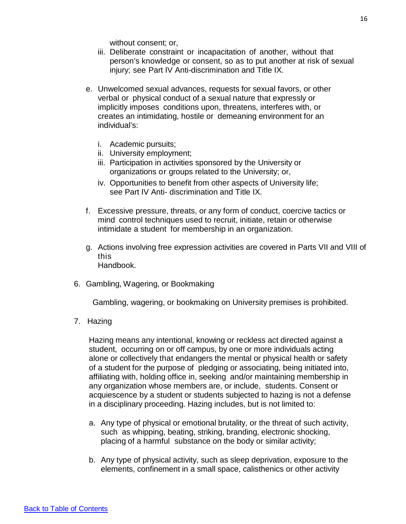without consent; or,

- iii. Deliberate constraint or incapacitation of another, without that person's knowledge or consent, so as to put another at risk of sexual injury; see Part IV Anti-discrimination and Title IX.
- e. Unwelcomed sexual advances, requests for sexual favors, or other verbal or physical conduct of a sexual nature that expressly or implicitly imposes conditions upon, threatens, interferes with, or creates an intimidating, hostile or demeaning environment for an individual's:
	- i. Academic pursuits;
	- ii. University employment;
	- iii. Participation in activities sponsored by the University or organizations or groups related to the University; or,
	- iv. Opportunities to benefit from other aspects of University life; see Part IV Anti- discrimination and Title IX.
- f. Excessive pressure, threats, or any form of conduct, coercive tactics or mind control techniques used to recruit, initiate, retain or otherwise intimidate a student for membership in an organization.
- g. Actions involving free expression activities are covered in Parts VII and VIII of this Handbook.
- 6. Gambling, Wagering, or Bookmaking

Gambling, wagering, or bookmaking on University premises is prohibited.

7. Hazing

Hazing means any intentional, knowing or reckless act directed against a student, occurring on or off campus, by one or more individuals acting alone or collectively that endangers the mental or physical health or safety of a student for the purpose of pledging or associating, being initiated into, affiliating with, holding office in, seeking and/or maintaining membership in any organization whose members are, or include, students. Consent or acquiescence by a student or students subjected to hazing is not a defense in a disciplinary proceeding. Hazing includes, but is not limited to:

- a. Any type of physical or emotional brutality, or the threat of such activity, such as whipping, beating, striking, branding, electronic shocking, placing of a harmful substance on the body or similar activity;
- b. Any type of physical activity, such as sleep deprivation, exposure to the elements, confinement in a small space, calisthenics or other activity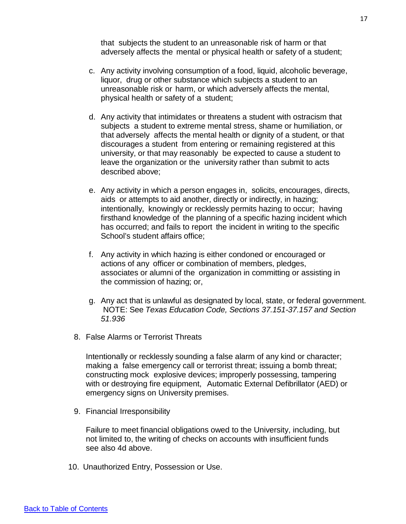that subjects the student to an unreasonable risk of harm or that adversely affects the mental or physical health or safety of a student;

- c. Any activity involving consumption of a food, liquid, alcoholic beverage, liquor, drug or other substance which subjects a student to an unreasonable risk or harm, or which adversely affects the mental, physical health or safety of a student;
- d. Any activity that intimidates or threatens a student with ostracism that subjects a student to extreme mental stress, shame or humiliation, or that adversely affects the mental health or dignity of a student, or that discourages a student from entering or remaining registered at this university, or that may reasonably be expected to cause a student to leave the organization or the university rather than submit to acts described above;
- e. Any activity in which a person engages in, solicits, encourages, directs, aids or attempts to aid another, directly or indirectly, in hazing; intentionally, knowingly or recklessly permits hazing to occur; having firsthand knowledge of the planning of a specific hazing incident which has occurred; and fails to report the incident in writing to the specific School's student affairs office;
- f. Any activity in which hazing is either condoned or encouraged or actions of any officer or combination of members, pledges, associates or alumni of the organization in committing or assisting in the commission of hazing; or,
- g. Any act that is unlawful as designated by local, state, or federal government. NOTE: See *Texas Education Code, Sections 37.151-37.157 and Section 51.936*
- 8. False Alarms or Terrorist Threats

Intentionally or recklessly sounding a false alarm of any kind or character; making a false emergency call or terrorist threat; issuing a bomb threat; constructing mock explosive devices; improperly possessing, tampering with or destroying fire equipment, Automatic External Defibrillator (AED) or emergency signs on University premises.

9. Financial Irresponsibility

Failure to meet financial obligations owed to the University, including, but not limited to, the writing of checks on accounts with insufficient funds see also 4d above.

10. Unauthorized Entry, Possession or Use.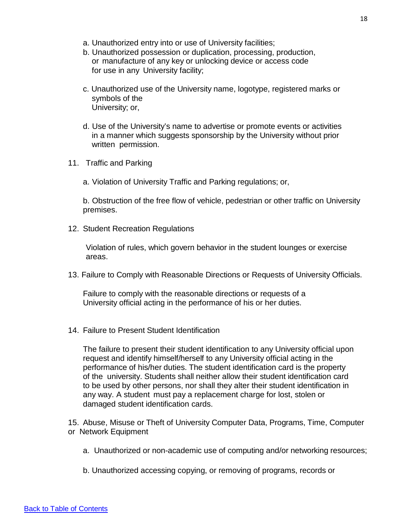- a. Unauthorized entry into or use of University facilities;
- b. Unauthorized possession or duplication, processing, production, or manufacture of any key or unlocking device or access code for use in any University facility;
- c. Unauthorized use of the University name, logotype, registered marks or symbols of the University; or,
- d. Use of the University's name to advertise or promote events or activities in a manner which suggests sponsorship by the University without prior written permission.
- 11. Traffic and Parking
	- a. Violation of University Traffic and Parking regulations; or,

b. Obstruction of the free flow of vehicle, pedestrian or other traffic on University premises.

12. Student Recreation Regulations

Violation of rules, which govern behavior in the student lounges or exercise areas.

13. Failure to Comply with Reasonable Directions or Requests of University Officials.

Failure to comply with the reasonable directions or requests of a University official acting in the performance of his or her duties.

14. Failure to Present Student Identification

The failure to present their student identification to any University official upon request and identify himself/herself to any University official acting in the performance of his/her duties. The student identification card is the property of the university. Students shall neither allow their student identification card to be used by other persons, nor shall they alter their student identification in any way. A student must pay a replacement charge for lost, stolen or damaged student identification cards.

15. Abuse, Misuse or Theft of University Computer Data, Programs, Time, Computer or Network Equipment

- a. Unauthorized or non-academic use of computing and/or networking resources;
- b. Unauthorized accessing copying, or removing of programs, records or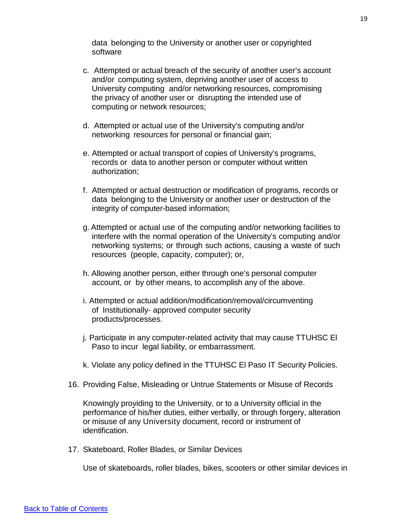data belonging to the University or another user or copyrighted software

- c. Attempted or actual breach of the security of another user's account and/or computing system, depriving another user of access to University computing and/or networking resources, compromising the privacy of another user or disrupting the intended use of computing or network resources;
- d. Attempted or actual use of the University's computing and/or networking resources for personal or financial gain;
- e. Attempted or actual transport of copies of University's programs, records or data to another person or computer without written authorization;
- f. Attempted or actual destruction or modification of programs, records or data belonging to the University or another user or destruction of the integrity of computer-based information;
- g. Attempted or actual use of the computing and/or networking facilities to interfere with the normal operation of the University's computing and/or networking systems; or through such actions, causing a waste of such resources (people, capacity, computer); or,
- h. Allowing another person, either through one's personal computer account, or by other means, to accomplish any of the above.
- i. Attempted or actual addition/modification/removal/circumventing of Institutionally- approved computer security products/processes.
- j. Participate in any computer-related activity that may cause TTUHSC El Paso to incur legal liability, or embarrassment.
- k. Violate any policy defined in the TTUHSC El Paso IT Security Policies.
- 16. Providing False, Misleading or Untrue Statements or Misuse of Records

Knowingly providing to the University, or to a University official in the performance of his/her duties, either verbally, or through forgery, alteration or misuse of any University document, record or instrument of identification.

17. Skateboard, Roller Blades, or Similar Devices

Use of skateboards, roller blades, bikes, scooters or other similar devices in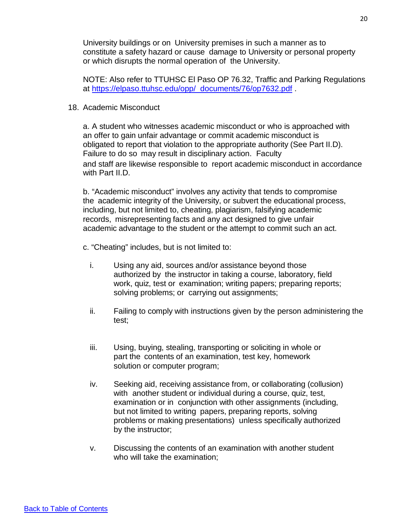University buildings or on University premises in such a manner as to constitute a safety hazard or cause damage to University or personal property or which disrupts the normal operation of the University.

NOTE: Also refer to TTUHSC El Paso OP 76.32, Traffic and Parking Regulations at [https://elpaso.ttuhsc.edu/opp/\\_documents/76/op7632.pdf](https://elpaso.ttuhsc.edu/opp/_documents/76/op7632.pdf) .

#### 18. Academic Misconduct

a. A student who witnesses academic misconduct or who is approached with an offer to gain unfair advantage or commit academic misconduct is obligated to report that violation to the appropriate authority (See Part II.D). Failure to do so may result in disciplinary action. Faculty and staff are likewise responsible to report academic misconduct in accordance with Part II.D.

b. "Academic misconduct" involves any activity that tends to compromise the academic integrity of the University, or subvert the educational process, including, but not limited to, cheating, plagiarism, falsifying academic records, misrepresenting facts and any act designed to give unfair academic advantage to the student or the attempt to commit such an act.

- c. "Cheating" includes, but is not limited to:
	- i. Using any aid, sources and/or assistance beyond those authorized by the instructor in taking a course, laboratory, field work, quiz, test or examination; writing papers; preparing reports; solving problems; or carrying out assignments;
	- ii. Failing to comply with instructions given by the person administering the test;
	- iii. Using, buying, stealing, transporting or soliciting in whole or part the contents of an examination, test key, homework solution or computer program;
	- iv. Seeking aid, receiving assistance from, or collaborating (collusion) with another student or individual during a course, quiz, test, examination or in conjunction with other assignments (including, but not limited to writing papers, preparing reports, solving problems or making presentations) unless specifically authorized by the instructor;
	- v. Discussing the contents of an examination with another student who will take the examination;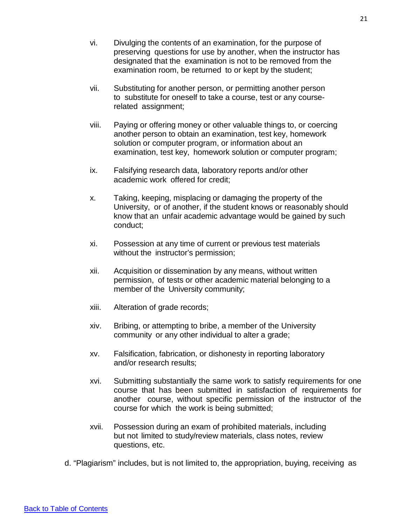- vi. Divulging the contents of an examination, for the purpose of preserving questions for use by another, when the instructor has designated that the examination is not to be removed from the examination room, be returned to or kept by the student;
- vii. Substituting for another person, or permitting another person to substitute for oneself to take a course, test or any courserelated assignment;
- viii. Paying or offering money or other valuable things to, or coercing another person to obtain an examination, test key, homework solution or computer program, or information about an examination, test key, homework solution or computer program;
- ix. Falsifying research data, laboratory reports and/or other academic work offered for credit;
- x. Taking, keeping, misplacing or damaging the property of the University, or of another, if the student knows or reasonably should know that an unfair academic advantage would be gained by such conduct;
- xi. Possession at any time of current or previous test materials without the instructor's permission;
- xii. Acquisition or dissemination by any means, without written permission, of tests or other academic material belonging to a member of the University community;
- xiii. Alteration of grade records;
- xiv. Bribing, or attempting to bribe, a member of the University community or any other individual to alter a grade;
- xv. Falsification, fabrication, or dishonesty in reporting laboratory and/or research results;
- xvi. Submitting substantially the same work to satisfy requirements for one course that has been submitted in satisfaction of requirements for another course, without specific permission of the instructor of the course for which the work is being submitted;
- xvii. Possession during an exam of prohibited materials, including but not limited to study/review materials, class notes, review questions, etc.
- d. "Plagiarism" includes, but is not limited to, the appropriation, buying, receiving as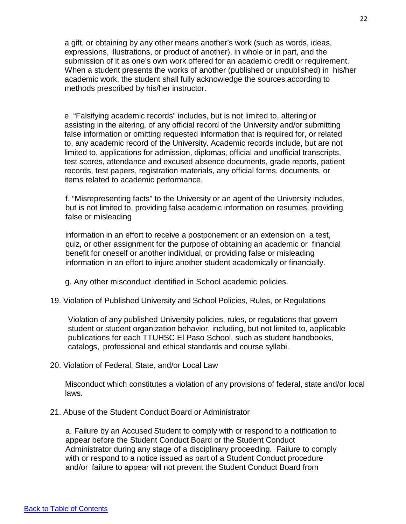a gift, or obtaining by any other means another's work (such as words, ideas, expressions, illustrations, or product of another), in whole or in part, and the submission of it as one's own work offered for an academic credit or requirement. When a student presents the works of another (published or unpublished) in his/her academic work, the student shall fully acknowledge the sources according to methods prescribed by his/her instructor.

e. "Falsifying academic records" includes, but is not limited to, altering or assisting in the altering, of any official record of the University and/or submitting false information or omitting requested information that is required for, or related to, any academic record of the University. Academic records include, but are not limited to, applications for admission, diplomas, official and unofficial transcripts, test scores, attendance and excused absence documents, grade reports, patient records, test papers, registration materials, any official forms, documents, or items related to academic performance.

f. "Misrepresenting facts" to the University or an agent of the University includes, but is not limited to, providing false academic information on resumes, providing false or misleading

information in an effort to receive a postponement or an extension on a test, quiz, or other assignment for the purpose of obtaining an academic or financial benefit for oneself or another individual, or providing false or misleading information in an effort to injure another student academically or financially.

g. Any other misconduct identified in School academic policies.

19. Violation of Published University and School Policies, Rules, or Regulations

Violation of any published University policies, rules, or regulations that govern student or student organization behavior, including, but not limited to, applicable publications for each TTUHSC El Paso School, such as student handbooks, catalogs, professional and ethical standards and course syllabi.

20. Violation of Federal, State, and/or Local Law

Misconduct which constitutes a violation of any provisions of federal, state and/or local laws.

21. Abuse of the Student Conduct Board or Administrator

a. Failure by an Accused Student to comply with or respond to a notification to appear before the Student Conduct Board or the Student Conduct Administrator during any stage of a disciplinary proceeding. Failure to comply with or respond to a notice issued as part of a Student Conduct procedure and/or failure to appear will not prevent the Student Conduct Board from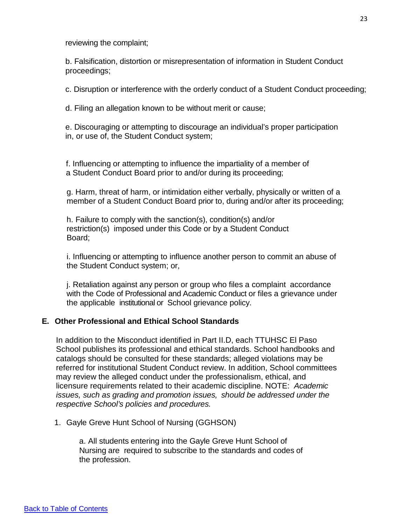reviewing the complaint;

b. Falsification, distortion or misrepresentation of information in Student Conduct proceedings;

c. Disruption or interference with the orderly conduct of a Student Conduct proceeding;

d. Filing an allegation known to be without merit or cause;

e. Discouraging or attempting to discourage an individual's proper participation in, or use of, the Student Conduct system;

f. Influencing or attempting to influence the impartiality of a member of a Student Conduct Board prior to and/or during its proceeding;

g. Harm, threat of harm, or intimidation either verbally, physically or written of a member of a Student Conduct Board prior to, during and/or after its proceeding;

h. Failure to comply with the sanction(s), condition(s) and/or restriction(s) imposed under this Code or by a Student Conduct Board;

i. Influencing or attempting to influence another person to commit an abuse of the Student Conduct system; or,

j. Retaliation against any person or group who files a complaint accordance with the Code of Professional and Academic Conduct or files a grievance under the applicable institutional or School grievance policy.

#### **E. Other Professional and Ethical School Standards**

In addition to the Misconduct identified in Part II.D, each TTUHSC El Paso School publishes its professional and ethical standards. School handbooks and catalogs should be consulted for these standards; alleged violations may be referred for institutional Student Conduct review. In addition, School committees may review the alleged conduct under the professionalism, ethical, and licensure requirements related to their academic discipline. NOTE: *Academic issues, such as grading and promotion issues, should be addressed under the respective School's policies and procedures.*

#### 1. Gayle Greve Hunt School of Nursing (GGHSON)

a. All students entering into the Gayle Greve Hunt School of Nursing are required to subscribe to the standards and codes of the profession.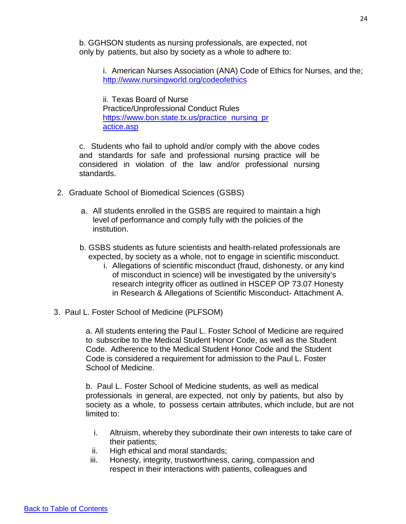b. GGHSON students as nursing professionals, are expected, not only by patients, but also by society as a whole to adhere to:

i. American Nurses Association (ANA) Code of Ethics for Nurses, and the; <http://www.nursingworld.org/codeofethics>

ii. Texas Board of Nurse Practice/Unprofessional Conduct Rules [https://www.bon.state.tx.us/practice\\_nursing\\_pr](https://www.bon.state.tx.us/practice_nursing_practice.asp) [actice.asp](https://www.bon.state.tx.us/practice_nursing_practice.asp)

c. Students who fail to uphold and/or comply with the above codes and standards for safe and professional nursing practice will be considered in violation of the law and/or professional nursing standards.

- 2. Graduate School of Biomedical Sciences (GSBS)
	- a. All students enrolled in the GSBS are required to maintain a high level of performance and comply fully with the policies of the institution.
	- b. GSBS students as future scientists and health-related professionals are expected, by society as a whole, not to engage in scientific misconduct.
		- i. Allegations of scientific misconduct (fraud, dishonesty, or any kind of misconduct in science) will be investigated by the university's research integrity officer as outlined in HSCEP OP 73.07 Honesty in Research & Allegations of Scientific Misconduct- Attachment A.
- 3. Paul L. Foster School of Medicine (PLFSOM)

a. All students entering the Paul L. Foster School of Medicine are required to subscribe to the Medical Student Honor Code, as well as the Student Code. Adherence to the Medical Student Honor Code and the Student Code is considered a requirement for admission to the Paul L. Foster School of Medicine.

b. Paul L. Foster School of Medicine students, as well as medical professionals in general, are expected, not only by patients, but also by society as a whole, to possess certain attributes, which include, but are not limited to:

- i. Altruism, whereby they subordinate their own interests to take care of their patients;
- ii. High ethical and moral standards;
- iii. Honesty, integrity, trustworthiness, caring, compassion and respect in their interactions with patients, colleagues and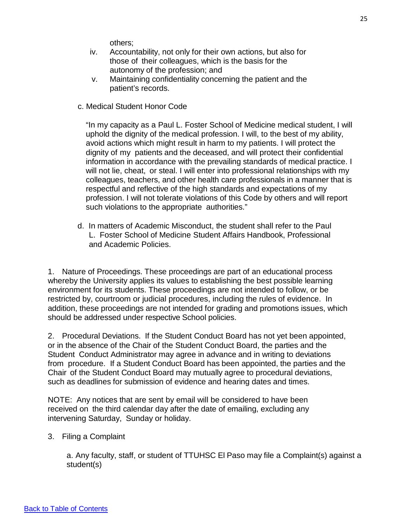others;

- iv. Accountability, not only for their own actions, but also for those of their colleagues, which is the basis for the autonomy of the profession; and
- v. Maintaining confidentiality concerning the patient and the patient's records.
- c. Medical Student Honor Code

"In my capacity as a Paul L. Foster School of Medicine medical student, I will uphold the dignity of the medical profession. I will, to the best of my ability, avoid actions which might result in harm to my patients. I will protect the dignity of my patients and the deceased, and will protect their confidential information in accordance with the prevailing standards of medical practice. I will not lie, cheat, or steal. I will enter into professional relationships with my colleagues, teachers, and other health care professionals in a manner that is respectful and reflective of the high standards and expectations of my profession. I will not tolerate violations of this Code by others and will report such violations to the appropriate authorities."

d. In matters of Academic Misconduct, the student shall refer to the Paul L. Foster School of Medicine Student Affairs Handbook, Professional and Academic Policies.

1. Nature of Proceedings. These proceedings are part of an educational process whereby the University applies its values to establishing the best possible learning environment for its students. These proceedings are not intended to follow, or be restricted by, courtroom or judicial procedures, including the rules of evidence. In addition, these proceedings are not intended for grading and promotions issues, which should be addressed under respective School policies.

2. Procedural Deviations. If the Student Conduct Board has not yet been appointed, or in the absence of the Chair of the Student Conduct Board, the parties and the Student Conduct Administrator may agree in advance and in writing to deviations from procedure. If a Student Conduct Board has been appointed, the parties and the Chair of the Student Conduct Board may mutually agree to procedural deviations, such as deadlines for submission of evidence and hearing dates and times.

NOTE: Any notices that are sent by email will be considered to have been received on the third calendar day after the date of emailing, excluding any intervening Saturday, Sunday or holiday.

3. Filing a Complaint

a. Any faculty, staff, or student of TTUHSC El Paso may file a Complaint(s) against a student(s)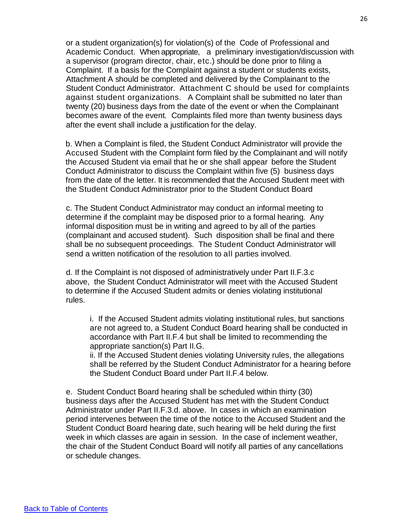or a student organization(s) for violation(s) of the Code of Professional and Academic Conduct. When appropriate, a preliminary investigation/discussion with a supervisor (program director, chair, etc.) should be done prior to filing a Complaint. If a basis for the Complaint against a student or students exists, Attachment A should be completed and delivered by the Complainant to the Student Conduct Administrator. Attachment C should be used for complaints against student organizations. A Complaint shall be submitted no later than twenty (20) business days from the date of the event or when the Complainant becomes aware of the event*.* Complaints filed more than twenty business days after the event shall include a justification for the delay.

b. When a Complaint is filed, the Student Conduct Administrator will provide the Accused Student with the Complaint form filed by the Complainant and will notify the Accused Student via email that he or she shall appear before the Student Conduct Administrator to discuss the Complaint within five (5) business days from the date of the letter. It is recommended that the Accused Student meet with the Student Conduct Administrator prior to the Student Conduct Board

c. The Student Conduct Administrator may conduct an informal meeting to determine if the complaint may be disposed prior to a formal hearing. Any informal disposition must be in writing and agreed to by all of the parties (complainant and accused student). Such disposition shall be final and there shall be no subsequent proceedings. The Student Conduct Administrator will send a written notification of the resolution to all parties involved.

d. If the Complaint is not disposed of administratively under Part II.F.3.c above, the Student Conduct Administrator will meet with the Accused Student to determine if the Accused Student admits or denies violating institutional rules.

i. If the Accused Student admits violating institutional rules, but sanctions are not agreed to, a Student Conduct Board hearing shall be conducted in accordance with Part II.F.4 but shall be limited to recommending the appropriate sanction(s) Part II.G.

ii. If the Accused Student denies violating University rules, the allegations shall be referred by the Student Conduct Administrator for a hearing before the Student Conduct Board under Part II.F.4 below.

e. Student Conduct Board hearing shall be scheduled within thirty (30) business days after the Accused Student has met with the Student Conduct Administrator under Part II.F.3.d. above. In cases in which an examination period intervenes between the time of the notice to the Accused Student and the Student Conduct Board hearing date, such hearing will be held during the first week in which classes are again in session. In the case of inclement weather, the chair of the Student Conduct Board will notify all parties of any cancellations or schedule changes.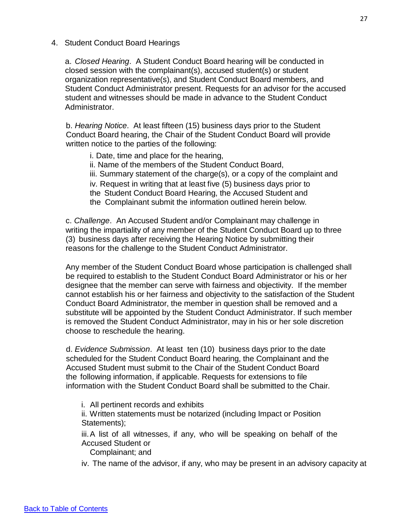4. Student Conduct Board Hearings

a. *Closed Hearing*. A Student Conduct Board hearing will be conducted in closed session with the complainant(s), accused student(s) or student organization representative(s), and Student Conduct Board members, and Student Conduct Administrator present. Requests for an advisor for the accused student and witnesses should be made in advance to the Student Conduct Administrator.

b. *Hearing Notice*. At least fifteen (15) business days prior to the Student Conduct Board hearing, the Chair of the Student Conduct Board will provide written notice to the parties of the following:

i. Date, time and place for the hearing, ii. Name of the members of the Student Conduct Board, iii. Summary statement of the charge(s), or a copy of the complaint and iv. Request in writing that at least five (5) business days prior to the Student Conduct Board Hearing, the Accused Student and the Complainant submit the information outlined herein below.

c. *Challenge*. An Accused Student and/or Complainant may challenge in writing the impartiality of any member of the Student Conduct Board up to three (3) business days after receiving the Hearing Notice by submitting their reasons for the challenge to the Student Conduct Administrator.

Any member of the Student Conduct Board whose participation is challenged shall be required to establish to the Student Conduct Board Administrator or his or her designee that the member can serve with fairness and objectivity. If the member cannot establish his or her fairness and objectivity to the satisfaction of the Student Conduct Board Administrator, the member in question shall be removed and a substitute will be appointed by the Student Conduct Administrator. If such member is removed the Student Conduct Administrator, may in his or her sole discretion choose to reschedule the hearing.

d. *Evidence Submission*. At least ten (10) business days prior to the date scheduled for the Student Conduct Board hearing, the Complainant and the Accused Student must submit to the Chair of the Student Conduct Board the following information, if applicable. Requests for extensions to file information with the Student Conduct Board shall be submitted to the Chair.

i. All pertinent records and exhibits

ii. Written statements must be notarized (including Impact or Position Statements);

iii.A list of all witnesses, if any, who will be speaking on behalf of the Accused Student or

Complainant; and

iv. The name of the advisor, if any, who may be present in an advisory capacity at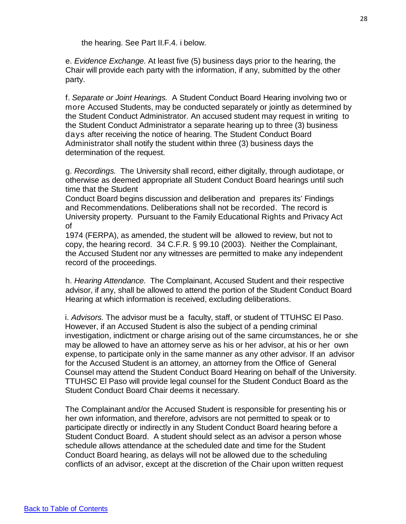the hearing. See Part II.F.4. i below.

e. *Evidence Exchange.* At least five (5) business days prior to the hearing, the Chair will provide each party with the information, if any, submitted by the other party.

f. *Separate or Joint Hearings.* A Student Conduct Board Hearing involving two or more Accused Students, may be conducted separately or jointly as determined by the Student Conduct Administrator. An accused student may request in writing to the Student Conduct Administrator a separate hearing up to three (3) business days after receiving the notice of hearing. The Student Conduct Board Administrator shall notify the student within three (3) business days the determination of the request.

g. *Recordings.* The University shall record, either digitally, through audiotape, or otherwise as deemed appropriate all Student Conduct Board hearings until such time that the Student

Conduct Board begins discussion and deliberation and prepares its' Findings and Recommendations. Deliberations shall not be recorded. The record is University property. Pursuant to the Family Educational Rights and Privacy Act of

1974 (FERPA), as amended, the student will be allowed to review, but not to copy, the hearing record. 34 C.F.R. § 99.10 (2003). Neither the Complainant, the Accused Student nor any witnesses are permitted to make any independent record of the proceedings.

h. *Hearing Attendance.* The Complainant, Accused Student and their respective advisor, if any, shall be allowed to attend the portion of the Student Conduct Board Hearing at which information is received, excluding deliberations.

i. *Advisors.* The advisor must be a faculty, staff, or student of TTUHSC El Paso. However, if an Accused Student is also the subject of a pending criminal investigation, indictment or charge arising out of the same circumstances, he or she may be allowed to have an attorney serve as his or her advisor, at his or her own expense, to participate only in the same manner as any other advisor. If an advisor for the Accused Student is an attorney, an attorney from the Office of General Counsel may attend the Student Conduct Board Hearing on behalf of the University. TTUHSC El Paso will provide legal counsel for the Student Conduct Board as the Student Conduct Board Chair deems it necessary.

The Complainant and/or the Accused Student is responsible for presenting his or her own information, and therefore, advisors are not permitted to speak or to participate directly or indirectly in any Student Conduct Board hearing before a Student Conduct Board. A student should select as an advisor a person whose schedule allows attendance at the scheduled date and time for the Student Conduct Board hearing, as delays will not be allowed due to the scheduling conflicts of an advisor, except at the discretion of the Chair upon written request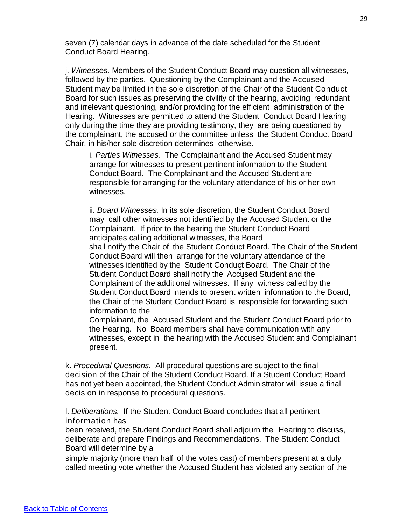seven (7) calendar days in advance of the date scheduled for the Student Conduct Board Hearing.

j. *Witnesses.* Members of the Student Conduct Board may question all witnesses, followed by the parties. Questioning by the Complainant and the Accused Student may be limited in the sole discretion of the Chair of the Student Conduct Board for such issues as preserving the civility of the hearing, avoiding redundant and irrelevant questioning, and/or providing for the efficient administration of the Hearing. Witnesses are permitted to attend the Student Conduct Board Hearing only during the time they are providing testimony, they are being questioned by the complainant, the accused or the committee unless the Student Conduct Board Chair, in his/her sole discretion determines otherwise.

i. *Parties Witnesses.* The Complainant and the Accused Student may arrange for witnesses to present pertinent information to the Student Conduct Board. The Complainant and the Accused Student are responsible for arranging for the voluntary attendance of his or her own witnesses.

ii. *Board Witnesses.* In its sole discretion, the Student Conduct Board may call other witnesses not identified by the Accused Student or the Complainant. If prior to the hearing the Student Conduct Board anticipates calling additional witnesses, the Board shall notify the Chair of the Student Conduct Board. The Chair of the Student Conduct Board will then arrange for the voluntary attendance of the witnesses identified by the Student Conduct Board. The Chair of the Student Conduct Board shall notify the Accused Student and the Complainant of the additional witnesses. If any witness called by the Student Conduct Board intends to present written information to the Board, the Chair of the Student Conduct Board is responsible for forwarding such information to the

Complainant, the Accused Student and the Student Conduct Board prior to the Hearing. No Board members shall have communication with any witnesses, except in the hearing with the Accused Student and Complainant present.

k. *Procedural Questions.* All procedural questions are subject to the final decision of the Chair of the Student Conduct Board. If a Student Conduct Board has not yet been appointed, the Student Conduct Administrator will issue a final decision in response to procedural questions.

l. *Deliberations.* If the Student Conduct Board concludes that all pertinent information has

been received, the Student Conduct Board shall adjourn the Hearing to discuss, deliberate and prepare Findings and Recommendations. The Student Conduct Board will determine by a

simple majority (more than half of the votes cast) of members present at a duly called meeting vote whether the Accused Student has violated any section of the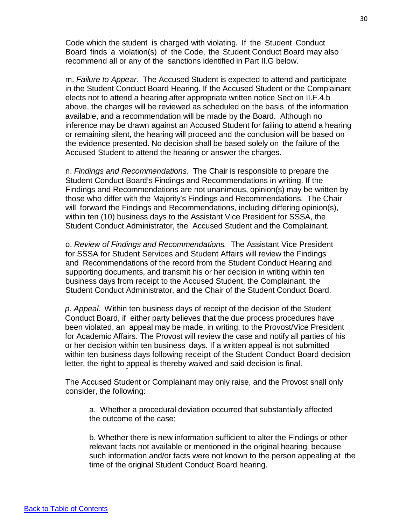Code which the student is charged with violating. If the Student Conduct Board finds a violation(s) of the Code, the Student Conduct Board may also recommend all or any of the sanctions identified in Part II.G below.

m. *Failure to Appear.* The Accused Student is expected to attend and participate in the Student Conduct Board Hearing. If the Accused Student or the Complainant elects not to attend a hearing after appropriate written notice Section II.F.4.b above, the charges will be reviewed as scheduled on the basis of the information available, and a recommendation will be made by the Board. Although no inference may be drawn against an Accused Student for failing to attend a hearing or remaining silent, the hearing will proceed and the conclusion will be based on the evidence presented. No decision shall be based solely on the failure of the Accused Student to attend the hearing or answer the charges.

n. *Findings and Recommendations.* The Chair is responsible to prepare the Student Conduct Board's Findings and Recommendations in writing. If the Findings and Recommendations are not unanimous, opinion(s) may be written by those who differ with the Majority's Findings and Recommendations. The Chair will forward the Findings and Recommendations, including differing opinion(s), within ten (10) business days to the Assistant Vice President for SSSA, the Student Conduct Administrator, the Accused Student and the Complainant.

o. *Review of Findings and Recommendations.* The Assistant Vice President for SSSA for Student Services and Student Affairs will review the Findings and Recommendations of the record from the Student Conduct Hearing and supporting documents, and transmit his or her decision in writing within ten business days from receipt to the Accused Student, the Complainant, the Student Conduct Administrator, and the Chair of the Student Conduct Board.

*p. Appeal*. Within ten business days of receipt of the decision of the Student Conduct Board, if either party believes that the due process procedures have been violated, an appeal may be made, in writing, to the Provost/Vice President for Academic Affairs. The Provost will review the case and notify all parties of his or her decision within ten business days. If a written appeal is not submitted within ten business days following receipt of the Student Conduct Board decision letter, the right to appeal is thereby waived and said decision is final.

The Accused Student or Complainant may only raise, and the Provost shall only consider, the following:

a. Whether a procedural deviation occurred that substantially affected the outcome of the case;

b. Whether there is new information sufficient to alter the Findings or other relevant facts not available or mentioned in the original hearing, because such information and/or facts were not known to the person appealing at the time of the original Student Conduct Board hearing.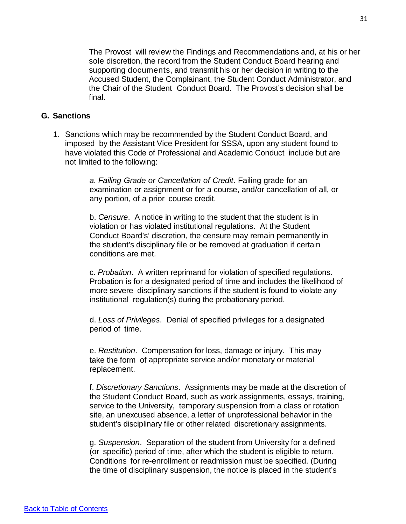The Provost will review the Findings and Recommendations and, at his or her sole discretion, the record from the Student Conduct Board hearing and supporting documents, and transmit his or her decision in writing to the Accused Student, the Complainant, the Student Conduct Administrator, and the Chair of the Student Conduct Board. The Provost's decision shall be final.

#### **G. Sanctions**

1. Sanctions which may be recommended by the Student Conduct Board, and imposed by the Assistant Vice President for SSSA, upon any student found to have violated this Code of Professional and Academic Conduct include but are not limited to the following:

> *a. Failing Grade or Cancellation of Credit*. Failing grade for an examination or assignment or for a course, and/or cancellation of all, or any portion, of a prior course credit.

b. *Censure*. A notice in writing to the student that the student is in violation or has violated institutional regulations. At the Student Conduct Board's' discretion, the censure may remain permanently in the student's disciplinary file or be removed at graduation if certain conditions are met.

c. *Probation*. A written reprimand for violation of specified regulations. Probation is for a designated period of time and includes the likelihood of more severe disciplinary sanctions if the student is found to violate any institutional regulation(s) during the probationary period.

d. *Loss of Privileges*. Denial of specified privileges for a designated period of time.

e. *Restitution*. Compensation for loss, damage or injury. This may take the form of appropriate service and/or monetary or material replacement.

f. *Discretionary Sanctions*. Assignments may be made at the discretion of the Student Conduct Board, such as work assignments, essays, training, service to the University, temporary suspension from a class or rotation site, an unexcused absence, a letter of unprofessional behavior in the student's disciplinary file or other related discretionary assignments.

g. *Suspension*. Separation of the student from University for a defined (or specific) period of time, after which the student is eligible to return. Conditions for re-enrollment or readmission must be specified. (During the time of disciplinary suspension, the notice is placed in the student's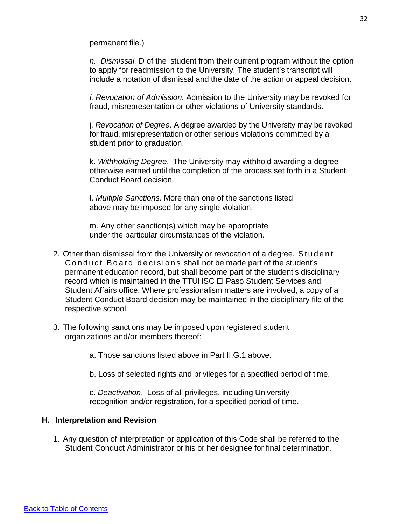permanent file.)

*h. Dismissal.* D of the student from their current program without the option to apply for readmission to the University. The student's transcript will include a notation of dismissal and the date of the action or appeal decision.

*i. Revocation of Admission.* Admission to the University may be revoked for fraud, misrepresentation or other violations of University standards.

j. *Revocation of Degree.* A degree awarded by the University may be revoked for fraud, misrepresentation or other serious violations committed by a student prior to graduation.

k. *Withholding Degree*. The University may withhold awarding a degree otherwise earned until the completion of the process set forth in a Student Conduct Board decision.

l. *Multiple Sanctions*. More than one of the sanctions listed above may be imposed for any single violation.

m. Any other sanction(s) which may be appropriate under the particular circumstances of the violation.

- 2. Other than dismissal from the University or revocation of a degree, Student Conduct Board decisions shall not be made part of the student's permanent education record, but shall become part of the student's disciplinary record which is maintained in the TTUHSC El Paso Student Services and Student Affairs office. Where professionalism matters are involved, a copy of a Student Conduct Board decision may be maintained in the disciplinary file of the respective school.
- 3. The following sanctions may be imposed upon registered student organizations and/or members thereof:

a. Those sanctions listed above in Part II.G.1 above.

b. Loss of selected rights and privileges for a specified period of time.

c. *Deactivation*. Loss of all privileges, including University recognition and/or registration, for a specified period of time.

#### **H. Interpretation and Revision**

1. Any question of interpretation or application of this Code shall be referred to the Student Conduct Administrator or his or her designee for final determination.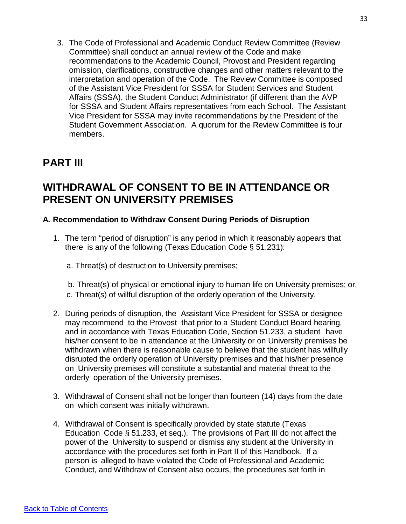3. The Code of Professional and Academic Conduct Review Committee (Review Committee) shall conduct an annual review of the Code and make recommendations to the Academic Council, Provost and President regarding omission, clarifications, constructive changes and other matters relevant to the interpretation and operation of the Code. The Review Committee is composed of the Assistant Vice President for SSSA for Student Services and Student Affairs (SSSA), the Student Conduct Administrator (if different than the AVP for SSSA and Student Affairs representatives from each School. The Assistant Vice President for SSSA may invite recommendations by the President of the Student Government Association. A quorum for the Review Committee is four members.

# **PART III**

# **WITHDRAWAL OF CONSENT TO BE IN ATTENDANCE OR PRESENT ON UNIVERSITY PREMISES**

#### **A. Recommendation to Withdraw Consent During Periods of Disruption**

- 1. The term "period of disruption" is any period in which it reasonably appears that there is any of the following (Texas Education Code § 51.231):
	- a. Threat(s) of destruction to University premises;

b. Threat(s) of physical or emotional injury to human life on University premises; or, c. Threat(s) of willful disruption of the orderly operation of the University.

- 2. During periods of disruption, the Assistant Vice President for SSSA or designee may recommend to the Provost that prior to a Student Conduct Board hearing, and in accordance with Texas Education Code, Section 51.233, a student have his/her consent to be in attendance at the University or on University premises be withdrawn when there is reasonable cause to believe that the student has willfully disrupted the orderly operation of University premises and that his/her presence on University premises will constitute a substantial and material threat to the orderly operation of the University premises.
- 3. Withdrawal of Consent shall not be longer than fourteen (14) days from the date on which consent was initially withdrawn.
- 4. Withdrawal of Consent is specifically provided by state statute (Texas Education Code § 51.233, et seq.). The provisions of Part III do not affect the power of the University to suspend or dismiss any student at the University in accordance with the procedures set forth in Part II of this Handbook. If a person is alleged to have violated the Code of Professional and Academic Conduct, and Withdraw of Consent also occurs, the procedures set forth in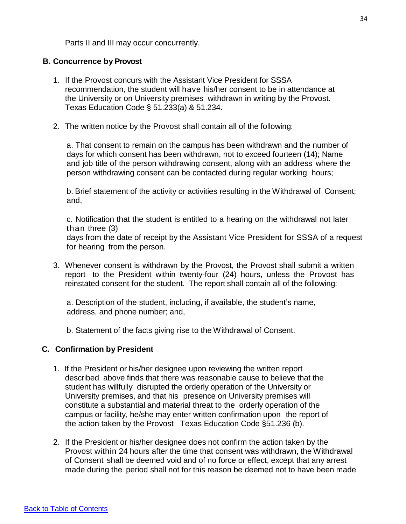Parts II and III may occur concurrently.

#### **B. Concurrence by Provost**

- 1. If the Provost concurs with the Assistant Vice President for SSSA recommendation, the student will have his/her consent to be in attendance at the University or on University premises withdrawn in writing by the Provost. Texas Education Code § 51.233(a) & 51.234.
- 2. The written notice by the Provost shall contain all of the following:

a. That consent to remain on the campus has been withdrawn and the number of days for which consent has been withdrawn, not to exceed fourteen (14); Name and job title of the person withdrawing consent, along with an address where the person withdrawing consent can be contacted during regular working hours;

b. Brief statement of the activity or activities resulting in the Withdrawal of Consent; and,

c. Notification that the student is entitled to a hearing on the withdrawal not later than three (3)

days from the date of receipt by the Assistant Vice President for SSSA of a request for hearing from the person.

3. Whenever consent is withdrawn by the Provost, the Provost shall submit a written report to the President within twenty-four (24) hours, unless the Provost has reinstated consent for the student. The report shall contain all of the following:

a. Description of the student, including, if available, the student's name, address, and phone number; and,

b. Statement of the facts giving rise to the Withdrawal of Consent.

#### **C. Confirmation by President**

- 1. If the President or his/her designee upon reviewing the written report described above finds that there was reasonable cause to believe that the student has willfully disrupted the orderly operation of the University or University premises, and that his presence on University premises will constitute a substantial and material threat to the orderly operation of the campus or facility, he/she may enter written confirmation upon the report of the action taken by the Provost Texas Education Code §51.236 (b).
- 2. If the President or his/her designee does not confirm the action taken by the Provost within 24 hours after the time that consent was withdrawn, the Withdrawal of Consent shall be deemed void and of no force or effect, except that any arrest made during the period shall not for this reason be deemed not to have been made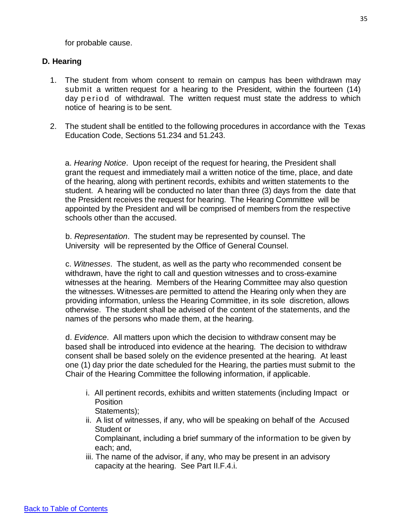for probable cause.

#### **D. Hearing**

- 1. The student from whom consent to remain on campus has been withdrawn may submit a written request for a hearing to the President, within the fourteen (14) day period of withdrawal. The written request must state the address to which notice of hearing is to be sent.
- 2. The student shall be entitled to the following procedures in accordance with the Texas Education Code, Sections 51.234 and 51.243.

a. *Hearing Notice*. Upon receipt of the request for hearing, the President shall grant the request and immediately mail a written notice of the time, place, and date of the hearing, along with pertinent records, exhibits and written statements to the student. A hearing will be conducted no later than three (3) days from the date that the President receives the request for hearing. The Hearing Committee will be appointed by the President and will be comprised of members from the respective schools other than the accused.

b. *Representation*. The student may be represented by counsel. The University will be represented by the Office of General Counsel.

c. *Witnesses*. The student, as well as the party who recommended consent be withdrawn, have the right to call and question witnesses and to cross-examine witnesses at the hearing. Members of the Hearing Committee may also question the witnesses. Witnesses are permitted to attend the Hearing only when they are providing information, unless the Hearing Committee, in its sole discretion, allows otherwise. The student shall be advised of the content of the statements, and the names of the persons who made them, at the hearing.

d. *Evidence*. All matters upon which the decision to withdraw consent may be based shall be introduced into evidence at the hearing. The decision to withdraw consent shall be based solely on the evidence presented at the hearing. At least one (1) day prior the date scheduled for the Hearing, the parties must submit to the Chair of the Hearing Committee the following information, if applicable.

- i. All pertinent records, exhibits and written statements (including Impact or **Position** Statements);
- ii. A list of witnesses, if any, who will be speaking on behalf of the Accused Student or Complainant, including a brief summary of the information to be given by each; and,
- iii. The name of the advisor, if any, who may be present in an advisory capacity at the hearing. See Part II.F.4.i.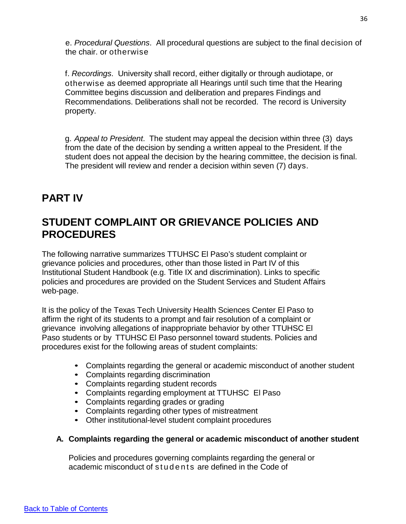e. *Procedural Questions*. All procedural questions are subject to the final decision of the chair. or otherwise

f. *Recordings*. University shall record, either digitally or through audiotape, or otherwise as deemed appropriate all Hearings until such time that the Hearing Committee begins discussion and deliberation and prepares Findings and Recommendations. Deliberations shall not be recorded. The record is University property.

g. *Appeal to President*. The student may appeal the decision within three (3) days from the date of the decision by sending a written appeal to the President. If the student does not appeal the decision by the hearing committee, the decision is final. The president will review and render a decision within seven (7) days.

# **PART IV**

# **STUDENT COMPLAINT OR GRIEVANCE POLICIES AND PROCEDURES**

The following narrative summarizes TTUHSC El Paso's student complaint or grievance policies and procedures, other than those listed in Part IV of this Institutional Student Handbook (e.g. Title IX and discrimination). Links to specific policies and procedures are provided on the Student Services and Student Affairs web-page.

It is the policy of the Texas Tech University Health Sciences Center El Paso to affirm the right of its students to a prompt and fair resolution of a complaint or grievance involving allegations of inappropriate behavior by other TTUHSC El Paso students or by TTUHSC El Paso personnel toward students. Policies and procedures exist for the following areas of student complaints:

- Complaints regarding the general or academic misconduct of another student
- Complaints regarding discrimination
- Complaints regarding student records
- Complaints regarding employment at TTUHSC El Paso
- Complaints regarding grades or grading
- Complaints regarding other types of mistreatment
- Other institutional-level student complaint procedures

#### **A. Complaints regarding the general or academic misconduct of another student**

Policies and procedures governing complaints regarding the general or academic misconduct of students are defined in the Code of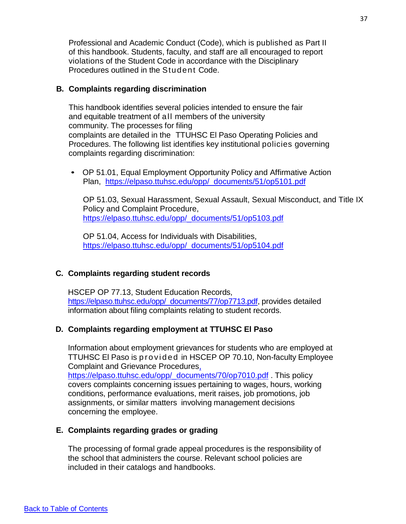Professional and Academic Conduct (Code), which is published as Part II of this handbook. Students, faculty, and staff are all encouraged to report violations of the Student Code in accordance with the Disciplinary Procedures outlined in the Student Code.

### **B. Complaints regarding discrimination**

This handbook identifies several policies intended to ensure the fair and equitable treatment of all members of the university community. The processes for filing complaints are detailed in the TTUHSC El Paso Operating Policies and Procedures. The following list identifies key institutional policies governing complaints regarding discrimination:

• OP 51.01, Equal Employment Opportunity Policy and Affirmative Action Plan, [https://elpaso.ttuhsc.edu/opp/\\_documents/51/op5101.pdf](https://elpaso.ttuhsc.edu/opp/_documents/51/op5101.pdf)

OP 51.03, Sexual Harassment, Sexual Assault, Sexual Misconduct, and Title IX Policy and Complaint Procedure, [https://elpaso.ttuhsc.edu/opp/\\_documents/51/op5103.pdf](https://elpaso.ttuhsc.edu/opp/_documents/51/op5103.pdf)

OP 51.04, Access for Individuals with Disabilities, [https://elpaso.ttuhsc.edu/opp/\\_documents/51/op5104.pdf](https://elpaso.ttuhsc.edu/opp/_documents/51/op5104.pdf)

### **C. Complaints regarding student records**

HSCEP OP 77.13, Student Education Records, [https://elpaso.ttuhsc.edu/opp/\\_documents/77/op7713.pdf,](https://elpaso.ttuhsc.edu/opp/_documents/77/op7713.pdf) provides detailed information about filing complaints relating to student records.

### **D. Complaints regarding employment at TTUHSC El Paso**

Information about employment grievances for students who are employed at TTUHSC El Paso is provided in HSCEP OP 70.10, Non-faculty Employee Complaint and Grievance Procedures,

https://elpaso.ttuhsc.edu/opp/\_documents/70/op7010.pdf . This policy covers complaints concerning issues pertaining to wages, hours, working conditions, performance evaluations, merit raises, job promotions, job assignments, or similar matters involving management decisions concerning the employee.

### **E. Complaints regarding grades or grading**

The processing of formal grade appeal procedures is the responsibility of the school that administers the course. Relevant school policies are included in their catalogs and handbooks.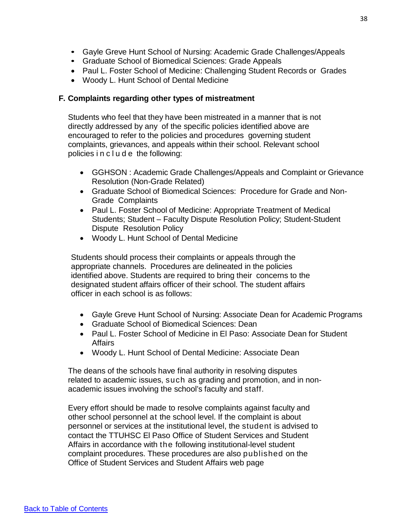- Gayle Greve Hunt School of Nursing: Academic Grade Challenges/Appeals
- Graduate School of Biomedical Sciences: Grade Appeals
- Paul L. Foster School of Medicine: Challenging Student Records or Grades
- Woody L. Hunt School of Dental Medicine

### **F. Complaints regarding other types of mistreatment**

Students who feel that they have been mistreated in a manner that is not directly addressed by any of the specific policies identified above are encouraged to refer to the policies and procedures governing student complaints, grievances, and appeals within their school. Relevant school policies include the following:

- GGHSON : Academic Grade Challenges/Appeals and Complaint or Grievance Resolution (Non-Grade Related)
- Graduate School of Biomedical Sciences: Procedure for Grade and Non-Grade Complaints
- Paul L. Foster School of Medicine: Appropriate Treatment of Medical Students; Student – Faculty Dispute Resolution Policy; Student-Student Dispute Resolution Policy
- Woody L. Hunt School of Dental Medicine

Students should process their complaints or appeals through the appropriate channels. Procedures are delineated in the policies identified above. Students are required to bring their concerns to the designated student affairs officer of their school. The student affairs officer in each school is as follows:

- Gayle Greve Hunt School of Nursing: Associate Dean for Academic Programs
- Graduate School of Biomedical Sciences: Dean
- Paul L. Foster School of Medicine in El Paso: Associate Dean for Student Affairs
- Woody L. Hunt School of Dental Medicine: Associate Dean

The deans of the schools have final authority in resolving disputes related to academic issues, such as grading and promotion, and in nonacademic issues involving the school's faculty and staff.

Every effort should be made to resolve complaints against faculty and other school personnel at the school level. If the complaint is about personnel or services at the institutional level, the student is advised to contact the TTUHSC El Paso Office of Student Services and Student Affairs in accordance with the following institutional-level student complaint procedures. These procedures are also published on the Office of Student Services and Student Affairs web page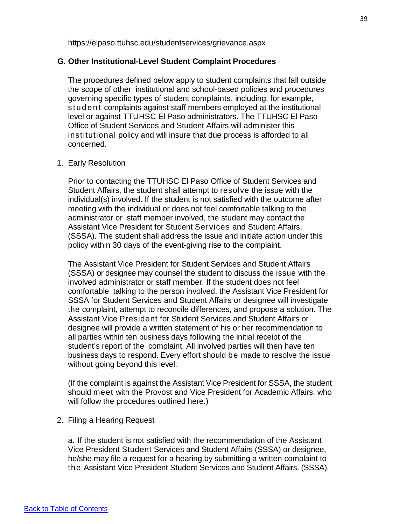https://elpaso.ttuhsc.edu/studentservices/grievance.aspx

### **G. Other Institutional-Level Student Complaint Procedures**

The procedures defined below apply to student complaints that fall outside the scope of other institutional and school-based policies and procedures governing specific types of student complaints, including, for example, student complaints against staff members employed at the institutional level or against TTUHSC El Paso administrators. The TTUHSC El Paso Office of Student Services and Student Affairs will administer this institutional policy and will insure that due process is afforded to all concerned.

#### 1. Early Resolution

Prior to contacting the TTUHSC El Paso Office of Student Services and Student Affairs, the student shall attempt to resolve the issue with the individual(s) involved. If the student is not satisfied with the outcome after meeting with the individual or does not feel comfortable talking to the administrator or staff member involved, the student may contact the Assistant Vice President for Student Services and Student Affairs. (SSSA). The student shall address the issue and initiate action under this policy within 30 days of the event-giving rise to the complaint.

The Assistant Vice President for Student Services and Student Affairs (SSSA) or designee may counsel the student to discuss the issue with the involved administrator or staff member. If the student does not feel comfortable talking to the person involved, the Assistant Vice President for SSSA for Student Services and Student Affairs or designee will investigate the complaint, attempt to reconcile differences, and propose a solution. The Assistant Vice President for Student Services and Student Affairs or designee will provide a written statement of his or her recommendation to all parties within ten business days following the initial receipt of the student's report of the complaint. All involved parties will then have ten business days to respond. Every effort should be made to resolve the issue without going beyond this level.

(If the complaint is against the Assistant Vice President for SSSA, the student should meet with the Provost and Vice President for Academic Affairs, who will follow the procedures outlined here.)

2. Filing a Hearing Request

a. If the student is not satisfied with the recommendation of the Assistant Vice President Student Services and Student Affairs (SSSA) or designee, he/she may file a request for a hearing by submitting a written complaint to the Assistant Vice President Student Services and Student Affairs. (SSSA).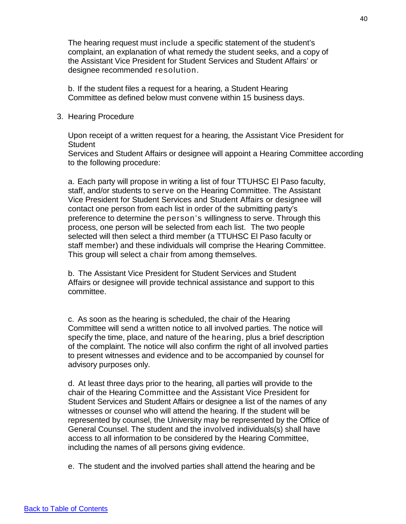The hearing request must include a specific statement of the student's complaint, an explanation of what remedy the student seeks, and a copy of the Assistant Vice President for Student Services and Student Affairs' or designee recommended resolution.

b. If the student files a request for a hearing, a Student Hearing Committee as defined below must convene within 15 business days.

#### 3. Hearing Procedure

Upon receipt of a written request for a hearing, the Assistant Vice President for **Student** 

Services and Student Affairs or designee will appoint a Hearing Committee according to the following procedure:

a. Each party will propose in writing a list of four TTUHSC El Paso faculty, staff, and/or students to serve on the Hearing Committee. The Assistant Vice President for Student Services and Student Affairs or designee will contact one person from each list in order of the submitting party's preference to determine the person's willingness to serve. Through this process, one person will be selected from each list. The two people selected will then select a third member (a TTUHSC El Paso faculty or staff member) and these individuals will comprise the Hearing Committee. This group will select a chair from among themselves.

b. The Assistant Vice President for Student Services and Student Affairs or designee will provide technical assistance and support to this committee.

c. As soon as the hearing is scheduled, the chair of the Hearing Committee will send a written notice to all involved parties. The notice will specify the time, place, and nature of the hearing, plus a brief description of the complaint. The notice will also confirm the right of all involved parties to present witnesses and evidence and to be accompanied by counsel for advisory purposes only.

d. At least three days prior to the hearing, all parties will provide to the chair of the Hearing Committee and the Assistant Vice President for Student Services and Student Affairs or designee a list of the names of any witnesses or counsel who will attend the hearing. If the student will be represented by counsel, the University may be represented by the Office of General Counsel. The student and the involved individuals(s) shall have access to all information to be considered by the Hearing Committee, including the names of all persons giving evidence.

e. The student and the involved parties shall attend the hearing and be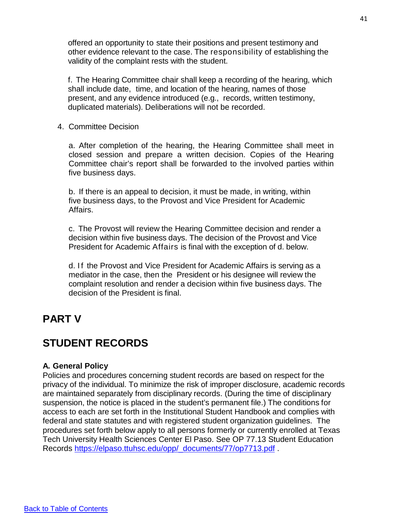offered an opportunity to state their positions and present testimony and other evidence relevant to the case. The responsibility of establishing the validity of the complaint rests with the student.

f. The Hearing Committee chair shall keep a recording of the hearing, which shall include date, time, and location of the hearing, names of those present, and any evidence introduced (e.g., records, written testimony, duplicated materials). Deliberations will not be recorded.

4. Committee Decision

a. After completion of the hearing, the Hearing Committee shall meet in closed session and prepare a written decision. Copies of the Hearing Committee chair's report shall be forwarded to the involved parties within five business days.

b. If there is an appeal to decision, it must be made, in writing, within five business days, to the Provost and Vice President for Academic Affairs.

c. The Provost will review the Hearing Committee decision and render a decision within five business days. The decision of the Provost and Vice President for Academic Affairs is final with the exception of d. below.

d. If the Provost and Vice President for Academic Affairs is serving as a mediator in the case, then the President or his designee will review the complaint resolution and render a decision within five business days. The decision of the President is final.

## **PART V**

# **STUDENT RECORDS**

### **A. General Policy**

Policies and procedures concerning student records are based on respect for the privacy of the individual. To minimize the risk of improper disclosure, academic records are maintained separately from disciplinary records. (During the time of disciplinary suspension, the notice is placed in the student's permanent file.) The conditions for access to each are set forth in the Institutional Student Handbook and complies with federal and state statutes and with registered student organization guidelines. The procedures set forth below apply to all persons formerly or currently enrolled at Texas Tech University Health Sciences Center El Paso. See OP 77.13 Student Education Records [https://elpaso.ttuhsc.edu/opp/\\_documents/77/op7713.pdf](https://elpaso.ttuhsc.edu/opp/_documents/77/op7713.pdf) .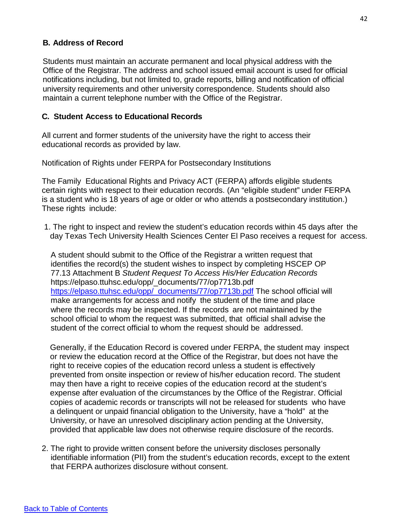### **B. Address of Record**

Students must maintain an accurate permanent and local physical address with the Office of the Registrar. The address and school issued email account is used for official notifications including, but not limited to, grade reports, billing and notification of official university requirements and other university correspondence. Students should also maintain a current telephone number with the Office of the Registrar.

### **C. Student Access to Educational Records**

All current and former students of the university have the right to access their educational records as provided by law.

Notification of Rights under FERPA for Postsecondary Institutions

The Family Educational Rights and Privacy ACT (FERPA) affords eligible students certain rights with respect to their education records. (An "eligible student" under FERPA is a student who is 18 years of age or older or who attends a postsecondary institution.) These rights include:

1. The right to inspect and review the student's education records within 45 days after the day Texas Tech University Health Sciences Center El Paso receives a request for access.

A student should submit to the Office of the Registrar a written request that identifies the record(s) the student wishes to inspect by completing HSCEP OP 77.13 Attachment B *Student Request To Access His/Her Education Records* https://elpaso.ttuhsc.edu/opp/\_documents/77/op7713b.pdf [https://elpaso.ttuhsc.edu/opp/\\_documents/77/op7713b.pdf](https://elpaso.ttuhsc.edu/opp/_documents/77/op7713b.pdf) The school official will make arrangements for access and notify the student of the time and place where the records may be inspected. If the records are not maintained by the school official to whom the request was submitted, that official shall advise the student of the correct official to whom the request should be addressed.

Generally, if the Education Record is covered under FERPA, the student may inspect or review the education record at the Office of the Registrar, but does not have the right to receive copies of the education record unless a student is effectively prevented from onsite inspection or review of his/her education record. The student may then have a right to receive copies of the education record at the student's expense after evaluation of the circumstances by the Office of the Registrar. Official copies of academic records or transcripts will not be released for students who have a delinquent or unpaid financial obligation to the University, have a "hold" at the University, or have an unresolved disciplinary action pending at the University, provided that applicable law does not otherwise require disclosure of the records.

2. The right to provide written consent before the university discloses personally identifiable information (PII) from the student's education records, except to the extent that FERPA authorizes disclosure without consent.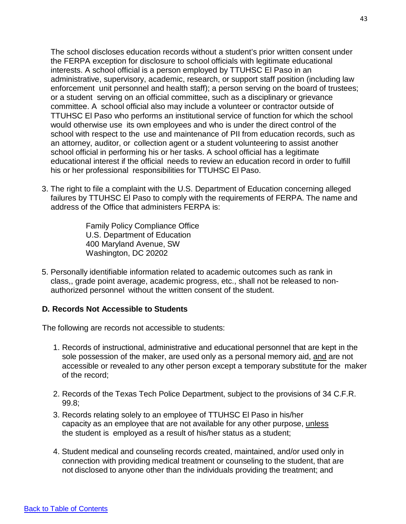The school discloses education records without a student's prior written consent under the FERPA exception for disclosure to school officials with legitimate educational interests. A school official is a person employed by TTUHSC El Paso in an administrative, supervisory, academic, research, or support staff position (including law enforcement unit personnel and health staff); a person serving on the board of trustees; or a student serving on an official committee, such as a disciplinary or grievance committee. A school official also may include a volunteer or contractor outside of TTUHSC El Paso who performs an institutional service of function for which the school would otherwise use its own employees and who is under the direct control of the school with respect to the use and maintenance of PII from education records, such as an attorney, auditor, or collection agent or a student volunteering to assist another school official in performing his or her tasks. A school official has a legitimate educational interest if the official needs to review an education record in order to fulfill his or her professional responsibilities for TTUHSC El Paso.

3. The right to file a complaint with the U.S. Department of Education concerning alleged failures by TTUHSC El Paso to comply with the requirements of FERPA. The name and address of the Office that administers FERPA is:

> Family Policy Compliance Office U.S. Department of Education 400 Maryland Avenue, SW Washington, DC 20202

5. Personally identifiable information related to academic outcomes such as rank in class,, grade point average, academic progress, etc., shall not be released to nonauthorized personnel without the written consent of the student.

### **D. Records Not Accessible to Students**

The following are records not accessible to students:

- 1. Records of instructional, administrative and educational personnel that are kept in the sole possession of the maker, are used only as a personal memory aid, and are not accessible or revealed to any other person except a temporary substitute for the maker of the record;
- 2. Records of the Texas Tech Police Department, subject to the provisions of 34 C.F.R. 99.8;
- 3. Records relating solely to an employee of TTUHSC El Paso in his/her capacity as an employee that are not available for any other purpose, unless the student is employed as a result of his/her status as a student;
- 4. Student medical and counseling records created, maintained, and/or used only in connection with providing medical treatment or counseling to the student, that are not disclosed to anyone other than the individuals providing the treatment; and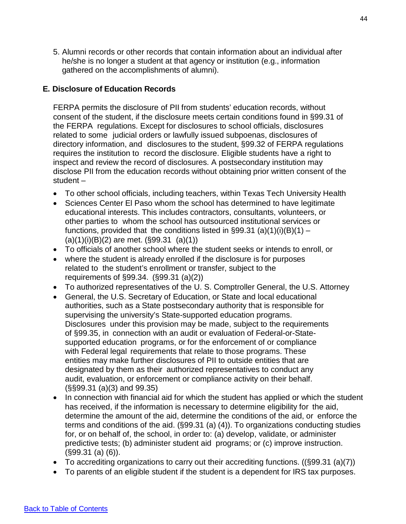5. Alumni records or other records that contain information about an individual after he/she is no longer a student at that agency or institution (e.g., information gathered on the accomplishments of alumni).

### **E. Disclosure of Education Records**

FERPA permits the disclosure of PII from students' education records, without consent of the student, if the disclosure meets certain conditions found in §99.31 of the FERPA regulations. Except for disclosures to school officials, disclosures related to some judicial orders or lawfully issued subpoenas, disclosures of directory information, and disclosures to the student, §99.32 of FERPA regulations requires the institution to record the disclosure. Eligible students have a right to inspect and review the record of disclosures. A postsecondary institution may disclose PII from the education records without obtaining prior written consent of the student –

- To other school officials, including teachers, within Texas Tech University Health
- Sciences Center El Paso whom the school has determined to have legitimate educational interests. This includes contractors, consultants, volunteers, or other parties to whom the school has outsourced institutional services or functions, provided that the conditions listed in  $\S 99.31$  (a)(1)(i)(B)(1) –  $(a)(1)(i)(B)(2)$  are met. (§99.31  $(a)(1))$ )
- To officials of another school where the student seeks or intends to enroll, or
- where the student is already enrolled if the disclosure is for purposes related to the student's enrollment or transfer, subject to the requirements of §99.34. (§99.31 (a)(2))
- To authorized representatives of the U. S. Comptroller General, the U.S. Attorney
- General, the U.S. Secretary of Education, or State and local educational authorities, such as a State postsecondary authority that is responsible for supervising the university's State-supported education programs. Disclosures under this provision may be made, subject to the requirements of §99.35, in connection with an audit or evaluation of Federal-or-Statesupported education programs, or for the enforcement of or compliance with Federal legal requirements that relate to those programs. These entities may make further disclosures of PII to outside entities that are designated by them as their authorized representatives to conduct any audit, evaluation, or enforcement or compliance activity on their behalf. (§§99.31 (a)(3) and 99.35)
- In connection with financial aid for which the student has applied or which the student has received, if the information is necessary to determine eligibility for the aid, determine the amount of the aid, determine the conditions of the aid, or enforce the terms and conditions of the aid. (§99.31 (a) (4)). To organizations conducting studies for, or on behalf of, the school, in order to: (a) develop, validate, or administer predictive tests; (b) administer student aid programs; or (c) improve instruction. (§99.31 (a) (6)).
- To accrediting organizations to carry out their accrediting functions. ((§99.31 (a)(7))
- To parents of an eligible student if the student is a dependent for IRS tax purposes.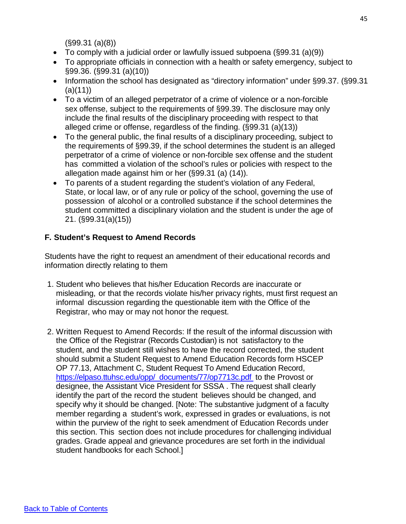(§99.31 (a)(8))

- To comply with a judicial order or lawfully issued subpoena (§99.31 (a)(9))
- To appropriate officials in connection with a health or safety emergency, subject to §99.36. (§99.31 (a)(10))
- Information the school has designated as "directory information" under §99.37. (§99.31  $(a)(11)$
- To a victim of an alleged perpetrator of a crime of violence or a non-forcible sex offense, subject to the requirements of §99.39. The disclosure may only include the final results of the disciplinary proceeding with respect to that alleged crime or offense, regardless of the finding. (§99.31 (a)(13))
- To the general public, the final results of a disciplinary proceeding, subject to the requirements of §99.39, if the school determines the student is an alleged perpetrator of a crime of violence or non-forcible sex offense and the student has committed a violation of the school's rules or policies with respect to the allegation made against him or her (§99.31 (a) (14)).
- To parents of a student regarding the student's violation of any Federal, State, or local law, or of any rule or policy of the school, governing the use of possession of alcohol or a controlled substance if the school determines the student committed a disciplinary violation and the student is under the age of 21. (§99.31(a)(15))

### **F. Student's Request to Amend Records**

Students have the right to request an amendment of their educational records and information directly relating to them

- 1. Student who believes that his/her Education Records are inaccurate or misleading, or that the records violate his/her privacy rights, must first request an informal discussion regarding the questionable item with the Office of the Registrar, who may or may not honor the request.
- 2. Written Request to Amend Records: If the result of the informal discussion with the Office of the Registrar (Records Custodian) is not satisfactory to the student, and the student still wishes to have the record corrected, the student should submit a Student Request to Amend Education Records form HSCEP OP 77.13, Attachment C, Student Request To Amend Education Record, [https://elpaso.ttuhsc.edu/opp/\\_documents/77/op7713c.pdf](https://elpaso.ttuhsc.edu/opp/_documents/77/op7713c.pdf) to the Provost or designee, the Assistant Vice President for SSSA . The request shall clearly identify the part of the record the student believes should be changed, and specify why it should be changed. [Note: The substantive judgment of a faculty member regarding a student's work, expressed in grades or evaluations, is not within the purview of the right to seek amendment of Education Records under this section. This section does not include procedures for challenging individual grades. Grade appeal and grievance procedures are set forth in the individual student handbooks for each School.]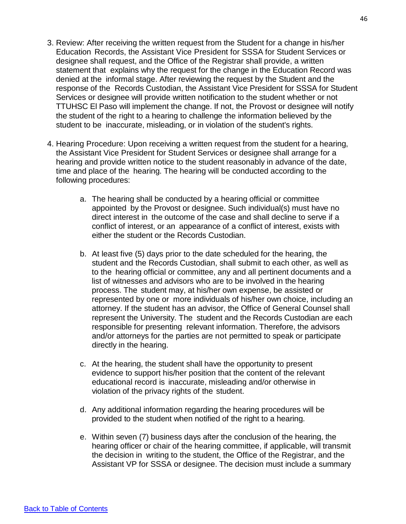- 3. Review: After receiving the written request from the Student for a change in his/her Education Records, the Assistant Vice President for SSSA for Student Services or designee shall request, and the Office of the Registrar shall provide, a written statement that explains why the request for the change in the Education Record was denied at the informal stage. After reviewing the request by the Student and the response of the Records Custodian, the Assistant Vice President for SSSA for Student Services or designee will provide written notification to the student whether or not TTUHSC El Paso will implement the change. If not, the Provost or designee will notify the student of the right to a hearing to challenge the information believed by the student to be inaccurate, misleading, or in violation of the student's rights.
- 4. Hearing Procedure: Upon receiving a written request from the student for a hearing, the Assistant Vice President for Student Services or designee shall arrange for a hearing and provide written notice to the student reasonably in advance of the date, time and place of the hearing. The hearing will be conducted according to the following procedures:
	- a. The hearing shall be conducted by a hearing official or committee appointed by the Provost or designee. Such individual(s) must have no direct interest in the outcome of the case and shall decline to serve if a conflict of interest, or an appearance of a conflict of interest, exists with either the student or the Records Custodian.
	- b. At least five (5) days prior to the date scheduled for the hearing, the student and the Records Custodian, shall submit to each other, as well as to the hearing official or committee, any and all pertinent documents and a list of witnesses and advisors who are to be involved in the hearing process. The student may, at his/her own expense, be assisted or represented by one or more individuals of his/her own choice, including an attorney. If the student has an advisor, the Office of General Counsel shall represent the University. The student and the Records Custodian are each responsible for presenting relevant information. Therefore, the advisors and/or attorneys for the parties are not permitted to speak or participate directly in the hearing.
	- c. At the hearing, the student shall have the opportunity to present evidence to support his/her position that the content of the relevant educational record is inaccurate, misleading and/or otherwise in violation of the privacy rights of the student.
	- d. Any additional information regarding the hearing procedures will be provided to the student when notified of the right to a hearing.
	- e. Within seven (7) business days after the conclusion of the hearing, the hearing officer or chair of the hearing committee, if applicable, will transmit the decision in writing to the student, the Office of the Registrar, and the Assistant VP for SSSA or designee. The decision must include a summary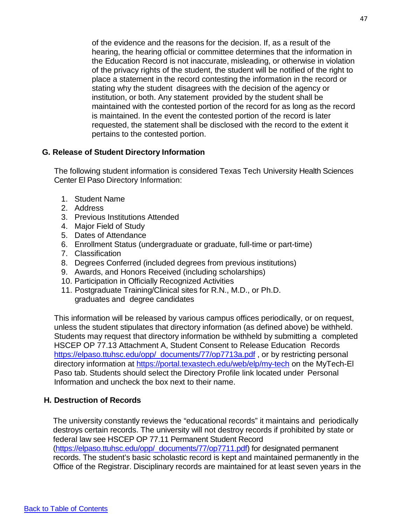of the evidence and the reasons for the decision. If, as a result of the hearing, the hearing official or committee determines that the information in the Education Record is not inaccurate, misleading, or otherwise in violation of the privacy rights of the student, the student will be notified of the right to place a statement in the record contesting the information in the record or stating why the student disagrees with the decision of the agency or institution, or both. Any statement provided by the student shall be maintained with the contested portion of the record for as long as the record is maintained. In the event the contested portion of the record is later requested, the statement shall be disclosed with the record to the extent it pertains to the contested portion.

### **G. Release of Student Directory Information**

The following student information is considered Texas Tech University Health Sciences Center El Paso Directory Information:

- 1. Student Name
- 2. Address
- 3. Previous Institutions Attended
- 4. Major Field of Study
- 5. Dates of Attendance
- 6. Enrollment Status (undergraduate or graduate, full-time or part-time)
- 7. Classification
- 8. Degrees Conferred (included degrees from previous institutions)
- 9. Awards, and Honors Received (including scholarships)
- 10. Participation in Officially Recognized Activities
- 11. Postgraduate Training/Clinical sites for R.N., M.D., or Ph.D. graduates and degree candidates

This information will be released by various campus offices periodically, or on request, unless the student stipulates that directory information (as defined above) be withheld. Students may request that directory information be withheld by submitting a completed HSCEP OP 77.13 Attachment A, Student Consent to Release Education Records [https://elpaso.ttuhsc.edu/opp/\\_documents/77/op7713a.pdf](https://elpaso.ttuhsc.edu/opp/_documents/77/op7713a.pdf), or by restricting personal directory information at<https://portal.texastech.edu/web/elp/my-tech> on the MyTech-El Paso tab. Students should select the Directory Profile link located under Personal Information and uncheck the box next to their name.

### **H. Destruction of Records**

The university constantly reviews the "educational records" it maintains and periodically destroys certain records. The university will not destroy records if prohibited by state or federal law see HSCEP OP 77.11 Permanent Student Record [\(https://elpaso.ttuhsc.edu/opp/\\_documents/77/op7711.pdf\)](https://elpaso.ttuhsc.edu/opp/_documents/77/op7711.pdf) for designated permanent records. The student's basic scholastic record is kept and maintained permanently in the Office of the Registrar. Disciplinary records are maintained for at least seven years in the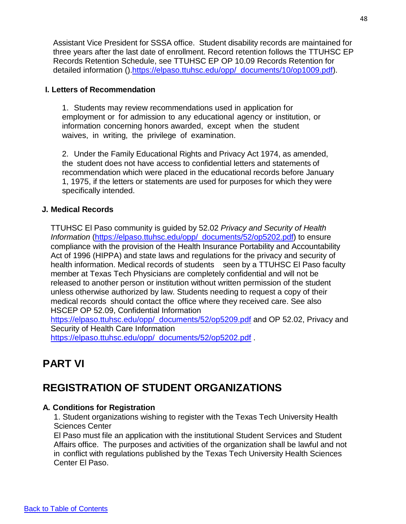Assistant Vice President for SSSA office. Student disability records are maintained for three years after the last date of enrollment. Record retention follows the TTUHSC EP Records Retention Schedule, see TTUHSC EP OP 10.09 Records Retention for detailed information ()[.https://elpaso.ttuhsc.edu/opp/\\_documents/10/op1009.pdf\)](https://elpaso.ttuhsc.edu/opp/_documents/10/op1009.pdf).

### **I. Letters of Recommendation**

1. Students may review recommendations used in application for employment or for admission to any educational agency or institution, or information concerning honors awarded, except when the student waives, in writing, the privilege of examination.

2. Under the Family Educational Rights and Privacy Act 1974, as amended, the student does not have access to confidential letters and statements of recommendation which were placed in the educational records before January 1, 1975, if the letters or statements are used for purposes for which they were specifically intended.

### **J. Medical Records**

TTUHSC El Paso community is guided by 52.02 *Privacy and Security of Health Information [\(https://elpaso.ttuhsc.edu/opp/\\_documents/52/op5202.pdf\)](https://elpaso.ttuhsc.edu/opp/_documents/52/op5202.pdf)* to ensure compliance with the provision of the Health Insurance Portability and Accountability Act of 1996 (HIPPA) and state laws and regulations for the privacy and security of health information. Medical records of students seen by a TTUHSC El Paso faculty member at Texas Tech Physicians are completely confidential and will not be released to another person or institution without written permission of the student unless otherwise authorized by law. Students needing to request a copy of their medical records should contact the office where they received care. See also HSCEP OP 52.09, Confidential Information

[https://elpaso.ttuhsc.edu/opp/\\_documents/52/op5209.pdf](https://elpaso.ttuhsc.edu/opp/_documents/52/op5209.pdf) and OP 52.02, Privacy and Security of Health Care Information [https://elpaso.ttuhsc.edu/opp/\\_documents/52/op5202.pdf](https://elpaso.ttuhsc.edu/opp/_documents/52/op5202.pdf) .

## **PART VI**

# **REGISTRATION OF STUDENT ORGANIZATIONS**

### **A. Conditions for Registration**

1. Student organizations wishing to register with the Texas Tech University Health Sciences Center

El Paso must file an application with the institutional Student Services and Student Affairs office. The purposes and activities of the organization shall be lawful and not in conflict with regulations published by the Texas Tech University Health Sciences Center El Paso.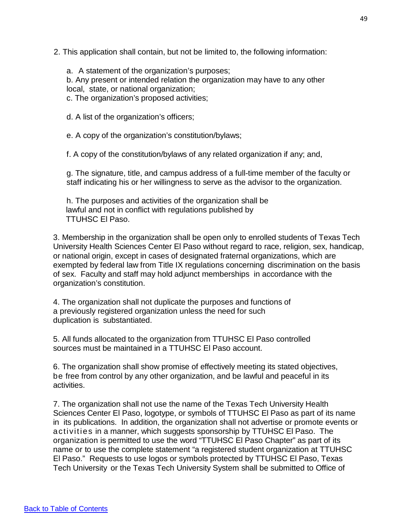2. This application shall contain, but not be limited to, the following information:

a. A statement of the organization's purposes;

b. Any present or intended relation the organization may have to any other local, state, or national organization;

c. The organization's proposed activities;

d. A list of the organization's officers;

e. A copy of the organization's constitution/bylaws;

f. A copy of the constitution/bylaws of any related organization if any; and,

g. The signature, title, and campus address of a full-time member of the faculty or staff indicating his or her willingness to serve as the advisor to the organization.

h. The purposes and activities of the organization shall be lawful and not in conflict with regulations published by TTUHSC El Paso.

3. Membership in the organization shall be open only to enrolled students of Texas Tech University Health Sciences Center El Paso without regard to race, religion, sex, handicap, or national origin, except in cases of designated fraternal organizations, which are exempted by federal law from Title IX regulations concerning discrimination on the basis of sex. Faculty and staff may hold adjunct memberships in accordance with the organization's constitution.

4. The organization shall not duplicate the purposes and functions of a previously registered organization unless the need for such duplication is substantiated.

5. All funds allocated to the organization from TTUHSC El Paso controlled sources must be maintained in a TTUHSC El Paso account.

6. The organization shall show promise of effectively meeting its stated objectives, be free from control by any other organization, and be lawful and peaceful in its activities.

7. The organization shall not use the name of the Texas Tech University Health Sciences Center El Paso, logotype, or symbols of TTUHSC El Paso as part of its name in its publications. In addition, the organization shall not advertise or promote events or activities in a manner, which suggests sponsorship by TTUHSC El Paso. The organization is permitted to use the word "TTUHSC El Paso Chapter" as part of its name or to use the complete statement "a registered student organization at TTUHSC El Paso." Requests to use logos or symbols protected by TTUHSC El Paso, Texas Tech University or the Texas Tech University System shall be submitted to Office of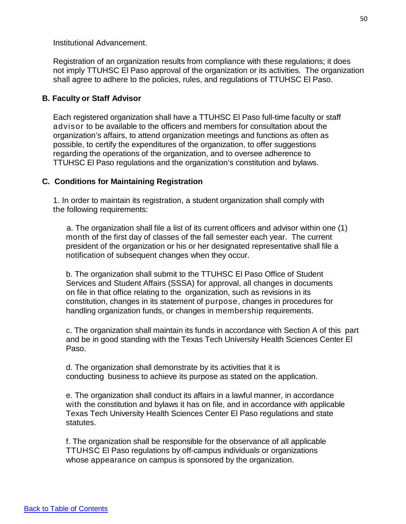Institutional Advancement.

Registration of an organization results from compliance with these regulations; it does not imply TTUHSC El Paso approval of the organization or its activities. The organization shall agree to adhere to the policies, rules, and regulations of TTUHSC El Paso.

### **B. Faculty or Staff Advisor**

Each registered organization shall have a TTUHSC El Paso full-time faculty or staff advisor to be available to the officers and members for consultation about the organization's affairs, to attend organization meetings and functions as often as possible, to certify the expenditures of the organization, to offer suggestions regarding the operations of the organization, and to oversee adherence to TTUHSC El Paso regulations and the organization's constitution and bylaws.

### **C. Conditions for Maintaining Registration**

1. In order to maintain its registration, a student organization shall comply with the following requirements:

a. The organization shall file a list of its current officers and advisor within one (1) month of the first day of classes of the fall semester each year. The current president of the organization or his or her designated representative shall file a notification of subsequent changes when they occur.

b. The organization shall submit to the TTUHSC El Paso Office of Student Services and Student Affairs (SSSA) for approval, all changes in documents on file in that office relating to the organization, such as revisions in its constitution, changes in its statement of purpose, changes in procedures for handling organization funds, or changes in membership requirements.

c. The organization shall maintain its funds in accordance with Section A of this part and be in good standing with the Texas Tech University Health Sciences Center El Paso.

d. The organization shall demonstrate by its activities that it is conducting business to achieve its purpose as stated on the application.

e. The organization shall conduct its affairs in a lawful manner, in accordance with the constitution and bylaws it has on file, and in accordance with applicable Texas Tech University Health Sciences Center El Paso regulations and state statutes.

f. The organization shall be responsible for the observance of all applicable TTUHSC El Paso regulations by off-campus individuals or organizations whose appearance on campus is sponsored by the organization.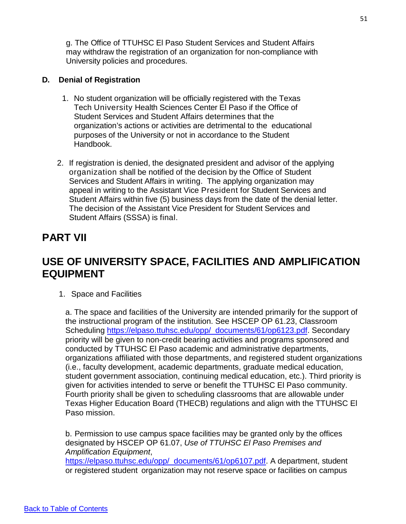g. The Office of TTUHSC El Paso Student Services and Student Affairs may withdraw the registration of an organization for non-compliance with University policies and procedures.

### **D. Denial of Registration**

- 1. No student organization will be officially registered with the Texas Tech University Health Sciences Center El Paso if the Office of Student Services and Student Affairs determines that the organization's actions or activities are detrimental to the educational purposes of the University or not in accordance to the Student Handbook.
- 2. If registration is denied, the designated president and advisor of the applying organization shall be notified of the decision by the Office of Student Services and Student Affairs in writing. The applying organization may appeal in writing to the Assistant Vice President for Student Services and Student Affairs within five (5) business days from the date of the denial letter. The decision of the Assistant Vice President for Student Services and Student Affairs (SSSA) is final.

### **PART VII**

## **USE OF UNIVERSITY SPACE, FACILITIES AND AMPLIFICATION EQUIPMENT**

1. Space and Facilities

a. The space and facilities of the University are intended primarily for the support of the instructional program of the institution. See HSCEP OP 61.23, Classroom Scheduling [https://elpaso.ttuhsc.edu/opp/\\_documents/61/op6123.pdf.](https://elpaso.ttuhsc.edu/opp/_documents/61/op6123.pdf) Secondary priority will be given to non-credit bearing activities and programs sponsored and conducted by TTUHSC El Paso academic and administrative departments, organizations affiliated with those departments, and registered student organizations (i.e., faculty development, academic departments, graduate medical education, student government association, continuing medical education, etc.). Third priority is given for activities intended to serve or benefit the TTUHSC El Paso community. Fourth priority shall be given to scheduling classrooms that are allowable under Texas Higher Education Board (THECB) regulations and align with the TTUHSC El Paso mission.

b. Permission to use campus space facilities may be granted only by the offices designated by HSCEP OP 61.07, *Use of TTUHSC El Paso Premises and Amplification Equipment*, [https://elpaso.ttuhsc.edu/opp/\\_documents/61/op6107.pdf.](https://elpaso.ttuhsc.edu/opp/_documents/61/op6107.pdf) A department, student

or registered student organization may not reserve space or facilities on campus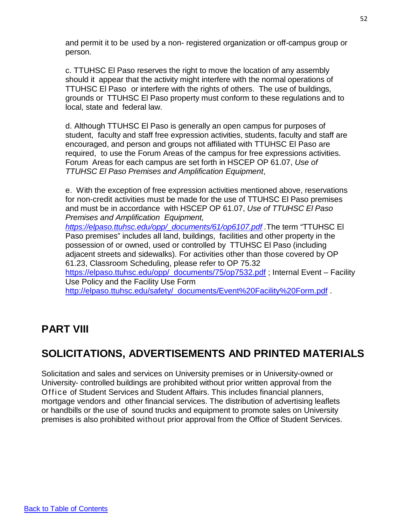and permit it to be used by a non- registered organization or off-campus group or person.

c. TTUHSC El Paso reserves the right to move the location of any assembly should it appear that the activity might interfere with the normal operations of TTUHSC El Paso or interfere with the rights of others. The use of buildings, grounds or TTUHSC El Paso property must conform to these regulations and to local, state and federal law.

d. Although TTUHSC El Paso is generally an open campus for purposes of student, faculty and staff free expression activities, students, faculty and staff are encouraged, and person and groups not affiliated with TTUHSC El Paso are required, to use the Forum Areas of the campus for free expressions activities. Forum Areas for each campus are set forth in HSCEP OP 61.07, *Use of TTUHSC El Paso Premises and Amplification Equipment*,

e. With the exception of free expression activities mentioned above, reservations for non-credit activities must be made for the use of TTUHSC El Paso premises and must be in accordance with HSCEP OP 61.07, *Use of TTUHSC El Paso Premises and Amplification Equipment,*

*[https://elpaso.ttuhsc.edu/opp/\\_documents/61/op6107.pdf](https://elpaso.ttuhsc.edu/opp/_documents/61/op6107.pdf) .*The term "TTUHSC El Paso premises" includes all land, buildings, facilities and other property in the possession of or owned, used or controlled by TTUHSC El Paso (including adjacent streets and sidewalks). For activities other than those covered by OP 61.23, Classroom Scheduling, please refer to OP 75.32

[https://elpaso.ttuhsc.edu/opp/\\_documents/75/op7532.pdf](https://elpaso.ttuhsc.edu/opp/_documents/75/op7532.pdf); Internal Event – Facility Use Policy and the Facility Use Form

[http://elpaso.ttuhsc.edu/safety/\\_documents/Event%20Facility%20Form.pdf](http://elpaso.ttuhsc.edu/safety/_documents/Event%20Facility%20Form.pdf)

## **PART VIII**

# **SOLICITATIONS, ADVERTISEMENTS AND PRINTED MATERIALS**

Solicitation and sales and services on University premises or in University-owned or University- controlled buildings are prohibited without prior written approval from the Office of Student Services and Student Affairs. This includes financial planners, mortgage vendors and other financial services. The distribution of advertising leaflets or handbills or the use of sound trucks and equipment to promote sales on University premises is also prohibited without prior approval from the Office of Student Services.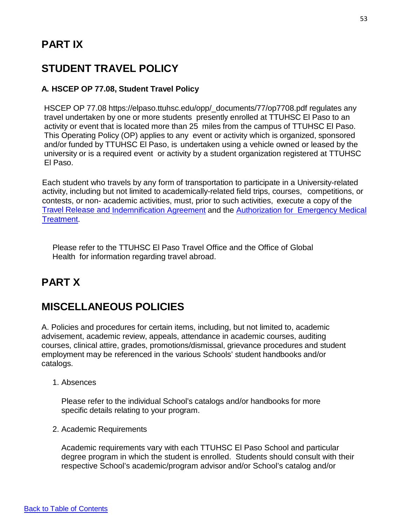# **PART IX**

# **STUDENT TRAVEL POLICY**

### **A. HSCEP OP 77.08, Student Travel Policy**

HSCEP OP 77.08 https://elpaso.ttuhsc.edu/opp/\_documents/77/op7708.pdf regulates any travel undertaken by one or more students presently enrolled at TTUHSC El Paso to an activity or event that is located more than 25 miles from the campus of TTUHSC El Paso. This Operating Policy (OP) applies to any event or activity which is organized, sponsored and/or funded by TTUHSC El Paso, is undertaken using a vehicle owned or leased by the university or is a required event or activity by a student organization registered at TTUHSC El Paso.

Each student who travels by any form of transportation to participate in a University-related activity, including but not limited to academically-related field trips, courses, competitions, or contests, or non- academic activities, must, prior to such activities, execute a copy of the Travel [Release](http://elpaso.ttuhsc.edu/opp/_documents/77/op7708a.pdf) and [Indemnification](http://elpaso.ttuhsc.edu/opp/_documents/77/op7708a.pdf) Agreement and the [Authorization](http://elpaso.ttuhsc.edu/opp/_documents/77/op7708b.pdf) for Emergency Medical [Treatment.](http://elpaso.ttuhsc.edu/opp/_documents/77/op7708b.pdf)

Please refer to the TTUHSC El Paso Travel Office and the Office of Global Health for information regarding travel abroad.

# **PART X**

# **MISCELLANEOUS POLICIES**

A. Policies and procedures for certain items, including, but not limited to, academic advisement, academic review, appeals, attendance in academic courses, auditing courses, clinical attire, grades, promotions/dismissal, grievance procedures and student employment may be referenced in the various Schools' student handbooks and/or catalogs.

1. Absences

Please refer to the individual School's catalogs and/or handbooks for more specific details relating to your program.

### 2. Academic Requirements

Academic requirements vary with each TTUHSC El Paso School and particular degree program in which the student is enrolled. Students should consult with their respective School's academic/program advisor and/or School's catalog and/or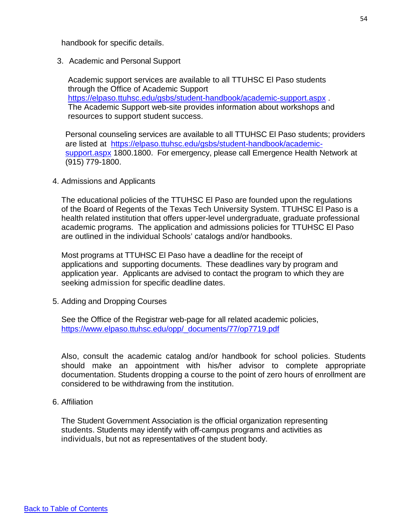handbook for specific details.

3. Academic and Personal Support

Academic support services are available to all TTUHSC El Paso students through the Office of Academic Support <https://elpaso.ttuhsc.edu/gsbs/student-handbook/academic-support.aspx> . The Academic Support web-site provides information about workshops and resources to support student success.

Personal counseling services are available to all TTUHSC El Paso students; providers are listed at [https://elpaso.ttuhsc.edu/gsbs/student-handbook/academic](https://elpaso.ttuhsc.edu/gsbs/student-handbook/academic-support.aspx)[support.aspx](https://elpaso.ttuhsc.edu/gsbs/student-handbook/academic-support.aspx) 1800.1800. For emergency, please call Emergence Health Network at (915) 779-1800.

4. Admissions and Applicants

The educational policies of the TTUHSC El Paso are founded upon the regulations of the Board of Regents of the Texas Tech University System. TTUHSC El Paso is a health related institution that offers upper-level undergraduate, graduate professional academic programs. The application and admissions policies for TTUHSC El Paso are outlined in the individual Schools' catalogs and/or handbooks.

Most programs at TTUHSC El Paso have a deadline for the receipt of applications and supporting documents. These deadlines vary by program and application year. Applicants are advised to contact the program to which they are seeking admission for specific deadline dates.

5. Adding and Dropping Courses

See the Office of the Registrar web-page for all related academic policies, [https://www.elpaso.ttuhsc.edu/opp/\\_documents/77/op7719.pdf](https://www.elpaso.ttuhsc.edu/opp/_documents/77/op7719.pdf)

Also, consult the academic catalog and/or handbook for school policies. Students should make an appointment with his/her advisor to complete appropriate documentation. Students dropping a course to the point of zero hours of enrollment are considered to be withdrawing from the institution.

6. Affiliation

The Student Government Association is the official organization representing students. Students may identify with off-campus programs and activities as individuals, but not as representatives of the student body.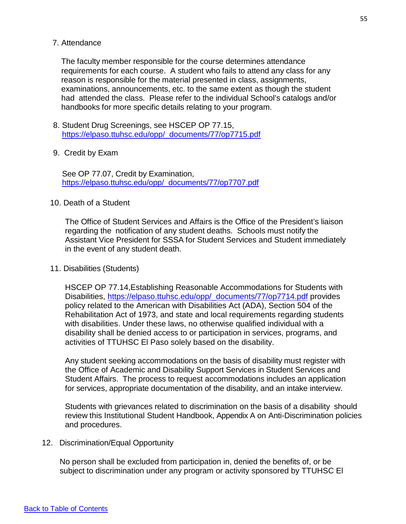#### 7. Attendance

The faculty member responsible for the course determines attendance requirements for each course. A student who fails to attend any class for any reason is responsible for the material presented in class, assignments, examinations, announcements, etc. to the same extent as though the student had attended the class. Please refer to the individual School's catalogs and/or handbooks for more specific details relating to your program.

- 8. Student Drug Screenings, see HSCEP OP 77.15, [https://elpaso.ttuhsc.edu/opp/\\_documents/77/op7715.pdf](https://elpaso.ttuhsc.edu/opp/_documents/77/op7715.pdf)
- 9. Credit by Exam

See OP 77.07, Credit by Examination, [https://elpaso.ttuhsc.edu/opp/\\_documents/77/op7707.pdf](https://elpaso.ttuhsc.edu/opp/_documents/77/op7707.pdf)

### 10. Death of a Student

The Office of Student Services and Affairs is the Office of the President's liaison regarding the notification of any student deaths. Schools must notify the Assistant Vice President for SSSA for Student Services and Student immediately in the event of any student death.

### 11. Disabilities (Students)

HSCEP OP 77.14,Establishing Reasonable Accommodations for Students with Disabilities, [https://elpaso.ttuhsc.edu/opp/\\_documents/77/op7714.pdf](https://elpaso.ttuhsc.edu/opp/_documents/77/op7714.pdf) provides policy related to the American with Disabilities Act (ADA), Section 504 of the Rehabilitation Act of 1973, and state and local requirements regarding students with disabilities. Under these laws, no otherwise qualified individual with a disability shall be denied access to or participation in services, programs, and activities of TTUHSC El Paso solely based on the disability.

Any student seeking accommodations on the basis of disability must register with the Office of Academic and Disability Support Services in Student Services and Student Affairs. The process to request accommodations includes an application for services, appropriate documentation of the disability, and an intake interview.

Students with grievances related to discrimination on the basis of a disability should review this Institutional Student Handbook, Appendix A on Anti-Discrimination policies and procedures.

### 12. Discrimination/Equal Opportunity

No person shall be excluded from participation in, denied the benefits of, or be subject to discrimination under any program or activity sponsored by TTUHSC El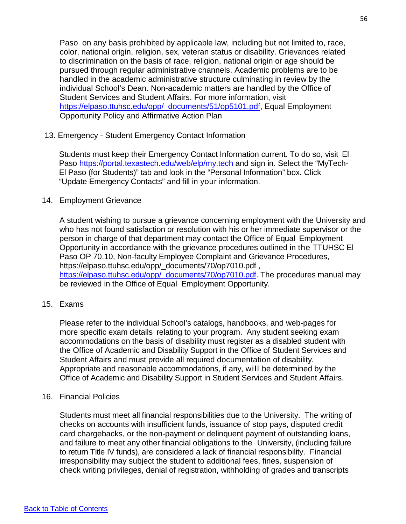Paso on any basis prohibited by applicable law, including but not limited to, race, color, national origin, religion, sex, veteran status or disability. Grievances related to discrimination on the basis of race, religion, national origin or age should be pursued through regular administrative channels. Academic problems are to be handled in the academic administrative structure culminating in review by the individual School's Dean. Non-academic matters are handled by the Office of Student Services and Student Affairs. For more information, visit [https://elpaso.ttuhsc.edu/opp/\\_documents/51/op5101.pdf,](https://elpaso.ttuhsc.edu/opp/_documents/51/op5101.pdf) Equal Employment Opportunity Policy and Affirmative Action Plan

### 13. Emergency - Student Emergency Contact Information

Students must keep their Emergency Contact Information current. To do so, visit El Paso<https://portal.texastech.edu/web/elp/my.tech> and sign in. Select the "MyTech-El Paso (for Students)" tab and look in the "Personal Information" box. Click "Update Emergency Contacts" and fill in your information.

### 14. Employment Grievance

A student wishing to pursue a grievance concerning employment with the University and who has not found satisfaction or resolution with his or her immediate supervisor or the person in charge of that department may contact the Office of Equal Employment Opportunity in accordance with the grievance procedures outlined in the TTUHSC El Paso OP 70.10, Non-faculty Employee Complaint and Grievance Procedures, https://elpaso.ttuhsc.edu/opp/\_documents/70/op7010.pdf, [https://elpaso.ttuhsc.edu/opp/\\_documents/70/op7010.pdf.](https://elpaso.ttuhsc.edu/opp/_documents/70/op7010.pdf) The procedures manual may be reviewed in the Office of Equal Employment Opportunity.

### 15. Exams

Please refer to the individual School's catalogs, handbooks, and web-pages for more specific exam details relating to your program. Any student seeking exam accommodations on the basis of disability must register as a disabled student with the Office of Academic and Disability Support in the Office of Student Services and Student Affairs and must provide all required documentation of disability. Appropriate and reasonable accommodations, if any, will be determined by the Office of Academic and Disability Support in Student Services and Student Affairs.

#### 16. Financial Policies

Students must meet all financial responsibilities due to the University. The writing of checks on accounts with insufficient funds, issuance of stop pays, disputed credit card chargebacks, or the non-payment or delinquent payment of outstanding loans, and failure to meet any other financial obligations to the University, (including failure to return Title IV funds), are considered a lack of financial responsibility. Financial irresponsibility may subject the student to additional fees, fines, suspension of check writing privileges, denial of registration, withholding of grades and transcripts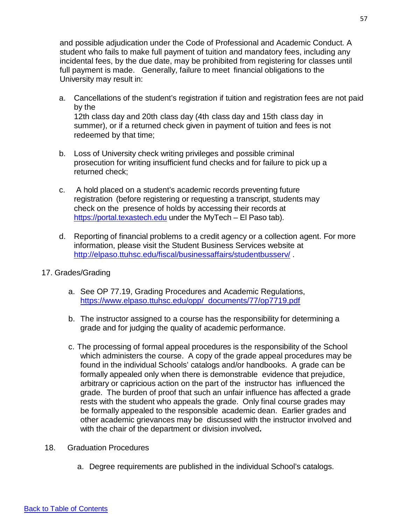and possible adjudication under the Code of Professional and Academic Conduct. A student who fails to make full payment of tuition and mandatory fees, including any incidental fees, by the due date, may be prohibited from registering for classes until full payment is made. Generally, failure to meet financial obligations to the University may result in:

- a. Cancellations of the student's registration if tuition and registration fees are not paid by the 12th class day and 20th class day (4th class day and 15th class day in summer), or if a returned check given in payment of tuition and fees is not redeemed by that time;
- b. Loss of University check writing privileges and possible criminal prosecution for writing insufficient fund checks and for failure to pick up a returned check;
- c. A hold placed on a student's academic records preventing future registration (before registering or requesting a transcript, students may check on the presence of holds by accessing their records at [https://portal.texastech.edu](https://portal.texastech.edu/) under the MyTech – El Paso tab).
- d. Reporting of financial problems to a credit agency or a collection agent. For more information, please visit the Student Business Services website at <http://elpaso.ttuhsc.edu/fiscal/businessaffairs/studentbusserv/> .
- 17. Grades/Grading
	- a. See OP 77.19, Grading Procedures and Academic Regulations, [https://www.elpaso.ttuhsc.edu/opp/\\_documents/77/op7719.pdf](https://www.elpaso.ttuhsc.edu/opp/_documents/77/op7719.pdf)
	- b. The instructor assigned to a course has the responsibility for determining a grade and for judging the quality of academic performance.
	- c. The processing of formal appeal procedures is the responsibility of the School which administers the course. A copy of the grade appeal procedures may be found in the individual Schools' catalogs and/or handbooks. A grade can be formally appealed only when there is demonstrable evidence that prejudice, arbitrary or capricious action on the part of the instructor has influenced the grade. The burden of proof that such an unfair influence has affected a grade rests with the student who appeals the grade. Only final course grades may be formally appealed to the responsible academic dean. Earlier grades and other academic grievances may be discussed with the instructor involved and with the chair of the department or division involved**.**
- 18. Graduation Procedures
	- a. Degree requirements are published in the individual School's catalogs.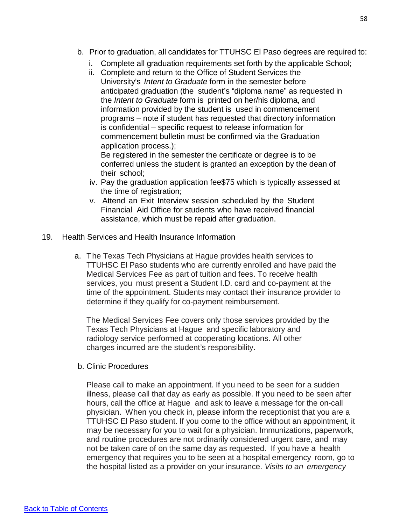- b. Prior to graduation, all candidates for TTUHSC El Paso degrees are required to:
	- i. Complete all graduation requirements set forth by the applicable School;
	- ii. Complete and return to the Office of Student Services the University's *Intent to Graduate* form in the semester before anticipated graduation (the student's "diploma name" as requested in the *Intent to Graduate* form is printed on her/his diploma, and information provided by the student is used in commencement programs – note if student has requested that directory information is confidential – specific request to release information for commencement bulletin must be confirmed via the Graduation application process.);

Be registered in the semester the certificate or degree is to be conferred unless the student is granted an exception by the dean of their school;

- iv. Pay the graduation application fee\$75 which is typically assessed at the time of registration;
- v. Attend an Exit Interview session scheduled by the Student Financial Aid Office for students who have received financial assistance, which must be repaid after graduation.
- 19. Health Services and Health Insurance Information
	- a. The Texas Tech Physicians at Hague provides health services to TTUHSC El Paso students who are currently enrolled and have paid the Medical Services Fee as part of tuition and fees. To receive health services, you must present a Student I.D. card and co-payment at the time of the appointment. Students may contact their insurance provider to determine if they qualify for co-payment reimbursement.

The Medical Services Fee covers only those services provided by the Texas Tech Physicians at Hague and specific laboratory and radiology service performed at cooperating locations. All other charges incurred are the student's responsibility.

b. Clinic Procedures

Please call to make an appointment. If you need to be seen for a sudden illness, please call that day as early as possible. If you need to be seen after hours, call the office at Hague and ask to leave a message for the on-call physician. When you check in, please inform the receptionist that you are a TTUHSC El Paso student. If you come to the office without an appointment, it may be necessary for you to wait for a physician. Immunizations, paperwork, and routine procedures are not ordinarily considered urgent care, and may not be taken care of on the same day as requested. If you have a health emergency that requires you to be seen at a hospital emergency room, go to the hospital listed as a provider on your insurance. *Visits to an emergency*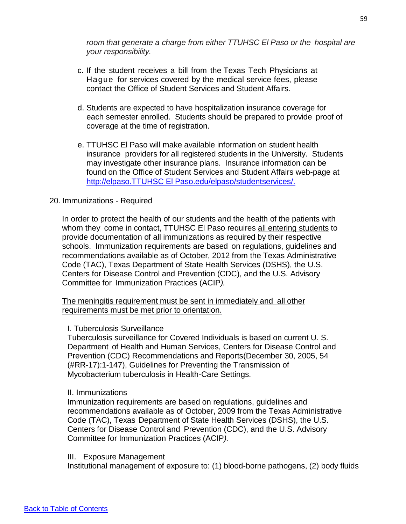*room that generate a charge from either TTUHSC El Paso or the hospital are your responsibility.*

- c. If the student receives a bill from the Texas Tech Physicians at Hague for services covered by the medical service fees, please contact the Office of Student Services and Student Affairs.
- d. Students are expected to have hospitalization insurance coverage for each semester enrolled. Students should be prepared to provide proof of coverage at the time of registration.
- e. TTUHSC El Paso will make available information on student health insurance providers for all registered students in the University. Students may investigate other insurance plans. Insurance information can be found on the Office of Student Services and Student Affairs web-page at http://elpaso.TTUHSC El [Paso.edu/elpaso/studentservices/.](http://elpaso.ttuhsc.edu/elpaso/studentservices/)

### 20. Immunizations - Required

In order to protect the health of our students and the health of the patients with whom they come in contact, TTUHSC El Paso requires all entering students to provide documentation of all immunizations as required by their respective schools. Immunization requirements are based on regulations, guidelines and recommendations available as of October, 2012 from the Texas Administrative Code (TAC), Texas Department of State Health Services (DSHS), the U.S. Centers for Disease Control and Prevention (CDC), and the U.S. Advisory Committee for Immunization Practices (ACIP*).*

The meningitis requirement must be sent in immediately and all other requirements must be met prior to orientation.

### I. Tuberculosis Surveillance

Tuberculosis surveillance for Covered Individuals is based on current U. S. Department of Health and Human Services, Centers for Disease Control and Prevention (CDC) Recommendations and Reports(December 30, 2005, 54 (#RR-17):1-147), Guidelines for Preventing the Transmission of Mycobacterium tuberculosis in Health-Care Settings.

### II. Immunizations

Immunization requirements are based on regulations, guidelines and recommendations available as of October, 2009 from the Texas Administrative Code (TAC), Texas Department of State Health Services (DSHS), the U.S. Centers for Disease Control and Prevention (CDC), and the U.S. Advisory Committee for Immunization Practices (ACIP*).*

### III. Exposure Management

Institutional management of exposure to: (1) blood-borne pathogens, (2) body fluids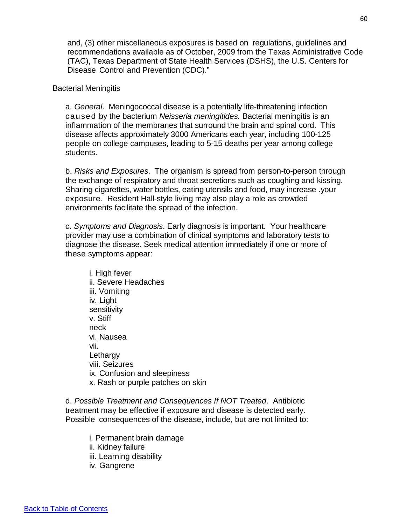and, (3) other miscellaneous exposures is based on regulations, guidelines and recommendations available as of October, 2009 from the Texas Administrative Code (TAC), Texas Department of State Health Services (DSHS), the U.S. Centers for Disease Control and Prevention (CDC)."

#### Bacterial Meningitis

a. *General*. Meningococcal disease is a potentially life-threatening infection caused by the bacterium *Neisseria meningitides.* Bacterial meningitis is an inflammation of the membranes that surround the brain and spinal cord. This disease affects approximately 3000 Americans each year, including 100-125 people on college campuses, leading to 5-15 deaths per year among college students.

b. *Risks and Exposures*. The organism is spread from person-to-person through the exchange of respiratory and throat secretions such as coughing and kissing. Sharing cigarettes, water bottles, eating utensils and food, may increase .your exposure. Resident Hall-style living may also play a role as crowded environments facilitate the spread of the infection.

c. *Symptoms and Diagnosis*. Early diagnosis is important. Your healthcare provider may use a combination of clinical symptoms and laboratory tests to diagnose the disease. Seek medical attention immediately if one or more of these symptoms appear:

i. High fever ii. Severe Headaches iii. Vomiting iv. Light sensitivity v. Stiff neck vi. Nausea vii. Lethargy viii. Seizures ix. Confusion and sleepiness x. Rash or purple patches on skin

d. *Possible Treatment and Consequences If NOT Treated*. Antibiotic treatment may be effective if exposure and disease is detected early. Possible consequences of the disease, include, but are not limited to:

i. Permanent brain damage ii. Kidney failure

- iii. Learning disability
- iv. Gangrene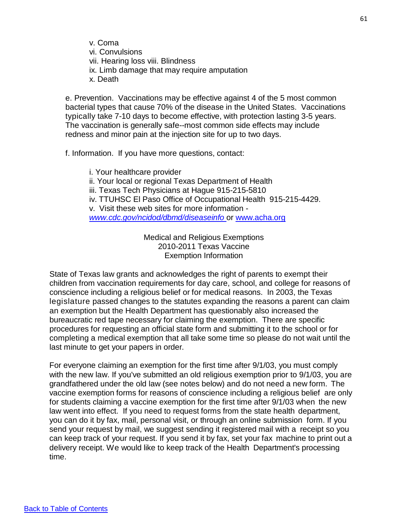v. Coma vi. Convulsions vii. Hearing loss viii. Blindness ix. Limb damage that may require amputation x. Death

e. Prevention. Vaccinations may be effective against 4 of the 5 most common bacterial types that cause 70% of the disease in the United States. Vaccinations typically take 7-10 days to become effective, with protection lasting 3-5 years. The vaccination is generally safe--most common side effects may include redness and minor pain at the injection site for up to two days.

f. Information. If you have more questions, contact:

i. Your healthcare provider ii. Your local or regional Texas Department of Health iii. Texas Tech Physicians at Hague 915-215-5810 iv. TTUHSC El Paso Office of Occupational Health 915-215-4429. v. Visit these web sites for more information *[www.cdc.gov/ncidod/dbmd/diseaseinfo](http://www.cdc.gov/ncidod/dbmd/diseaseinfo)* or [www.acha.org](http://www.acha.org/)

> Medical and Religious Exemptions 2010-2011 Texas Vaccine Exemption Information

State of Texas law grants and acknowledges the right of parents to exempt their children from vaccination requirements for day care, school, and college for reasons of conscience including a religious belief or for medical reasons. In 2003, the Texas legislature passed changes to the statutes expanding the reasons a parent can claim an exemption but the Health Department has questionably also increased the bureaucratic red tape necessary for claiming the exemption. There are specific procedures for requesting an official state form and submitting it to the school or for completing a medical exemption that all take some time so please do not wait until the last minute to get your papers in order.

For everyone claiming an exemption for the first time after 9/1/03, you must comply with the new law. If you've submitted an old religious exemption prior to 9/1/03, you are grandfathered under the old law (see notes below) and do not need a new form. The vaccine exemption forms for reasons of conscience including a religious belief are only for students claiming a vaccine exemption for the first time after 9/1/03 when the new law went into effect. If you need to request forms from the state health department, you can do it by fax, mail, personal visit, or through an online submission form. If you send your request by mail, we suggest sending it registered mail with a receipt so you can keep track of your request. If you send it by fax, set your fax machine to print out a delivery receipt. We would like to keep track of the Health Department's processing time.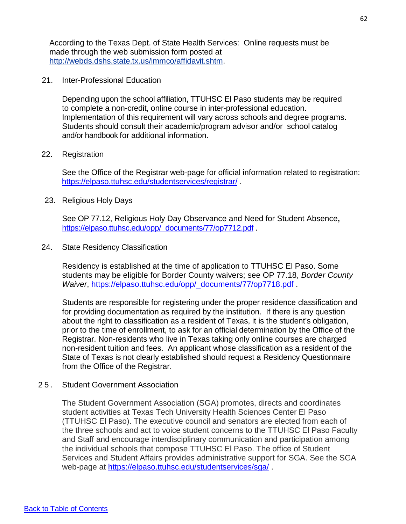According to the Texas Dept. of State Health Services: Online requests must be made through the web submission form posted at [http://webds.dshs.state.tx.us/immco/affidavit.shtm.](http://webds.dshs.state.tx.us/immco/affidavit.shtm)

21. Inter-Professional Education

Depending upon the school affiliation, TTUHSC El Paso students may be required to complete a non-credit, online course in inter-professional education. Implementation of this requirement will vary across schools and degree programs. Students should consult their academic/program advisor and/or school catalog and/or handbook for additional information.

#### 22. Registration

See the Office of the Registrar web-page for official information related to registration: <https://elpaso.ttuhsc.edu/studentservices/registrar/>

23. Religious Holy Days

See OP 77.12, Religious Holy Day Observance and Need for Student Absence**,** [https://elpaso.ttuhsc.edu/opp/\\_documents/77/op7712.pdf](https://elpaso.ttuhsc.edu/opp/_documents/77/op7712.pdf) .

24. State Residency Classification

Residency is established at the time of application to TTUHSC El Paso. Some students may be eligible for Border County waivers; see OP 77.18, *Border County Waiver*, [https://elpaso.ttuhsc.edu/opp/\\_documents/77/op7718.pdf](https://elpaso.ttuhsc.edu/opp/_documents/77/op7718.pdf) .

Students are responsible for registering under the proper residence classification and for providing documentation as required by the institution. If there is any question about the right to classification as a resident of Texas, it is the student's obligation, prior to the time of enrollment, to ask for an official determination by the Office of the Registrar. Non-residents who live in Texas taking only online courses are charged non-resident tuition and fees. An applicant whose classification as a resident of the State of Texas is not clearly established should request a Residency Questionnaire from the Office of the Registrar.

25. Student Government Association

The Student Government Association (SGA) promotes, directs and coordinates student activities at Texas Tech University Health Sciences Center El Paso (TTUHSC El Paso). The executive council and senators are elected from each of the three schools and act to voice student concerns to the TTUHSC El Paso Faculty and Staff and encourage interdisciplinary communication and participation among the individual schools that compose TTUHSC El Paso. The office of Student Services and Student Affairs provides administrative support for SGA. See the SGA web-page at<https://elpaso.ttuhsc.edu/studentservices/sga/> .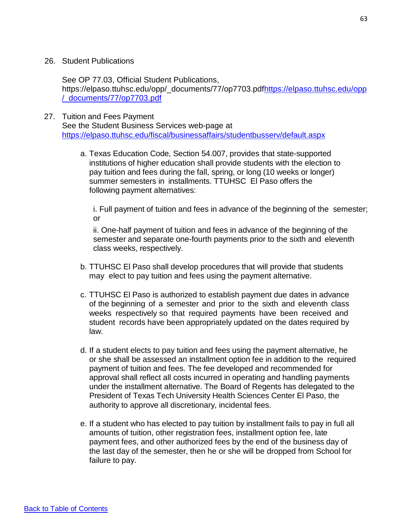See OP 77.03, Official Student Publications, https://elpaso.ttuhsc.edu/opp/\_documents/77/op7703.pd[fhttps://elpaso.ttuhsc.edu/opp](https://elpaso.ttuhsc.edu/opp/_documents/77/op7703.pdf) [/\\_documents/77/op7703.pdf](https://elpaso.ttuhsc.edu/opp/_documents/77/op7703.pdf)

- 27. Tuition and Fees Payment See the Student Business Services web-page at <https://elpaso.ttuhsc.edu/fiscal/businessaffairs/studentbusserv/default.aspx>
	- a. Texas Education Code, Section 54.007, provides that state-supported institutions of higher education shall provide students with the election to pay tuition and fees during the fall, spring, or long (10 weeks or longer) summer semesters in installments. TTUHSC El Paso offers the following payment alternatives:

i. Full payment of tuition and fees in advance of the beginning of the semester; or

ii. One-half payment of tuition and fees in advance of the beginning of the semester and separate one-fourth payments prior to the sixth and eleventh class weeks, respectively.

- b. TTUHSC El Paso shall develop procedures that will provide that students may elect to pay tuition and fees using the payment alternative.
- c. TTUHSC El Paso is authorized to establish payment due dates in advance of the beginning of a semester and prior to the sixth and eleventh class weeks respectively so that required payments have been received and student records have been appropriately updated on the dates required by law.
- d. If a student elects to pay tuition and fees using the payment alternative, he or she shall be assessed an installment option fee in addition to the required payment of tuition and fees. The fee developed and recommended for approval shall reflect all costs incurred in operating and handling payments under the installment alternative. The Board of Regents has delegated to the President of Texas Tech University Health Sciences Center El Paso, the authority to approve all discretionary, incidental fees.
- e. If a student who has elected to pay tuition by installment fails to pay in full all amounts of tuition, other registration fees, installment option fee, late payment fees, and other authorized fees by the end of the business day of the last day of the semester, then he or she will be dropped from School for failure to pay.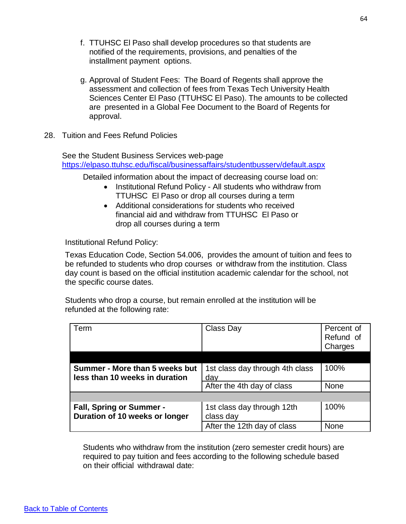- f. TTUHSC El Paso shall develop procedures so that students are notified of the requirements, provisions, and penalties of the installment payment options.
- g. Approval of Student Fees: The Board of Regents shall approve the assessment and collection of fees from Texas Tech University Health Sciences Center El Paso (TTUHSC El Paso). The amounts to be collected are presented in a Global Fee Document to the Board of Regents for approval.
- 28. Tuition and Fees Refund Policies

See the Student Business Services web-page <https://elpaso.ttuhsc.edu/fiscal/businessaffairs/studentbusserv/default.aspx>

Detailed information about the impact of decreasing course load on:

- Institutional Refund Policy All students who withdraw from TTUHSC El Paso or drop all courses during a term
- Additional considerations for students who received financial aid and withdraw from TTUHSC El Paso or drop all courses during a term

Institutional Refund Policy:

Texas Education Code, Section 54.006, provides the amount of tuition and fees to be refunded to students who drop courses or withdraw from the institution. Class day count is based on the official institution academic calendar for the school, not the specific course dates.

Students who drop a course, but remain enrolled at the institution will be refunded at the following rate:

| Term                                                              | Class Day                               | Percent of<br>Refund of<br>Charges |
|-------------------------------------------------------------------|-----------------------------------------|------------------------------------|
|                                                                   |                                         |                                    |
| Summer - More than 5 weeks but<br>less than 10 weeks in duration  | 1st class day through 4th class<br>day  | 100%                               |
|                                                                   | After the 4th day of class              | None                               |
|                                                                   |                                         |                                    |
| <b>Fall, Spring or Summer -</b><br>Duration of 10 weeks or longer | 1st class day through 12th<br>class day | 100%                               |
|                                                                   | After the 12th day of class             | <b>None</b>                        |

Students who withdraw from the institution (zero semester credit hours) are required to pay tuition and fees according to the following schedule based on their official withdrawal date: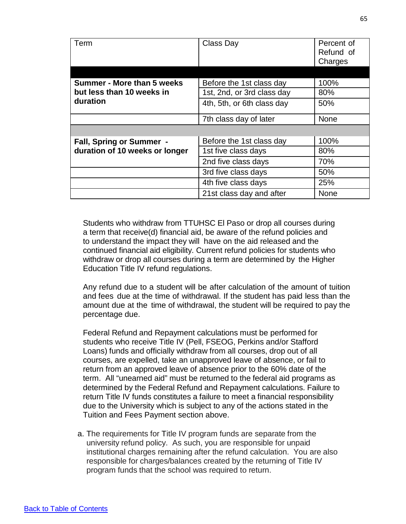| Term                              | Class Day                  | Percent of<br>Refund of<br>Charges |
|-----------------------------------|----------------------------|------------------------------------|
|                                   |                            |                                    |
| <b>Summer - More than 5 weeks</b> | Before the 1st class day   | 100%                               |
| but less than 10 weeks in         | 1st, 2nd, or 3rd class day | 80%                                |
| duration                          | 4th, 5th, or 6th class day | 50%                                |
|                                   | 7th class day of later     | <b>None</b>                        |
|                                   |                            |                                    |
| <b>Fall, Spring or Summer -</b>   | Before the 1st class day   | 100%                               |
| duration of 10 weeks or longer    | 1st five class days        | 80%                                |
|                                   | 2nd five class days        | 70%                                |
|                                   | 3rd five class days        | 50%                                |
|                                   | 4th five class days        | 25%                                |
|                                   | 21st class day and after   | None                               |

Students who withdraw from TTUHSC El Paso or drop all courses during a term that receive(d) financial aid, be aware of the refund policies and to understand the impact they will have on the aid released and the continued financial aid eligibility. Current refund policies for students who withdraw or drop all courses during a term are determined by the Higher Education Title IV refund regulations.

Any refund due to a student will be after calculation of the amount of tuition and fees due at the time of withdrawal. If the student has paid less than the amount due at the time of withdrawal, the student will be required to pay the percentage due.

Federal Refund and Repayment calculations must be performed for students who receive Title IV (Pell, FSEOG, Perkins and/or Stafford Loans) funds and officially withdraw from all courses, drop out of all courses, are expelled, take an unapproved leave of absence, or fail to return from an approved leave of absence prior to the 60% date of the term. All "unearned aid" must be returned to the federal aid programs as determined by the Federal Refund and Repayment calculations. Failure to return Title IV funds constitutes a failure to meet a financial responsibility due to the University which is subject to any of the actions stated in the Tuition and Fees Payment section above.

a. The requirements for Title IV program funds are separate from the university refund policy. As such, you are responsible for unpaid institutional charges remaining after the refund calculation. You are also responsible for charges/balances created by the returning of Title IV program funds that the school was required to return.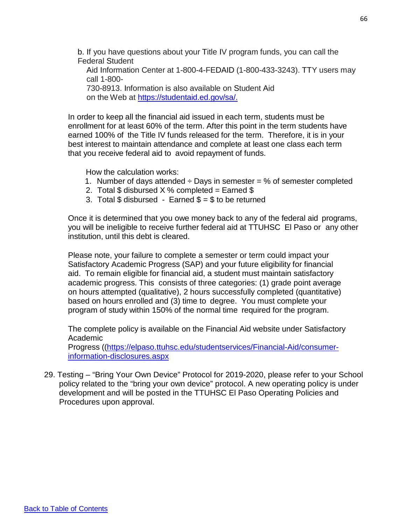b. If you have questions about your Title IV program funds, you can call the Federal Student

Aid Information Center at 1-800-4-FEDAID (1-800-433-3243). TTY users may call 1-800-

730-8913. Information is also available on Student Aid on the Web at [https://studentaid.ed.gov/sa/.](https://studentaid.ed.gov/sa/)

In order to keep all the financial aid issued in each term, students must be enrollment for at least 60% of the term. After this point in the term students have earned 100% of the Title IV funds released for the term. Therefore, it is in your best interest to maintain attendance and complete at least one class each term that you receive federal aid to avoid repayment of funds.

How the calculation works:

- 1. Number of days attended  $\div$  Days in semester = % of semester completed
- 2. Total \$ disbursed  $X$ % completed = Earned \$
- 3. Total  $\text{\$}$  disbursed Earned  $\text{\$} = \text{\$}$  to be returned

Once it is determined that you owe money back to any of the federal aid programs, you will be ineligible to receive further federal aid at TTUHSC El Paso or any other institution, until this debt is cleared.

Please note, your failure to complete a semester or term could impact your Satisfactory Academic Progress (SAP) and your future eligibility for financial aid. To remain eligible for financial aid, a student must maintain satisfactory academic progress. This consists of three categories: (1) grade point average on hours attempted (qualitative), 2 hours successfully completed (quantitative) based on hours enrolled and (3) time to degree. You must complete your program of study within 150% of the normal time required for the program.

The complete policy is available on the Financial Aid website under Satisfactory Academic

Progress ([\(https://elpaso.ttuhsc.edu/studentservices/Financial-Aid/consumer](https://elpaso.ttuhsc.edu/studentservices/Financial-Aid/consumer-information-disclosures.aspx)[information-disclosures.aspx](https://elpaso.ttuhsc.edu/studentservices/Financial-Aid/consumer-information-disclosures.aspx)

29. Testing – "Bring Your Own Device" Protocol for 2019-2020, please refer to your School policy related to the "bring your own device" protocol. A new operating policy is under development and will be posted in the TTUHSC El Paso Operating Policies and Procedures upon approval.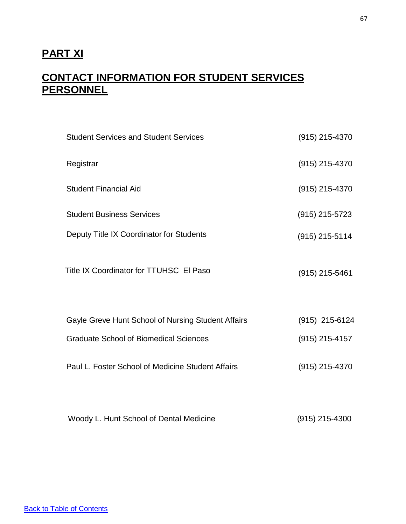# **PART XI**

## **CONTACT INFORMATION FOR STUDENT SERVICES PERSONNEL**

| <b>Student Services and Student Services</b>       | (915) 215-4370   |
|----------------------------------------------------|------------------|
| Registrar                                          | $(915)$ 215-4370 |
| <b>Student Financial Aid</b>                       | (915) 215-4370   |
| <b>Student Business Services</b>                   | $(915)$ 215-5723 |
| Deputy Title IX Coordinator for Students           | $(915)$ 215-5114 |
| Title IX Coordinator for TTUHSC El Paso            | $(915)$ 215-5461 |
| Gayle Greve Hunt School of Nursing Student Affairs | (915) 215-6124   |
| <b>Graduate School of Biomedical Sciences</b>      | $(915)$ 215-4157 |
| Paul L. Foster School of Medicine Student Affairs  | (915) 215-4370   |
|                                                    |                  |
| Woody L. Hunt School of Dental Medicine            | (915) 215-4300   |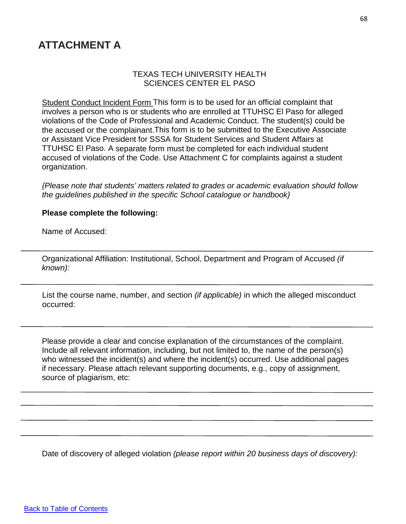## **ATTACHMENT A**

### TEXAS TECH UNIVERSITY HEALTH SCIENCES CENTER EL PASO

Student Conduct Incident Form This form is to be used for an official complaint that involves a person who is or students who are enrolled at TTUHSC El Paso for alleged violations of the Code of Professional and Academic Conduct. The student(s) could be the accused or the complainant.This form is to be submitted to the Executive Associate or Assistant Vice President for SSSA for Student Services and Student Affairs at TTUHSC El Paso. A separate form must be completed for each individual student accused of violations of the Code. Use Attachment C for complaints against a student organization.

*{Please note that students' matters related to grades or academic evaluation should follow the guidelines published in the specific School catalogue or handbook}*

#### **Please complete the following:**

Name of Accused:

Organizational Affiliation: Institutional, School, Department and Program of Accused *(if known):*

List the course name, number, and section *(if applicable)* in which the alleged misconduct occurred:

Please provide a clear and concise explanation of the circumstances of the complaint. Include all relevant information, including, but not limited to, the name of the person(s) who witnessed the incident(s) and where the incident(s) occurred. Use additional pages if necessary. Please attach relevant supporting documents, e.g., copy of assignment, source of plagiarism, etc:

Date of discovery of alleged violation *(please report within 20 business days of discovery):*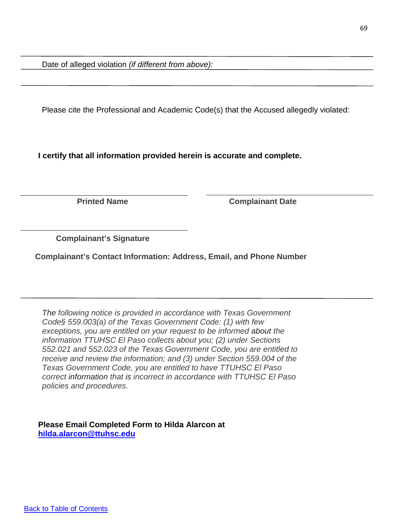Date of alleged violation *(if different from above):*

Please cite the Professional and Academic Code(s) that the Accused allegedly violated:

**I certify that all information provided herein is accurate and complete.** 

**Printed Name Complainant Date**

**Complainant's Signature**

**Complainant's Contact Information: Address, Email, and Phone Number**

*The following notice is provided in accordance with Texas Government Code§ 559.003(a) of the Texas Government Code: (1) with few exceptions, you are entitled on your request to be informed about the information TTUHSC El Paso collects about you; (2) under Sections 552.021 and 552.023 of the Texas Government Code, you are entitled to receive and review the information; and (3) under Section 559.004 of the Texas Government Code, you are entitled to have TTUHSC El Paso correct information that is incorrect in accordance with TTUHSC El Paso policies and procedures.*

**Please Email Completed Form to Hilda Alarcon at [hilda.alarcon@ttuhsc.edu](mailto:hilda.alarcon@ttuhsc.edu)**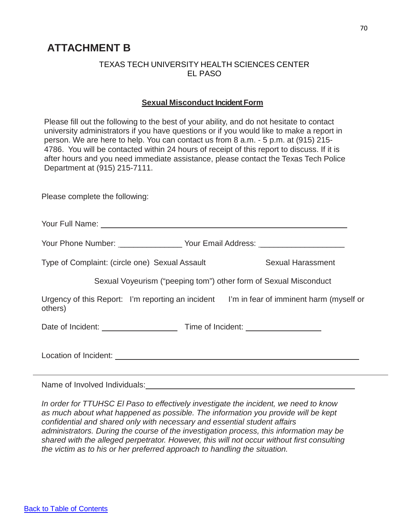# **ATTACHMENT B**

### TEXAS TECH UNIVERSITY HEALTH SCIENCES CENTER EL PASO

### **Sexual Misconduct Incident Form**

Please fill out the following to the best of your ability, and do not hesitate to contact university administrators if you have questions or if you would like to make a report in person. We are here to help. You can contact us from 8 a.m. - 5 p.m. at (915) 215- 4786. You will be contacted within 24 hours of receipt of this report to discuss. If it is after hours and you need immediate assistance, please contact the Texas Tech Police Department at (915) 215-7111.

Please complete the following: Your Full Name: Your Phone Number: \_\_\_\_\_\_\_\_\_\_\_\_\_\_\_\_\_\_ Your Email Address: \_\_\_\_\_\_\_\_\_\_\_\_\_\_\_\_\_\_\_\_\_\_ Type of Complaint: (circle one) Sexual Assault Sexual Harassment Sexual Voyeurism ("peeping tom") other form of Sexual Misconduct Urgency of this Report: I'm reporting an incident I'm in fear of imminent harm (myself or others) Date of Incident: Time of Incident: Location of Incident: <u>example</u> and the set of the set of the set of the set of the set of the set of the set of the set of the set of the set of the set of the set of the set of the set of the set of the set of the set of

Name of Involved Individuals: **Making the Contract of Individuals:** Name of Involved Individuals:

*In order for TTUHSC El Paso to effectively investigate the incident, we need to know as much about what happened as possible. The information you provide will be kept confidential and shared only with necessary and essential student affairs administrators. During the course of the investigation process, this information may be shared with the alleged perpetrator. However, this will not occur without first consulting the victim as to his or her preferred approach to handling the situation.*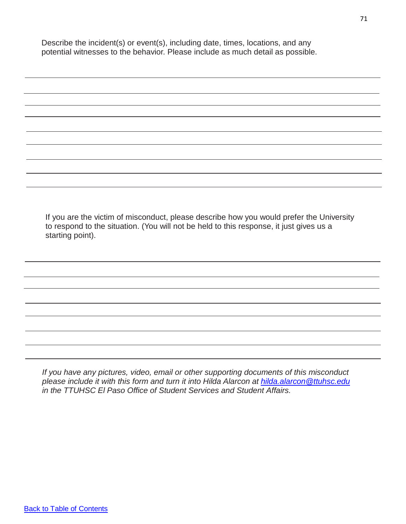Describe the incident(s) or event(s), including date, times, locations, and any potential witnesses to the behavior. Please include as much detail as possible.

If you are the victim of misconduct, please describe how you would prefer the University to respond to the situation. (You will not be held to this response, it just gives us a starting point).

*If you have any pictures, video, email or other supporting documents of this misconduct please include it with this form and turn it into Hilda Alarcon at [hilda.alarcon@ttuhsc.edu](mailto:hilda.alarcon@ttuhsc.edu) in the TTUHSC El Paso Office of Student Services and Student Affairs.*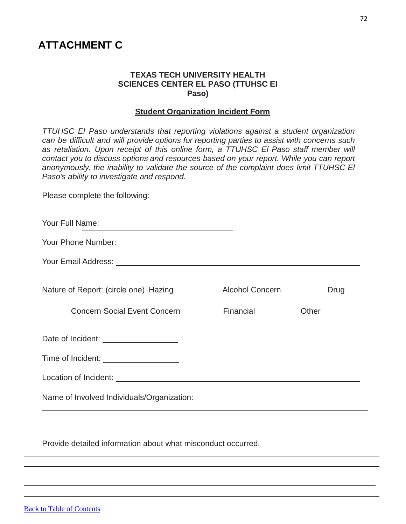## **ATTACHMENT C**

### **TEXAS TECH UNIVERSITY HEALTH SCIENCES CENTER EL PASO (TTUHSC El Paso)**

### **Student Organization Incident Form**

*TTUHSC El Paso understands that reporting violations against a student organization can be difficult and will provide options for reporting parties to assist with concerns such as retaliation. Upon receipt of this online form, a TTUHSC El Paso staff member will contact you to discuss options and resources based on your report. While you can report anonymously, the inability to validate the source of the complaint does limit TTUHSC El Paso's ability to investigate and respond.*

Please complete the following:

| Your Full Name:                       |                        |      |
|---------------------------------------|------------------------|------|
| Your Phone Number:                    |                        |      |
|                                       |                        |      |
| Nature of Report: (circle one) Hazing | <b>Alcohol Concern</b> | Drug |

Concern Social Event Concern Financial Other

Date of Incident:

Time of Incident:

Location of Incident: \_

Name of Involved Individuals/Organization:

Provide detailed information about what misconduct occurred.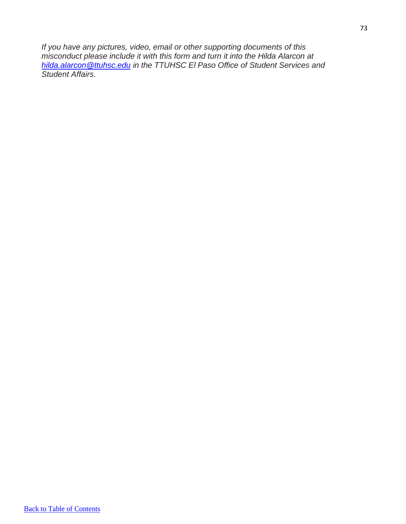*If you have any pictures, video, email or other supporting documents of this misconduct please include it with this form and turn it into the Hilda Alarcon at [hilda.alarcon@ttuhsc.edu](mailto:hilda.alarcon@ttuhsc.edu) in the TTUHSC El Paso Office of Student Services and Student Affairs.*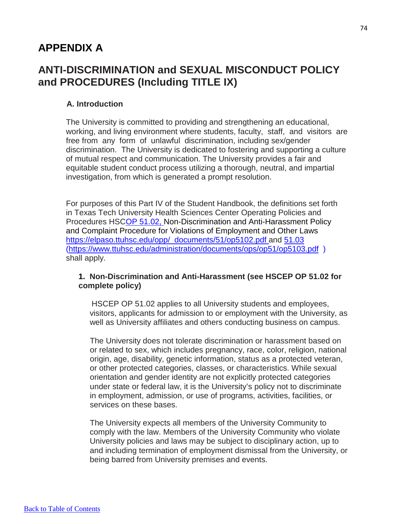# **APPENDIX A**

# **ANTI-DISCRIMINATION and SEXUAL MISCONDUCT POLICY and PROCEDURES (Including TITLE IX)**

#### **A. Introduction**

The University is committed to providing and strengthening an educational, working, and living environment where students, faculty, staff, and visitors are free from any form of unlawful discrimination, including sex/gender discrimination. The University is dedicated to fostering and supporting a culture of mutual respect and communication. The University provides a fair and equitable student conduct process utilizing a thorough, neutral, and impartial investigation, from which is generated a prompt resolution.

For purposes of this Part IV of the Student Handbook, the definitions set forth in Texas Tech University Health Sciences Center Operating Policies and Procedures HSCOP 51.02, Non-Discrimination and Anti-Harassment Policy and Complaint Procedure for Violations of Employment and Other Laws [https://elpaso.ttuhsc.edu/opp/\\_documents/51/op5102.pdf](https://elpaso.ttuhsc.edu/opp/_documents/51/op5102.pdf) and [51.03](https://www.ttuhsc.edu/administration/documents/ops/op51/op5103.pdf) [\(https://www.ttuhsc.edu/administration/documents/ops/op51/op5103.pdf](https://www.ttuhsc.edu/administration/documents/ops/op51/op5103.pdf) ) shall apply.

## **1. Non-Discrimination and Anti-Harassment (see HSCEP OP 51.02 for complete policy)**

HSCEP OP 51.02 applies to all University students and employees, visitors, applicants for admission to or employment with the University, as well as University affiliates and others conducting business on campus.

The University does not tolerate discrimination or harassment based on or related to sex, which includes pregnancy, race, color, religion, national origin, age, disability, genetic information, status as a protected veteran, or other protected categories, classes, or characteristics. While sexual orientation and gender identity are not explicitly protected categories under state or federal law, it is the University's policy not to discriminate in employment, admission, or use of programs, activities, facilities, or services on these bases.

The University expects all members of the University Community to comply with the law. Members of the University Community who violate University policies and laws may be subject to disciplinary action, up to and including termination of employment dismissal from the University, or being barred from University premises and events.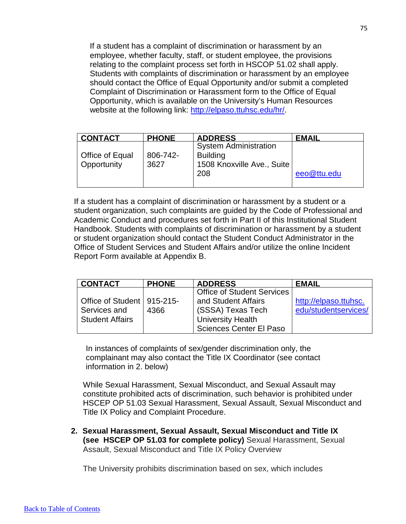If a student has a complaint of discrimination or harassment by an employee, whether faculty, staff, or student employee, the provisions relating to the complaint process set forth in HSCOP 51.02 shall apply. Students with complaints of discrimination or harassment by an employee should contact the Office of Equal Opportunity and/or submit a completed Complaint of Discrimination or Harassment form to the Office of Equal Opportunity, which is available on the University's Human Resources website at the following link: [http://elpaso.ttuhsc.edu/hr/.](http://elpaso.ttuhsc.edu/hr/)

| <b>CONTACT</b>  | <b>PHONE</b> | <b>ADDRESS</b>               | <b>EMAIL</b> |
|-----------------|--------------|------------------------------|--------------|
|                 |              | <b>System Administration</b> |              |
| Office of Equal | 806-742-     | <b>Building</b>              |              |
| Opportunity     | 3627         | 1508 Knoxville Ave., Suite   |              |
|                 |              | 208                          | eeo@ttu.edu  |
|                 |              |                              |              |

 If a student has a complaint of discrimination or harassment by a student or a student organization, such complaints are guided by the Code of Professional and Academic Conduct and procedures set forth in Part II of this Institutional Student Handbook. Students with complaints of discrimination or harassment by a student or student organization should contact the Student Conduct Administrator in the Office of Student Services and Student Affairs and/or utilize the online Incident Report Form available at Appendix B.

| <b>CONTACT</b>               | <b>PHONE</b> | <b>ADDRESS</b>                    | EMAIL                 |
|------------------------------|--------------|-----------------------------------|-----------------------|
|                              |              | <b>Office of Student Services</b> |                       |
| Office of Student   915-215- |              | and Student Affairs               | http://elpaso.ttuhsc. |
| Services and                 | 4366         | (SSSA) Texas Tech                 | edu/studentservices/  |
| <b>Student Affairs</b>       |              | <b>University Health</b>          |                       |
|                              |              | Sciences Center El Paso           |                       |

 complainant may also contact the Title IX Coordinator (see contact In instances of complaints of sex/gender discrimination only, the information in 2. below)

While Sexual Harassment, Sexual Misconduct, and Sexual Assault may constitute prohibited acts of discrimination, such behavior is prohibited under HSCEP OP 51.03 Sexual Harassment, Sexual Assault, Sexual Misconduct and Title IX Policy and Complaint Procedure.

**2. Sexual Harassment, Sexual Assault, Sexual Misconduct and Title IX (see HSCEP OP 51.03 for complete policy)** Sexual Harassment, Sexual Assault, Sexual Misconduct and Title IX Policy Overview

The University prohibits discrimination based on sex, which includes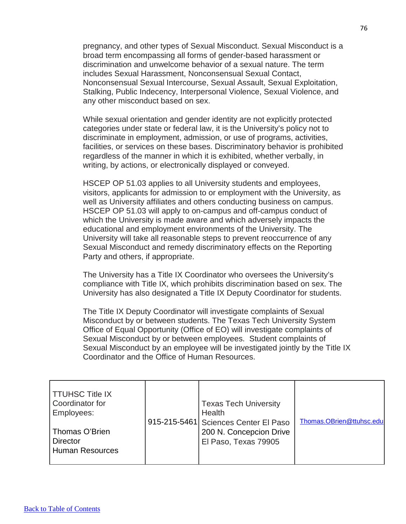pregnancy, and other types of Sexual Misconduct. Sexual Misconduct is a broad term encompassing all forms of gender-based harassment or discrimination and unwelcome behavior of a sexual nature. The term includes Sexual Harassment, Nonconsensual Sexual Contact, Nonconsensual Sexual Intercourse, Sexual Assault, Sexual Exploitation, Stalking, Public Indecency, Interpersonal Violence, Sexual Violence, and any other misconduct based on sex.

While sexual orientation and gender identity are not explicitly protected categories under state or federal law, it is the University's policy not to discriminate in employment, admission, or use of programs, activities, facilities, or services on these bases. Discriminatory behavior is prohibited regardless of the manner in which it is exhibited, whether verbally, in writing, by actions, or electronically displayed or conveyed.

HSCEP OP 51.03 applies to all University students and employees, visitors, applicants for admission to or employment with the University, as well as University affiliates and others conducting business on campus. HSCEP OP 51.03 will apply to on-campus and off-campus conduct of which the University is made aware and which adversely impacts the educational and employment environments of the University. The University will take all reasonable steps to prevent reoccurrence of any Sexual Misconduct and remedy discriminatory effects on the Reporting Party and others, if appropriate.

The University has a Title IX Coordinator who oversees the University's compliance with Title IX, which prohibits discrimination based on sex. The University has also designated a Title IX Deputy Coordinator for students.

The Title IX Deputy Coordinator will investigate complaints of Sexual Misconduct by or between students. The Texas Tech University System Office of Equal Opportunity (Office of EO) will investigate complaints of Sexual Misconduct by or between employees. Student complaints of Sexual Misconduct by an employee will be investigated jointly by the Title IX Coordinator and the Office of Human Resources.

| TTUHSC Title IX<br>Coordinator for<br>Employees:<br>Thomas O'Brien<br><b>Director</b><br><b>Human Resources</b> |  | <b>Texas Tech University</b><br>Health<br>915-215-5461 Sciences Center El Paso<br>200 N. Concepcion Drive<br>El Paso, Texas 79905 | Thomas.OBrien@ttuhsc.edu |
|-----------------------------------------------------------------------------------------------------------------|--|-----------------------------------------------------------------------------------------------------------------------------------|--------------------------|
|-----------------------------------------------------------------------------------------------------------------|--|-----------------------------------------------------------------------------------------------------------------------------------|--------------------------|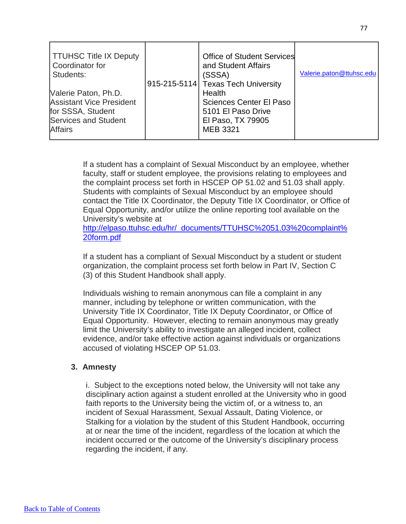| TTUHSC Title IX Deputy<br>Coordinator for<br>Students:                                                                 | <b>Office of Student Services</b><br>and Student Affairs<br>(SSSA)<br>915-215-5114 Texas Tech University | Valerie.paton@ttuhsc.edu |
|------------------------------------------------------------------------------------------------------------------------|----------------------------------------------------------------------------------------------------------|--------------------------|
| Valerie Paton, Ph.D.<br><b>Assistant Vice President</b><br>for SSSA, Student<br>Services and Student<br><b>Affairs</b> | Health<br>Sciences Center El Paso<br>5101 El Paso Drive<br>El Paso, TX 79905<br><b>MEB 3321</b>          |                          |

If a student has a complaint of Sexual Misconduct by an employee, whether faculty, staff or student employee, the provisions relating to employees and the complaint process set forth in HSCEP OP 51.02 and 51.03 shall apply. Students with complaints of Sexual Misconduct by an employee should contact the Title IX Coordinator, the Deputy Title IX Coordinator, or Office of Equal Opportunity, and/or utilize the online reporting tool available on the University's website at

[http://elpaso.ttuhsc.edu/hr/\\_documents/TTUHSC%2051.03%20complaint%](http://elpaso.ttuhsc.edu/hr/_documents/TTUHSC%2051.03%20complaint%20form.pdf) [20form.pdf](http://elpaso.ttuhsc.edu/hr/_documents/TTUHSC%2051.03%20complaint%20form.pdf)

If a student has a compliant of Sexual Misconduct by a student or student organization, the complaint process set forth below in Part IV, Section C (3) of this Student Handbook shall apply.

Individuals wishing to remain anonymous can file a complaint in any manner, including by telephone or written communication, with the University Title IX Coordinator, Title IX Deputy Coordinator, or Office of Equal Opportunity. However, electing to remain anonymous may greatly limit the University's ability to investigate an alleged incident, collect evidence, and/or take effective action against individuals or organizations accused of violating HSCEP OP 51.03.

#### **3. Amnesty**

i. Subject to the exceptions noted below, the University will not take any disciplinary action against a student enrolled at the University who in good faith reports to the University being the victim of, or a witness to, an incident of Sexual Harassment, Sexual Assault, Dating Violence, or Stalking for a violation by the student of this Student Handbook, occurring at or near the time of the incident, regardless of the location at which the incident occurred or the outcome of the University's disciplinary process regarding the incident, if any.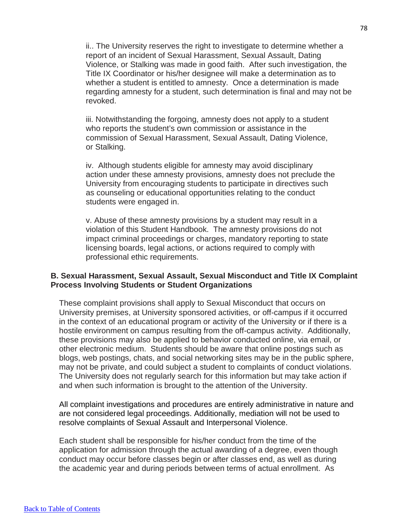ii.. The University reserves the right to investigate to determine whether a report of an incident of Sexual Harassment, Sexual Assault, Dating Violence, or Stalking was made in good faith. After such investigation, the Title IX Coordinator or his/her designee will make a determination as to whether a student is entitled to amnesty. Once a determination is made regarding amnesty for a student, such determination is final and may not be revoked.

iii. Notwithstanding the forgoing, amnesty does not apply to a student who reports the student's own commission or assistance in the commission of Sexual Harassment, Sexual Assault, Dating Violence, or Stalking.

iv. Although students eligible for amnesty may avoid disciplinary action under these amnesty provisions, amnesty does not preclude the University from encouraging students to participate in directives such as counseling or educational opportunities relating to the conduct students were engaged in.

v. Abuse of these amnesty provisions by a student may result in a violation of this Student Handbook. The amnesty provisions do not impact criminal proceedings or charges, mandatory reporting to state licensing boards, legal actions, or actions required to comply with professional ethic requirements.

## **B. Sexual Harassment, Sexual Assault, Sexual Misconduct and Title IX Complaint Process Involving Students or Student Organizations**

These complaint provisions shall apply to Sexual Misconduct that occurs on University premises, at University sponsored activities, or off-campus if it occurred in the context of an educational program or activity of the University or if there is a hostile environment on campus resulting from the off-campus activity. Additionally, these provisions may also be applied to behavior conducted online, via email, or other electronic medium. Students should be aware that online postings such as blogs, web postings, chats, and social networking sites may be in the public sphere, may not be private, and could subject a student to complaints of conduct violations. The University does not regularly search for this information but may take action if and when such information is brought to the attention of the University.

All complaint investigations and procedures are entirely administrative in nature and are not considered legal proceedings. Additionally, mediation will not be used to resolve complaints of Sexual Assault and Interpersonal Violence.

Each student shall be responsible for his/her conduct from the time of the application for admission through the actual awarding of a degree, even though conduct may occur before classes begin or after classes end, as well as during the academic year and during periods between terms of actual enrollment. As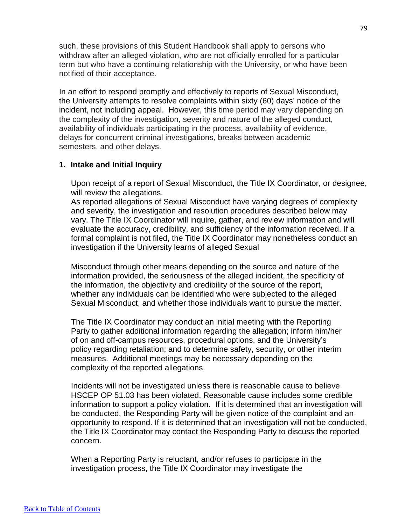such, these provisions of this Student Handbook shall apply to persons who withdraw after an alleged violation, who are not officially enrolled for a particular term but who have a continuing relationship with the University, or who have been notified of their acceptance.

In an effort to respond promptly and effectively to reports of Sexual Misconduct, the University attempts to resolve complaints within sixty (60) days' notice of the incident, not including appeal. However, this time period may vary depending on the complexity of the investigation, severity and nature of the alleged conduct, availability of individuals participating in the process, availability of evidence, delays for concurrent criminal investigations, breaks between academic semesters, and other delays.

## **1. Intake and Initial Inquiry**

Upon receipt of a report of Sexual Misconduct, the Title IX Coordinator, or designee, will review the allegations.

As reported allegations of Sexual Misconduct have varying degrees of complexity and severity, the investigation and resolution procedures described below may vary. The Title IX Coordinator will inquire, gather, and review information and will evaluate the accuracy, credibility, and sufficiency of the information received. If a formal complaint is not filed, the Title IX Coordinator may nonetheless conduct an investigation if the University learns of alleged Sexual

Misconduct through other means depending on the source and nature of the information provided, the seriousness of the alleged incident, the specificity of the information, the objectivity and credibility of the source of the report, whether any individuals can be identified who were subjected to the alleged Sexual Misconduct, and whether those individuals want to pursue the matter.

The Title IX Coordinator may conduct an initial meeting with the Reporting Party to gather additional information regarding the allegation; inform him/her of on and off-campus resources, procedural options, and the University's policy regarding retaliation; and to determine safety, security, or other interim measures. Additional meetings may be necessary depending on the complexity of the reported allegations.

Incidents will not be investigated unless there is reasonable cause to believe HSCEP OP 51.03 has been violated. Reasonable cause includes some credible information to support a policy violation. If it is determined that an investigation will be conducted, the Responding Party will be given notice of the complaint and an opportunity to respond. If it is determined that an investigation will not be conducted, the Title IX Coordinator may contact the Responding Party to discuss the reported concern.

When a Reporting Party is reluctant, and/or refuses to participate in the investigation process, the Title IX Coordinator may investigate the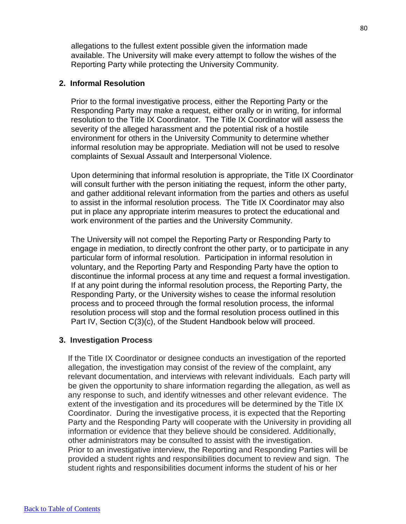allegations to the fullest extent possible given the information made available. The University will make every attempt to follow the wishes of the Reporting Party while protecting the University Community.

## **2. Informal Resolution**

Prior to the formal investigative process, either the Reporting Party or the Responding Party may make a request, either orally or in writing, for informal resolution to the Title IX Coordinator. The Title IX Coordinator will assess the severity of the alleged harassment and the potential risk of a hostile environment for others in the University Community to determine whether informal resolution may be appropriate. Mediation will not be used to resolve complaints of Sexual Assault and Interpersonal Violence.

Upon determining that informal resolution is appropriate, the Title IX Coordinator will consult further with the person initiating the request, inform the other party, and gather additional relevant information from the parties and others as useful to assist in the informal resolution process. The Title IX Coordinator may also put in place any appropriate interim measures to protect the educational and work environment of the parties and the University Community.

The University will not compel the Reporting Party or Responding Party to engage in mediation, to directly confront the other party, or to participate in any particular form of informal resolution. Participation in informal resolution in voluntary, and the Reporting Party and Responding Party have the option to discontinue the informal process at any time and request a formal investigation. If at any point during the informal resolution process, the Reporting Party, the Responding Party, or the University wishes to cease the informal resolution process and to proceed through the formal resolution process, the informal resolution process will stop and the formal resolution process outlined in this Part IV, Section C(3)(c), of the Student Handbook below will proceed.

#### **3. Investigation Process**

If the Title IX Coordinator or designee conducts an investigation of the reported allegation, the investigation may consist of the review of the complaint, any relevant documentation, and interviews with relevant individuals. Each party will be given the opportunity to share information regarding the allegation, as well as any response to such, and identify witnesses and other relevant evidence. The extent of the investigation and its procedures will be determined by the Title IX Coordinator. During the investigative process, it is expected that the Reporting Party and the Responding Party will cooperate with the University in providing all information or evidence that they believe should be considered. Additionally, other administrators may be consulted to assist with the investigation. Prior to an investigative interview, the Reporting and Responding Parties will be provided a student rights and responsibilities document to review and sign. The student rights and responsibilities document informs the student of his or her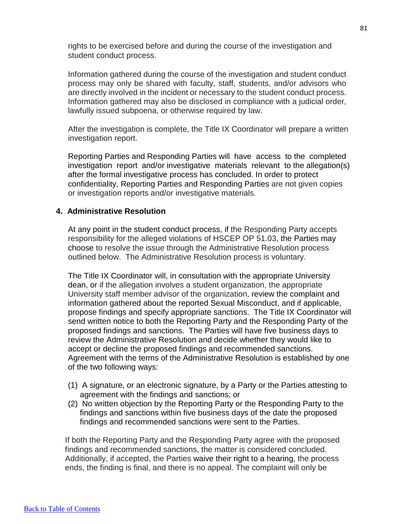rights to be exercised before and during the course of the investigation and student conduct process.

Information gathered during the course of the investigation and student conduct process may only be shared with faculty, staff, students, and/or advisors who are directly involved in the incident or necessary to the student conduct process. Information gathered may also be disclosed in compliance with a judicial order, lawfully issued subpoena, or otherwise required by law.

After the investigation is complete, the Title IX Coordinator will prepare a written investigation report.

Reporting Parties and Responding Parties will have access to the completed investigation report and/or investigative materials relevant to the allegation(s) after the formal investigative process has concluded. In order to protect confidentiality, Reporting Parties and Responding Parties are not given copies or investigation reports and/or investigative materials.

## **4. Administrative Resolution**

At any point in the student conduct process, if the Responding Party accepts responsibility for the alleged violations of HSCEP OP 51.03, the Parties may choose to resolve the issue through the Administrative Resolution process outlined below. The Administrative Resolution process is voluntary.

The Title IX Coordinator will, in consultation with the appropriate University dean, or if the allegation involves a student organization, the appropriate University staff member advisor of the organization, review the complaint and information gathered about the reported Sexual Misconduct, and if applicable, propose findings and specify appropriate sanctions. The Title IX Coordinator will send written notice to both the Reporting Party and the Responding Party of the proposed findings and sanctions. The Parties will have five business days to review the Administrative Resolution and decide whether they would like to accept or decline the proposed findings and recommended sanctions. Agreement with the terms of the Administrative Resolution is established by one of the two following ways:

- (1) A signature, or an electronic signature, by a Party or the Parties attesting to agreement with the findings and sanctions; or
- (2) No written objection by the Reporting Party or the Responding Party to the findings and sanctions within five business days of the date the proposed findings and recommended sanctions were sent to the Parties.

If both the Reporting Party and the Responding Party agree with the proposed findings and recommended sanctions, the matter is considered concluded. Additionally, if accepted, the Parties waive their right to a hearing, the process ends, the finding is final, and there is no appeal. The complaint will only be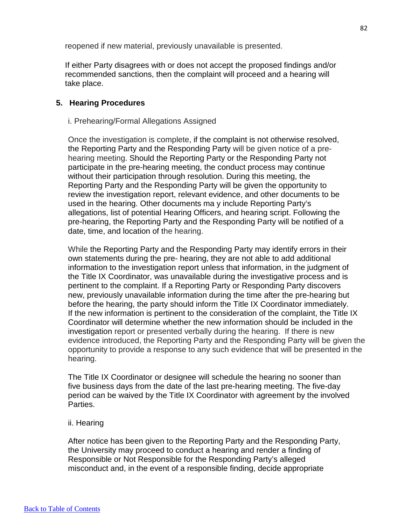reopened if new material, previously unavailable is presented.

If either Party disagrees with or does not accept the proposed findings and/or recommended sanctions, then the complaint will proceed and a hearing will take place.

## **5. Hearing Procedures**

#### i. Prehearing/Formal Allegations Assigned

Once the investigation is complete, if the complaint is not otherwise resolved, the Reporting Party and the Responding Party will be given notice of a prehearing meeting. Should the Reporting Party or the Responding Party not participate in the pre-hearing meeting, the conduct process may continue without their participation through resolution. During this meeting, the Reporting Party and the Responding Party will be given the opportunity to review the investigation report, relevant evidence, and other documents to be used in the hearing. Other documents ma y include Reporting Party's allegations, list of potential Hearing Officers, and hearing script. Following the pre-hearing, the Reporting Party and the Responding Party will be notified of a date, time, and location of the hearing.

While the Reporting Party and the Responding Party may identify errors in their own statements during the pre- hearing, they are not able to add additional information to the investigation report unless that information, in the judgment of the Title IX Coordinator, was unavailable during the investigative process and is pertinent to the complaint. If a Reporting Party or Responding Party discovers new, previously unavailable information during the time after the pre-hearing but before the hearing, the party should inform the Title IX Coordinator immediately. If the new information is pertinent to the consideration of the complaint, the Title IX Coordinator will determine whether the new information should be included in the investigation report or presented verbally during the hearing. If there is new evidence introduced, the Reporting Party and the Responding Party will be given the opportunity to provide a response to any such evidence that will be presented in the hearing.

The Title IX Coordinator or designee will schedule the hearing no sooner than five business days from the date of the last pre-hearing meeting. The five-day period can be waived by the Title IX Coordinator with agreement by the involved Parties.

#### ii. Hearing

After notice has been given to the Reporting Party and the Responding Party, the University may proceed to conduct a hearing and render a finding of Responsible or Not Responsible for the Responding Party's alleged misconduct and, in the event of a responsible finding, decide appropriate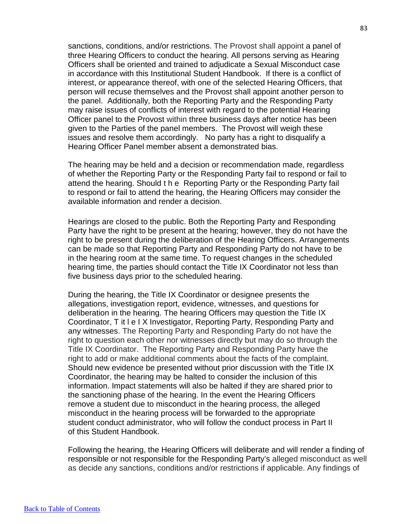sanctions, conditions, and/or restrictions. The Provost shall appoint a panel of three Hearing Officers to conduct the hearing. All persons serving as Hearing Officers shall be oriented and trained to adjudicate a Sexual Misconduct case in accordance with this Institutional Student Handbook. If there is a conflict of interest, or appearance thereof, with one of the selected Hearing Officers, that person will recuse themselves and the Provost shall appoint another person to the panel. Additionally, both the Reporting Party and the Responding Party may raise issues of conflicts of interest with regard to the potential Hearing Officer panel to the Provost within three business days after notice has been given to the Parties of the panel members. The Provost will weigh these issues and resolve them accordingly. No party has a right to disqualify a Hearing Officer Panel member absent a demonstrated bias.

The hearing may be held and a decision or recommendation made, regardless of whether the Reporting Party or the Responding Party fail to respond or fail to attend the hearing. Should t h e Reporting Party or the Responding Party fail to respond or fail to attend the hearing, the Hearing Officers may consider the available information and render a decision.

Hearings are closed to the public. Both the Reporting Party and Responding Party have the right to be present at the hearing; however, they do not have the right to be present during the deliberation of the Hearing Officers. Arrangements can be made so that Reporting Party and Responding Party do not have to be in the hearing room at the same time. To request changes in the scheduled hearing time, the parties should contact the Title IX Coordinator not less than five business days prior to the scheduled hearing.

During the hearing, the Title IX Coordinator or designee presents the allegations, investigation report, evidence, witnesses, and questions for deliberation in the hearing. The hearing Officers may question the Title IX Coordinator, T it l e I X Investigator, Reporting Party, Responding Party and any witnesses. The Reporting Party and Responding Party do not have the right to question each other nor witnesses directly but may do so through the Title IX Coordinator. The Reporting Party and Responding Party have the right to add or make additional comments about the facts of the complaint. Should new evidence be presented without prior discussion with the Title IX Coordinator, the hearing may be halted to consider the inclusion of this information. Impact statements will also be halted if they are shared prior to the sanctioning phase of the hearing. In the event the Hearing Officers remove a student due to misconduct in the hearing process, the alleged misconduct in the hearing process will be forwarded to the appropriate student conduct administrator, who will follow the conduct process in Part II of this Student Handbook.

Following the hearing, the Hearing Officers will deliberate and will render a finding of responsible or not responsible for the Responding Party's alleged misconduct as well as decide any sanctions, conditions and/or restrictions if applicable. Any findings of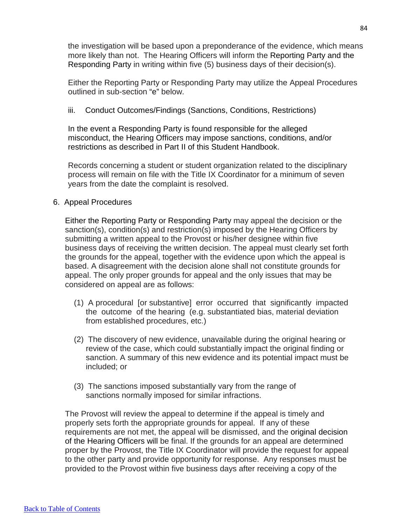the investigation will be based upon a preponderance of the evidence, which means more likely than not. The Hearing Officers will inform the Reporting Party and the Responding Party in writing within five (5) business days of their decision(s).

Either the Reporting Party or Responding Party may utilize the Appeal Procedures outlined in sub-section "e" below.

iii. Conduct Outcomes/Findings (Sanctions, Conditions, Restrictions)

In the event a Responding Party is found responsible for the alleged misconduct, the Hearing Officers may impose sanctions, conditions, and/or restrictions as described in Part II of this Student Handbook.

Records concerning a student or student organization related to the disciplinary process will remain on file with the Title IX Coordinator for a minimum of seven years from the date the complaint is resolved.

6. Appeal Procedures

Either the Reporting Party or Responding Party may appeal the decision or the sanction(s), condition(s) and restriction(s) imposed by the Hearing Officers by submitting a written appeal to the Provost or his/her designee within five business days of receiving the written decision. The appeal must clearly set forth the grounds for the appeal, together with the evidence upon which the appeal is based. A disagreement with the decision alone shall not constitute grounds for appeal. The only proper grounds for appeal and the only issues that may be considered on appeal are as follows:

- (1) A procedural [or substantive] error occurred that significantly impacted the outcome of the hearing (e.g. substantiated bias, material deviation from established procedures, etc.)
- (2) The discovery of new evidence, unavailable during the original hearing or review of the case, which could substantially impact the original finding or sanction. A summary of this new evidence and its potential impact must be included; or
- (3) The sanctions imposed substantially vary from the range of sanctions normally imposed for similar infractions.

The Provost will review the appeal to determine if the appeal is timely and properly sets forth the appropriate grounds for appeal. If any of these requirements are not met, the appeal will be dismissed, and the original decision of the Hearing Officers will be final. If the grounds for an appeal are determined proper by the Provost, the Title IX Coordinator will provide the request for appeal to the other party and provide opportunity for response. Any responses must be provided to the Provost within five business days after receiving a copy of the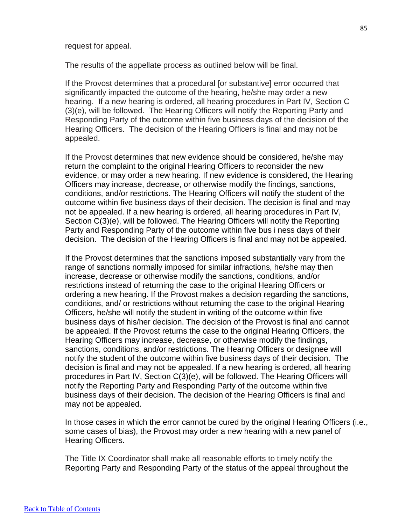#### request for appeal.

The results of the appellate process as outlined below will be final.

If the Provost determines that a procedural [or substantive] error occurred that significantly impacted the outcome of the hearing, he/she may order a new hearing. If a new hearing is ordered, all hearing procedures in Part IV, Section C (3)(e), will be followed. The Hearing Officers will notify the Reporting Party and Responding Party of the outcome within five business days of the decision of the Hearing Officers. The decision of the Hearing Officers is final and may not be appealed.

If the Provost determines that new evidence should be considered, he/she may return the complaint to the original Hearing Officers to reconsider the new evidence, or may order a new hearing. If new evidence is considered, the Hearing Officers may increase, decrease, or otherwise modify the findings, sanctions, conditions, and/or restrictions. The Hearing Officers will notify the student of the outcome within five business days of their decision. The decision is final and may not be appealed. If a new hearing is ordered, all hearing procedures in Part IV, Section C(3)(e), will be followed. The Hearing Officers will notify the Reporting Party and Responding Party of the outcome within five bus i ness days of their decision. The decision of the Hearing Officers is final and may not be appealed.

If the Provost determines that the sanctions imposed substantially vary from the range of sanctions normally imposed for similar infractions, he/she may then increase, decrease or otherwise modify the sanctions, conditions, and/or restrictions instead of returning the case to the original Hearing Officers or ordering a new hearing. If the Provost makes a decision regarding the sanctions, conditions, and/ or restrictions without returning the case to the original Hearing Officers, he/she will notify the student in writing of the outcome within five business days of his/her decision. The decision of the Provost is final and cannot be appealed. If the Provost returns the case to the original Hearing Officers, the Hearing Officers may increase, decrease, or otherwise modify the findings, sanctions, conditions, and/or restrictions. The Hearing Officers or designee will notify the student of the outcome within five business days of their decision. The decision is final and may not be appealed. If a new hearing is ordered, all hearing procedures in Part IV, Section C(3)(e), will be followed. The Hearing Officers will notify the Reporting Party and Responding Party of the outcome within five business days of their decision. The decision of the Hearing Officers is final and may not be appealed.

In those cases in which the error cannot be cured by the original Hearing Officers (i.e., some cases of bias), the Provost may order a new hearing with a new panel of Hearing Officers.

The Title IX Coordinator shall make all reasonable efforts to timely notify the Reporting Party and Responding Party of the status of the appeal throughout the